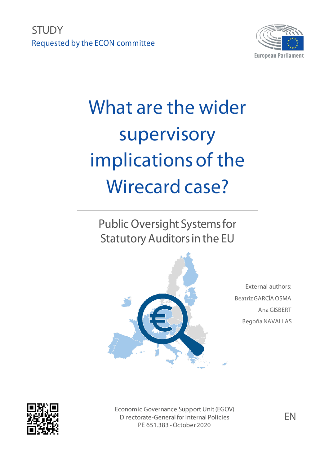**STUDY** Requested by the ECON committee



# What are the wider supervisory implications of the Wirecard case?

Public Oversight Systems for Statutory Auditors in the EU



External authors: Beatriz GARCÍA OSMA Ana GISBERT Begoña NAVALLAS



Economic Governance Support Unit (EGOV) Directorate-General for Internal Policies PE 651.383 -October 2020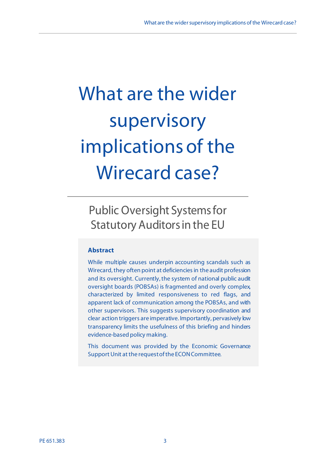# What are the wider supervisory implications of the Wirecard case?

# Public Oversight Systems for Statutory Auditors in the EU

#### **Abstract**

While multiple causes underpin accounting scandals such as Wirecard, they often point at deficiencies in the audit profession and its oversight. Currently, the system of national public audit oversight boards (POBSAs) is fragmented and overly complex, characterized by limited responsiveness to red flags, and apparent lack of communication among the POBSAs, and with other supervisors. This suggests supervisory coordination and clear action triggers are imperative. Importantly, pervasively low transparency limits the usefulness of this briefing and hinders evidence-based policy making.

This document was provided by the Economic Governance Support Unit at the request of the ECON Committee.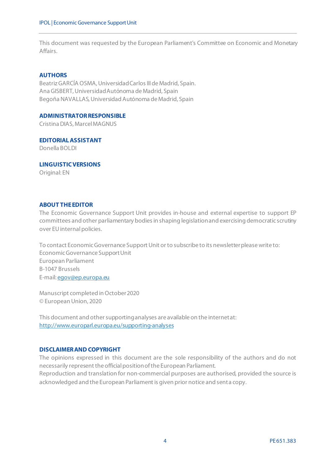This document was requested by the European Parliament's Committee on Economic and Monetary Affairs.

#### **AUTHORS**

Beatriz GARCÍA OSMA, Universidad Carlos III de Madrid, Spain. Ana GISBERT, Universidad Autónoma de Madrid, Spain Begoña NAVALLAS, Universidad Autónoma de Madrid, Spain

#### **ADMINISTRATOR RESPONSIBLE**

Cristina DIAS, MarcelMAGNUS

**EDITORIAL ASSISTANT**  Donella BOLDI

**LINGUISTIC VERSIONS**

Original: EN

#### **ABOUT THE EDITOR**

The Economic Governance Support Unit provides in-house and external expertise to support EP committees and other parliamentary bodies in shaping legislation and exercising democratic scrutiny over EU internal policies.

To contact Economic Governance Support Unit or to subscribe to its newsletter please write to: Economic Governance Support Unit European Parliament B-1047 Brussels E-mail[: egov@ep.europa.eu](mailto:egov@ep.europa.eu)

Manuscript completed in October2020 © European Union, 2020

This document and other supporting analyses are available on the internetat: <http://www.europarl.europa.eu/supporting-analyses>

#### **DISCLAIMERAND COPYRIGHT**

The opinions expressed in this document are the sole responsibility of the authors and do not necessarily represent the official position of the European Parliament. Reproduction and translation for non-commercial purposes are authorised, provided the source is acknowledged and the European Parliament is given prior notice and sent a copy.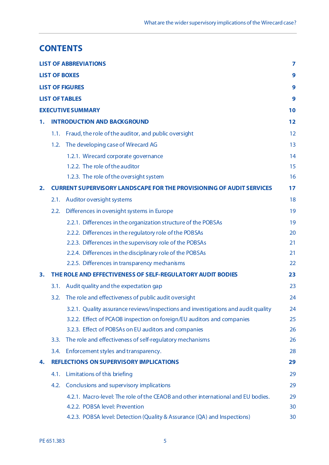# **CONTENTS**

|    |      | <b>LIST OF ABBREVIATIONS</b>                                                      | 7  |
|----|------|-----------------------------------------------------------------------------------|----|
|    |      | <b>LIST OF BOXES</b>                                                              | 9  |
|    |      | <b>LIST OF FIGURES</b>                                                            | 9  |
|    |      | <b>LIST OF TABLES</b>                                                             | 9  |
|    |      | <b>EXECUTIVE SUMMARY</b>                                                          | 10 |
| 1. |      | <b>INTRODUCTION AND BACKGROUND</b>                                                | 12 |
|    | 1.1. | Fraud, the role of the auditor, and public oversight                              | 12 |
|    | 1.2. | The developing case of Wirecard AG                                                | 13 |
|    |      | 1.2.1. Wirecard corporate governance                                              | 14 |
|    |      | 1.2.2. The role of the auditor                                                    | 15 |
|    |      | 1.2.3. The role of the oversight system                                           | 16 |
| 2. |      | <b>CURRENT SUPERVISORY LANDSCAPE FOR THE PROVISIONING OF AUDIT SERVICES</b>       | 17 |
|    | 2.1. | Auditor oversight systems                                                         | 18 |
|    | 2.2. | Differences in oversight systems in Europe                                        | 19 |
|    |      | 2.2.1. Differences in the organization structure of the POBSAs                    | 19 |
|    |      | 2.2.2. Differences in the regulatory role of the POBSAs                           | 20 |
|    |      | 2.2.3. Differences in the supervisory role of the POBSAs                          | 21 |
|    |      | 2.2.4. Differences in the disciplinary role of the POBSAs                         | 21 |
|    |      | 2.2.5. Differences in transparency mechanisms                                     | 22 |
| 3. |      | THE ROLE AND EFFECTIVENESS OF SELF-REGULATORY AUDIT BODIES                        | 23 |
|    | 3.1. | Audit quality and the expectation gap                                             | 23 |
|    | 3.2. | The role and effectiveness of public audit oversight                              | 24 |
|    |      | 3.2.1. Quality assurance reviews/inspections and investigations and audit quality | 24 |
|    |      | 3.2.2. Effect of PCAOB inspection on foreign/EU auditors and companies            | 25 |
|    |      | 3.2.3. Effect of POBSAs on EU auditors and companies                              | 26 |
|    | 3.3. | The role and effectiveness of self-regulatory mechanisms                          | 26 |
|    |      | 3.4. Enforcement styles and transparency.                                         | 28 |
| 4. |      | <b>REFLECTIONS ON SUPERVISORY IMPLICATIONS</b>                                    | 29 |
|    | 4.1. | Limitations of this briefing                                                      | 29 |
|    | 4.2. | Conclusions and supervisory implications                                          | 29 |
|    |      | 4.2.1. Macro-level: The role of the CEAOB and other international and EU bodies.  | 29 |
|    |      | 4.2.2. POBSA level: Prevention                                                    | 30 |
|    |      | 4.2.3. POBSA level: Detection (Quality & Assurance (QA) and Inspections)          | 30 |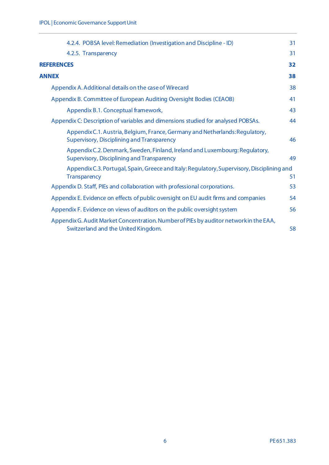|       | 4.2.4. POBSA level: Remediation (Investigation and Discipline - ID)                                                          | 31 |
|-------|------------------------------------------------------------------------------------------------------------------------------|----|
|       | 4.2.5. Transparency                                                                                                          | 31 |
|       | <b>REFERENCES</b>                                                                                                            | 32 |
| ANNEX |                                                                                                                              | 38 |
|       | Appendix A. Additional details on the case of Wirecard                                                                       | 38 |
|       | Appendix B. Committee of European Auditing Oversight Bodies (CEAOB)                                                          | 41 |
|       | Appendix B.1. Conceptual framework,                                                                                          | 43 |
|       | Appendix C: Description of variables and dimensions studied for analysed POBSAs.                                             | 44 |
|       | Appendix C.1. Austria, Belgium, France, Germany and Netherlands: Regulatory,<br>Supervisory, Disciplining and Transparency   | 46 |
|       | Appendix C.2. Denmark, Sweden, Finland, Ireland and Luxembourg: Regulatory,<br>Supervisory, Disciplining and Transparency    | 49 |
|       | Appendix C.3. Portugal, Spain, Greece and Italy: Regulatory, Supervisory, Disciplining and<br>Transparency                   | 51 |
|       | Appendix D. Staff, PIEs and collaboration with professional corporations.                                                    | 53 |
|       | Appendix E. Evidence on effects of public oversight on EU audit firms and companies                                          | 54 |
|       | Appendix F. Evidence on views of auditors on the public oversight system                                                     | 56 |
|       | Appendix G. Audit Market Concentration. Number of PIEs by auditor network in the EAA,<br>Switzerland and the United Kingdom. | 58 |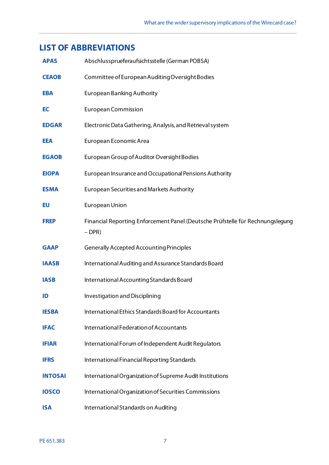# <span id="page-6-0"></span>**LIST OF ABBREVIATIONS**

| <b>APAS</b>    | Abschlussprueferaufsichtsstelle (German POBSA)                                             |
|----------------|--------------------------------------------------------------------------------------------|
| <b>CEAOB</b>   | Committee of European Auditing Oversight Bodies                                            |
| <b>EBA</b>     | <b>European Banking Authority</b>                                                          |
| EC             | <b>European Commission</b>                                                                 |
| <b>EDGAR</b>   | Electronic Data Gathering, Analysis, and Retrieval system                                  |
| <b>EEA</b>     | European Economic Area                                                                     |
| <b>EGAOB</b>   | European Group of Auditor Oversight Bodies                                                 |
| <b>EIOPA</b>   | European Insurance and Occupational Pensions Authority                                     |
| <b>ESMA</b>    | <b>European Securities and Markets Authority</b>                                           |
| EU             | <b>European Union</b>                                                                      |
| <b>FREP</b>    | Financial Reporting Enforcement Panel (Deutsche Prüfstelle für Rechnungslegung<br>$-DPR$ ) |
| <b>GAAP</b>    | <b>Generally Accepted Accounting Principles</b>                                            |
| <b>IAASB</b>   | International Auditing and Assurance Standards Board                                       |
| <b>IASB</b>    | International Accounting Standards Board                                                   |
| ID             | Investigation and Disciplining                                                             |
| <b>IESBA</b>   | International Ethics Standards Board for Accountants                                       |
| <b>IFAC</b>    | International Federation of Accountants                                                    |
| <b>IFIAR</b>   | International Forum of Independent Audit Regulators                                        |
| <b>IFRS</b>    | International Financial Reporting Standards                                                |
| <b>INTOSAI</b> | International Organization of Supreme Audit Institutions                                   |
| <b>IOSCO</b>   | International Organization of Securities Commissions                                       |
| <b>ISA</b>     | International Standards on Auditing                                                        |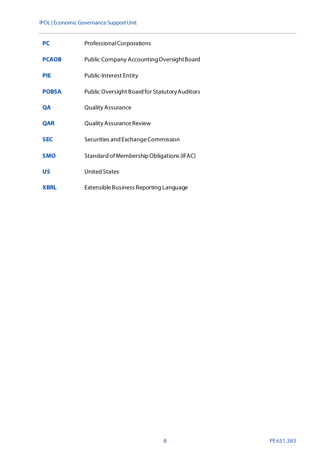#### IPOL | Economic Governance Support Unit

| <b>PC</b>    | Professional Corporations                            |
|--------------|------------------------------------------------------|
| <b>PCAOB</b> | Public Company Accounting Oversight Board            |
| <b>PIE</b>   | <b>Public-Interest Entity</b>                        |
| <b>POBSA</b> | <b>Public Oversight Board for Statutory Auditors</b> |
| QA           | <b>Quality Assurance</b>                             |
| <b>QAR</b>   | <b>Quality Assurance Review</b>                      |
| <b>SEC</b>   | Securities and Exchange Commission                   |
| <b>SMO</b>   | Standard of Membership Obligations (IFAC)            |
| <b>US</b>    | <b>United States</b>                                 |
| <b>XBRL</b>  | Extensible Business Reporting Language               |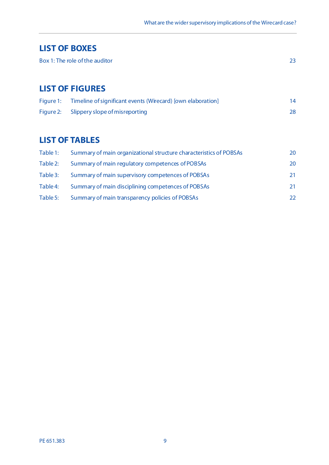# <span id="page-8-0"></span>**LIST OF BOXES**

# <span id="page-8-1"></span>**LIST OF FIGURES**

| Figure 1: | Timeline of significant events (Wirecard) [own elaboration] |  |
|-----------|-------------------------------------------------------------|--|
|           | Figure 2: Slippery slope of misreporting                    |  |

# <span id="page-8-2"></span>**LIST OF TABLES**

| Table 1: | Summary of main organizational structure characteristics of POBSAs | 20  |
|----------|--------------------------------------------------------------------|-----|
| Table 2: | Summary of main regulatory competences of POBSAs                   | 20  |
| Table 3: | Summary of main supervisory competences of POBSAs                  | 21. |
| Table 4: | Summary of main disciplining competences of POBSAs                 | 21. |
| Table 5: | Summary of main transparency policies of POBSAs                    | 22  |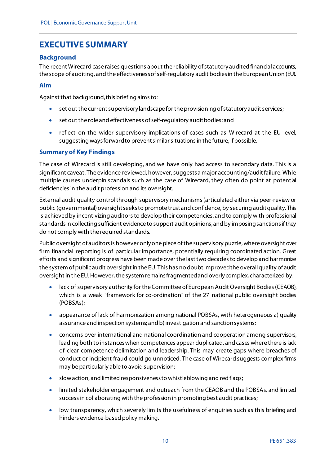# <span id="page-9-0"></span>**EXECUTIVE SUMMARY**

#### **Background**

The recent Wirecard case raises questions about the reliability of statutory audited financial accounts, the scope of auditing, and the effectiveness of self-regulatory audit bodies in the European Union (EU).

#### **Aim**

Against that background, this briefing aims to:

- set out the current supervisory landscape for the provisioning of statutory audit services;
- set out the role and effectiveness of self-regulatory audit bodies; and
- reflect on the wider supervisory implications of cases such as Wirecard at the EU level, suggesting ways forward to prevent similar situations in the future, if possible.

#### **Summary of Key Findings**

The case of Wirecard is still developing, and we have only had access to secondary data. This is a significant caveat. The evidence reviewed, however, suggests a major accounting/audit failure. While multiple causes underpin scandals such as the case of Wirecard, they often do point at potential deficiencies in the audit profession and its oversight.

External audit quality control through supervisory mechanisms (articulated either via peer-review or public (governmental) oversight seeks to promote trust and confidence, by securing audit quality. This is achieved by incentivizing auditors to develop their competencies, and to comply with professional standards in collecting sufficient evidence to support audit opinions, and by imposing sanctions if they do not comply with the required standards.

Public oversight of auditors is however only one piece of the supervisory puzzle, where oversight over firm financial reporting is of particular importance, potentially requiring coordinated action. Great efforts and significant progress have been made over the last two decades to develop and harmonize the system of public audit oversight in the EU. This has no doubt improved the overall quality of audit oversight in the EU. However, the system remains fragmented and overly complex, characterized by:

- lack of supervisory authority for the Committee of European Audit Oversight Bodies (CEAOB), which is a weak "framework for co-ordination" of the 27 national public oversight bodies (POBSAs);
- appearance of lack of harmonization among national POBSAs, with heterogeneous a) quality assurance and inspection systems; and b) investigation and sanction systems;
- concerns over international and national coordination and cooperation among supervisors, leading both to instances when competences appear duplicated, and cases where there is lack of clear competence delimitation and leadership. This may create gaps where breaches of conduct or incipient fraud could go unnoticed. The case of Wirecard suggests complex firms may be particularly able to avoid supervision;
- slow action, and limited responsiveness to whistleblowing and red flags;
- limited stakeholder engagement and outreach from the CEAOB and the POBSAs, and limited success in collaborating with the profession in promoting best audit practices;
- low transparency, which severely limits the usefulness of enquiries such as this briefing and hinders evidence-based policy making.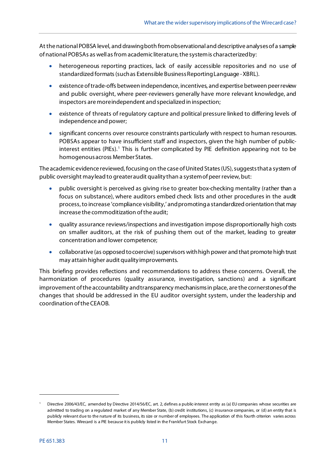At the national POBSA level, and drawing both from observational and descriptive analyses of a sample of national POBSAs as well as from academic literature, the system is characterized by:

- heterogeneous reporting practices, lack of easily accessible repositories and no use of standardized formats (such as Extensible Business Reporting Language -XBRL).
- existence of trade-offs between independence, incentives, and expertise between peer review and public oversight, where peer-reviewers generally have more relevant knowledge, and inspectors are more independent and specialized in inspection;
- existence of threats of regulatory capture and political pressure linked to differing levels of independence and power;
- significant concerns over resource constraints particularly with respect to human resources. POBSAs appear to have insufficient staff and inspectors, given the high number of public-interest entities (PIEs).<sup>[1](#page-10-0)</sup> This is further complicated by PIE definition appearing not to be homogenous across Member States.

The academic evidence reviewed, focusing on the case of United States (US), suggests that a system of public oversight may lead to greater audit quality than a system of peer review, but:

- public oversight is perceived as giving rise to greater box-checking mentality (rather than a focus on substance), where auditors embed check lists and other procedures in the audit process, to increase 'compliance visibility,' and promoting a standardized orientation that may increase the commoditization of the audit;
- quality assurance reviews/inspections and investigation impose disproportionally high costs on smaller auditors, at the risk of pushing them out of the market, leading to greater concentration and lower competence;
- collaborative (as opposed to coercive) supervisors with high power and that promote high trust may attain higher audit quality improvements.

This briefing provides reflections and recommendations to address these concerns. Overall, the harmonization of procedures (quality assurance, investigation, sanctions) and a significant improvement of the accountability and transparency mechanisms in place, are the cornerstones of the changes that should be addressed in the EU auditor oversight system, under the leadership and coordination of the CEAOB.

<span id="page-10-0"></span><sup>1</sup> Directive 2006/43/EC, amended by Directive 2014/56/EC, art. 2, defines a public-interest entity as (a) EU companies whose securities are admitted to trading on a regulated market of any Member State, (b) credit institutions, (c) insurance companies, or (d) an entity that is publicly relevant due to the nature of its business, its size or number of employees. The application of this fourth criterion varies across Member States. Wirecard is a PIE because it is publicly listed in the Frankfurt Stock Exchange.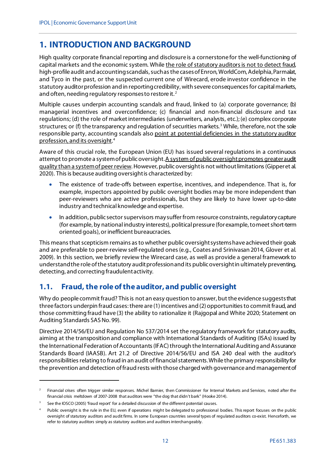# <span id="page-11-0"></span>**1. INTRODUCTION AND BACKGROUND**

High quality corporate financial reporting and disclosure is a cornerstone for the well-functioning of capital markets and the economic system. While the role of statutory auditors is not to detect fraud, high-profile audit and accounting scandals, such as the cases of Enron, WorldCom, Adelphia, Parmalat, and Tyco in the past, or the suspected current one of Wirecard, erode investor confidence in the statutory auditor profession and in reporting credibility, with severe consequences for capital markets, and often, needing regulatory responses to restore it.<sup>[2](#page-11-2)</sup>

Multiple causes underpin accounting scandals and fraud, linked to (a) corporate governance; (b) managerial incentives and overconfidence; (c) financial and non-financial disclosure and tax regulations; (d) the role of market intermediaries (underwriters, analysts, etc.); (e) complex corporate structures; or (f) the transparency and regulation of securities markets.<sup>[3](#page-11-3)</sup> While, therefore, not the sole responsible party, accounting scandals also point at potential deficiencies in the statutory auditor profession, and its oversight. [4](#page-11-4)

Aware of this crucial role, the European Union (EU) has issued several regulations in a continuous attempt to promote a system of public oversight. A system of public oversight promotes greater audit quality than a system ofpeer review. However, public oversight is not without limitations (Gipper et al. 2020). This is because auditing oversight is characterized by:

- The existence of trade-offs between expertise, incentives, and independence. That is, for example, inspectors appointed by public oversight bodies may be more independent than peer-reviewers who are active professionals, but they are likely to have lower up-to-date industry and technical knowledge and expertise.
- In addition, public sector supervisors may suffer from resource constraints, regulatory capture (for example, by national industry interests), political pressure (for example, to meet short-term oriented goals), or inefficient bureaucracies.

This means that scepticism remains as to whether public oversight systems have achieved their goals and are preferable to peer-review self-regulated ones (e.g., Coates and Srinivasan 2014, Glover et al. 2009). In this section, we briefly review the Wirecard case, as well as provide a general framework to understand the role of the statutory audit profession and its public oversight in ultimately preventing, detecting, and correcting fraudulent activity.

# <span id="page-11-1"></span>**1.1. Fraud, the role of the auditor, and public oversight**

Why do people commit fraud? This is not an easy question to answer, but the evidence suggests that three factors underpin fraud cases: there are (1) incentives and (2) opportunities to commit fraud, and those committing fraud have (3) the ability to rationalize it (Rajgopal and White 2020; Statement on Auditing Standards SAS No. 99).

Directive 2014/56/EU and Regulation No 537/2014 set the regulatory framework for statutory audits, aiming at the transposition and compliance with International Standards of Auditing (ISAs) issued by the International Federation of Accountants (IFAC) through the International Auditing and Assurance Standards Board (IAASB). Art 21.2 of Directive 2014/56/EU and ISA 240 deal with the auditor's responsibilities relating to fraud in an audit of financial statements. While the primary responsibility for the prevention and detection of fraud rests with those charged with governance and management of

<span id="page-11-2"></span> $2$  Financial crises often trigger similar responses. Michel Barnier, then Commissioner for Internal Markets and Services, noted after the financial crisis meltdown of 2007-2008 that auditors were "the dog that didn't bark" (Hooke 2014).

<span id="page-11-3"></span>See the IOSCO (2005) 'fraud report' for a detailed discussion of the different potential causes.

<span id="page-11-4"></span>Public oversight is the rule in the EU, even if operations might be delegated to professional bodies. This report focuses on the public oversight of statutory auditors and audit firms. In some European countries several types of regulated auditors co-exist. Henceforth, we refer to statutory auditors simply as statutory auditors and auditors interchangeably.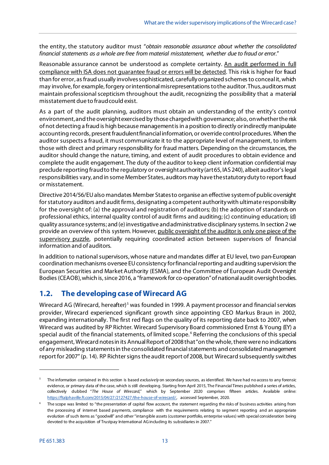the entity, the statutory auditor must "*obtain reasonable assurance about whether the consolidated financial statements as a whole are free from material misstatement, whether due to fraud or error*."

Reasonable assurance cannot be understood as complete certainty. An audit performed in full compliance with ISA does not guarantee fraud or errors will be detected. This risk is higher for fraud than for error, as fraud usually involves sophisticated, carefully organized schemes to conceal it, which may involve, for example, forgery or intentional misrepresentations to the auditor. Thus, auditors must maintain professional scepticism throughout the audit, recognizing the possibility that a material misstatement due to fraud could exist.

As a part of the audit planning, auditors must obtain an understanding of the entity's control environment, and the oversight exercised by those charged with governance; also, on whether the risk of not detecting a fraud is high because management is in a position to directly or indirectly manipulate accounting records, present fraudulent financial information, or override control procedures. When the auditor suspects a fraud, it must communicate it to the appropriate level of management, to inform those with direct and primary responsibility for fraud matters. Depending on the circumstances, the auditor should change the nature, timing, and extent of audit procedures to obtain evidence and complete the audit engagement. The duty of the auditor to keep client information confidential may preclude reporting fraud to the regulatory or oversight authority(art 65, IAS 240), albeit auditor's legal responsibilities vary, and in some Member States, auditors may have the statutory duty to report fraud or misstatement.

Directive 2014/56/EU also mandates Member States to organise an effective system of public oversight for statutory auditors and audit firms, designating a competent authority with ultimate responsibility for the oversight of: (a) the approval and registration of auditors; (b) the adoption of standards on professional ethics, internal quality control of audit firms and auditing; (c) continuing education; (d) quality assurance systems; and (e) investigative and administrative disciplinary systems. In section 2 we provide an overview of this system. However, public oversight of the auditor is only one piece of the supervisory puzzle, potentially requiring coordinated action between supervisors of financial information and of auditors.

In addition to national supervisors, whose nature and mandates differ at EU level, two pan-European coordination mechanisms oversee EU consistency for financial reporting and auditing supervision: the European Securities and Market Authority (ESMA), and the Committee of European Audit Oversight Bodies (CEAOB), which is, since 2016, a "framework for co-operation" of national audit oversight bodies.

# <span id="page-12-0"></span>**1.2. The developing case of Wirecard AG**

Wirecard AG (Wirecard, hereafter)<sup>[5](#page-12-1)</sup> was founded in 1999. A payment processor an[d financial services](https://en.wikipedia.org/wiki/Financial_services) provider, Wirecard experienced significant growth since appointing CEO Markus Braun in 2002, expanding internationally. The first red flags on the quality of its reporting date back to 2007, when Wirecard was audited by RP Richter. Wirecard Supervisory Board commissioned Ernst & Young (EY) a special audit of the financial statements, of limited scope. [6](#page-12-2) Referring the conclusions of this special engagement, Wirecard notes in its Annual Report of 2008 that "on the whole, there were no indications of any misleading statements in the consolidated financial statements and consolidated management report for 2007" (p. 14). RP Richter signs the audit report of 2008, but Wirecard subsequently switches

<span id="page-12-1"></span><sup>5</sup> The information contained in this section is based *exclusively* on secondary sources, as identified. We have had no access to any forensic evidence, or primary data of the case, which is still developing. Starting from April 2015, The Financial Times published a series of articles, collectively dubbed "*The House of Wirecard*," which by September 2020 comprises fifteen articles. Available online: [https://ftalphaville.ft.com/2015/04/27/2127427/the-house-of-wirecard/,](https://ftalphaville.ft.com/2015/04/27/2127427/the-house-of-wirecard/) accessed September, 2020.

<span id="page-12-2"></span>The scope was limited to "the presentation of capital flow account, the statement regarding the risks of business activities arising from the processing of internet based payments, compliance with the requirements relating to segment reporting and an appropriate evolution of such items as "goodwill" and other "intangible assets (customer portfolio, enterprise values) with special consideration being devoted to the acquisition of Trustpay International AG including its subsidiaries in 2007."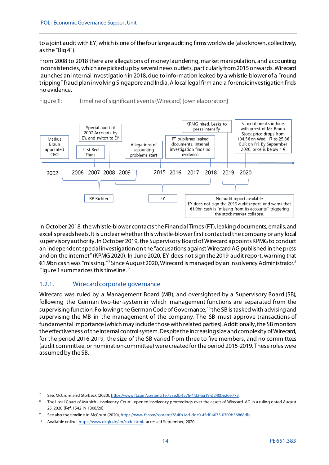to a joint audit with EY, which is one of the four large auditing firms worldwide (also known, collectively, as the "Big 4").

From 2008 to 2018 there are allegations of money laundering, market manipulation, and accounting inconsistencies, which are picked up by several news outlets, particularly from 2015 onwards. Wirecard launches an internal investigation in 2018, due to information leaked by a whistle-blower of a "round tripping" fraud plan involving Singapore and India. A local legal firm and a forensic investigation finds no evidence.



<span id="page-13-1"></span>Figure **1**: Timeline of significant events (Wirecard) [own elaboration]

In October 2018, the whistle-blower contacts the Financial Times (FT), leaking documents, emails, and excel spreadsheets. It is unclear whether this whistle-blower first contacted the company or any local supervisory authority. In October 2019, the Supervisory Board of Wirecard appoints KPMG to conduct an independent special investigation on the "accusations against Wirecard AG published in the press and on the internet" (KPMG 2020). In June 2020, EY does not sign the 2019 audit report, warning that €1.9bn cash was "missing." [7](#page-13-2) Since August 2020, Wirecard is managed by an Insolvency Administrator.[8](#page-13-3) Figure 1 summarizes this timeline. [9](#page-13-4)

#### <span id="page-13-0"></span>1.2.1. Wirecard corporate governance

1

Wirecard was ruled by a Management Board (MB), and oversighted by a Supervisory Board (SB), following the German two-tier-system in which management functions are separated from the supervising function. Following theGerman Code of Governance, [10](#page-13-5) the SB is tasked with advising and supervising the MB in the management of the company. The SB must approve transactions of fundamental importance (which may include those with related parties). Additionally, the SB monitors the effectiveness of the internal control system. Despite the increasing size and complexity of Wirecard, for the period 2016-2019, the size of the SB varied from three to five members, and no committees (audit committee, or nomination committee) were created for the period 2015-2019. These roles were assumed by the SB.

<span id="page-13-3"></span><span id="page-13-2"></span><sup>7</sup> See, McCrum and Storbeck (2020)[, https://www.ft.com/content/1e753e2b-f576-4f32-aa19-d240be26e773.](https://www.ft.com/content/1e753e2b-f576-4f32-aa19-d240be26e773)

The Local Court of Munich - Insolvency Court - opened insolvency proceedings over the assets of Wirecard AG in a ruling dated August 25, 2020 (Ref. 1542 IN 1308/20).

See also the timeline in McCrum (2020), https://www.ft.com/content/284fb1ad-ddc0-45df-a075-0709b36868db

<span id="page-13-5"></span><span id="page-13-4"></span><sup>10</sup> Available online[: https://www.dcgk.de/en/code.html,](https://www.dcgk.de/en/code.html) accessed September, 2020.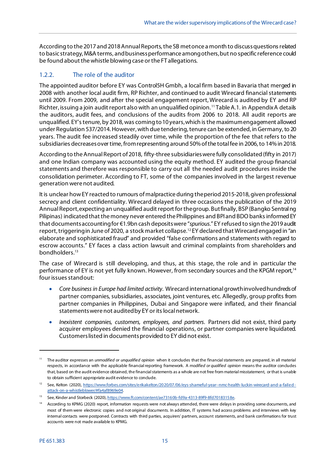According to the 2017 and 2018 Annual Reports, the SB met once a month to discuss questions related to basic strategy, M&A terms, and business performance among others, but no specific reference could be found about the whistle blowing case or the FT allegations.

#### <span id="page-14-0"></span>1.2.2. The role of the auditor

The appointed auditor before EY was Control5H Gmbh, a local firm based in Bavaria that merged in 2008 with another local audit firm, RP Richter, and continued to audit Wirecard financial statements until 2009. From 2009, and after the special engagement report, Wirecard is audited by EY and RP Richter, issuing a join audit report also with an unqualified opinion. [11](#page-14-1) Table A.1. in Appendix A details the auditors, audit fees, and conclusions of the audits from 2006 to 2018. All audit reports are unqualified. EY's tenure, by 2018, was coming to 10 years, which is the maximum engagement allowed under Regulation 537/2014. However, with due tendering, tenure can be extended, in Germany, to 20 years. The audit fee increased steadily over time, while the proportion of the fee that refers to the subsidiaries decreases over time, from representing around 50% of the total fee in 2006, to 14% in 2018.

According to the Annual Report of 2018, fifty-three subsidiaries were fully consolidated (fifty in 2017) and one Indian company was accounted using the equity method. EY audited the group financial statements and therefore was responsible to carry out all the needed audit procedures inside the consolidation perimeter. According to FT, some of the companies involved in the largest revenue generation were not audited.

It is unclear how EY reacted to rumours of malpractice during the period 2015-2018, given professional secrecy and client confidentiality. Wirecard delayed in three occasions the publication of the 2019 Annual Report, expecting an unqualified audit report for the group. But finally, BSP (Bangko Sentral ng Pilipinas) indicated that the money never entered the Philippines and BPI and BDO banks informed EY that documents accounting for €1.9bn cash deposits were "*spurious*." EY refused to sign the 2019 audit report, triggeringin June of 2020, a stock market collapse. [12](#page-14-2) EY declared that Wirecard engaged in "an elaborate and sophisticated fraud" and provided "false confirmations and statements with regard to escrow accounts." EY faces a class action lawsuit and criminal complaints from shareholders and bondholders. [13](#page-14-3)

The case of Wirecard is still developing, and thus, at this stage, the role and in particular the performance of EY is not yet fully known. However, from secondary sources and the KPGM report,<sup>[14](#page-14-4)</sup> four issues stand out:

- *Core business in Europe had limited activity*. Wirecard international growth involved hundreds of partner companies, subsidiaries, associates, joint ventures, etc*.* Allegedly, group profits from partner companies in Philippines, Dubai and Singapore were inflated, and their financial statements were not audited by EY or its local network.
- *Inexistent companies, customers, employees, and partners*. Partners did not exist, third party acquirer employees denied the financial operations, or partner companies were liquidated. Customers listed in documents provided to EY did not exist.

<span id="page-14-1"></span><sup>11</sup> The auditor expresses an *unmodified or unqualified opinion* when it concludes that the financial statements are prepared, in all material respects, in accordance with the applicable financial reporting framework. A *modified or qualified opinion* means the auditor concludes that, based on the audit evidence obtained, the financial statements as a whole are not free from material misstatement, or that is unable to obtain sufficient appropriate audit evidence to conclude.

<span id="page-14-2"></span><sup>12</sup> See, Kelton (2020)[, https://www.forbes.com/sites/erikakelton/2020/07/06/eys-shameful-year--nmc-health-luckin-wirecard-and-a-failed](https://www.forbes.com/sites/erikakelton/2020/07/06/eys-shameful-year--nmc-health-luckin-wirecard-and-a-failed-attack-on-a-whistleblower/#fa4af8969e04)[attack-on-a-whistleblower/#fa4af8969e04.](https://www.forbes.com/sites/erikakelton/2020/07/06/eys-shameful-year--nmc-health-luckin-wirecard-and-a-failed-attack-on-a-whistleblower/#fa4af8969e04) 

<span id="page-14-3"></span><sup>&</sup>lt;sup>13</sup> See, Kinder and Storbeck (2020), [https://www.ft.com/content/ae73160b-fd9a-4313-89f9-8fd70183158e.](https://www.ft.com/content/ae73160b-fd9a-4313-89f9-8fd70183158e)

<span id="page-14-4"></span><sup>&</sup>lt;sup>14</sup> According to KPMG (2020) report, information requests were not always attended, there were delays in providing some documents, and most of them were electronic copies and not original documents. In addition, IT systems had access problems and interviews with key internal contacts were postponed. Contracts with third parties, acquirers' partners, account statements, and bank confirmations for trust accounts were not made available to KPMG.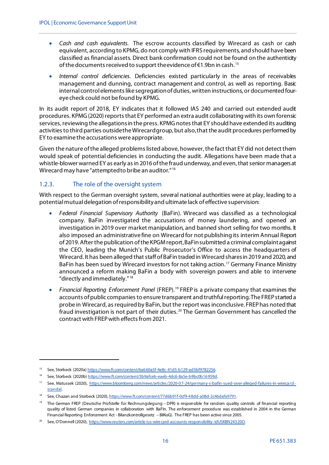- *Cash and cash equivalents*. The escrow accounts classified by Wirecard as cash or cash equivalent, according to KPMG, do not comply with IFRS requirements, and should have been classified as financial assets. Direct bank confirmation could not be found on the authenticity of the documents received to support the evidence of  $\epsilon$ 1.9bn in cash.<sup>[15](#page-15-1)</sup>
- *Internal control deficiencies*. Deficiencies existed particularly in the areas of receivables management and dunning, contract management and control, as well as reporting. Basic internal control elements like segregation of duties, written instructions, or documented foureye check could not be found by KPMG.

In its audit report of 2018, EY indicates that it followed IAS 240 and carried out extended audit procedures. KPMG (2020) reports that EY performed an extra audit collaborating with its own forensic services, reviewing the allegationsin the press. KPMG notes that EY should have extended its auditing activities to third parties outside the Wirecard group, but also, that the audit procedures performed by EY to examine the accusations were appropriate.

Given the nature of the alleged problemslisted above, however, the fact that EY did not detect them would speak of potential deficiencies in conducting the audit. Allegations have been made that a whistle-blower warned EY as early as in 2016 of the fraud underway, and even, that senior managers at Wirecard may have "attempted to bribe an auditor." [16](#page-15-2)

#### <span id="page-15-0"></span>1.2.3. The role of the oversight system

With respect to the German oversight system, several national authorities were at play, leading to a potential mutual delegation of responsibility and ultimate lack of effective supervision:

- *Federal Financial Supervisory Authority* (BaFin). Wirecard was classified as a technological company. BaFin investigated the accusations of money laundering, and opened an investigation in 2019 over market manipulation, and banned short selling for two months. It also imposed an administrative fine on Wirecard for not publishing its interim Annual Report of 2019. After the publication of the KPGM report, BaFin submitted a criminal complaint against the CEO, leading the Munich's Public Prosecutor's Office to access the headquarters of Wirecard. It has been alleged that staff of BaFin traded in Wirecard shares in 2019 and 2020, and BaFin has been sued by Wirecard investors for not taking action.<sup>[17](#page-15-3)</sup> Germany Finance Ministry announced a reform making BaFin a body with sovereign powers and able to intervene "directly and immediately." [18](#page-15-4)
- *Financial Reporting Enforcement Panel* (FREP). [19](#page-15-5) FREP is a private company that examines the accounts of public companies to ensure transparent and truthful reporting. The FREP started a probe in Wirecard, as required by BaFin, but the report was inconclusive. FREP has noted that fraud investigation is not part of their duties.<sup>[20](#page-15-6)</sup> The German Government has cancelled the contract with FREP with effects from 2021.

.

<span id="page-15-1"></span><sup>&</sup>lt;sup>15</sup> See, Storbeck (2020a) https://www.ft.com/content/6a660a5f-4e8c-41d5-b129-ad5bf9782256.

<span id="page-15-2"></span><sup>&</sup>lt;sup>16</sup> See, Storbeck (2020b) [https://www.ft.com/content/3b9afceb-eaeb-4dc6-8a5e-b9bc0b16959d.](https://www.ft.com/content/3b9afceb-eaeb-4dc6-8a5e-b9bc0b16959d)

<span id="page-15-3"></span><sup>17</sup> See, Matussek (2020), [https://www.bloomberg.com/news/articles/2020-07-24/germany-s-bafin-sued-over-alleged-failures-in-wireca rd](https://www.bloomberg.com/news/articles/2020-07-24/germany-s-bafin-sued-over-alleged-failures-in-wirecard-scandal)[scandal.](https://www.bloomberg.com/news/articles/2020-07-24/germany-s-bafin-sued-over-alleged-failures-in-wirecard-scandal)

<span id="page-15-4"></span><sup>18</sup> See, Chazan and Storbeck (2020)[, https://www.ft.com/content/77d6b91f-0cf9-48dd-a08d-2c46dafe9791.](https://www.ft.com/content/77d6b91f-0cf9-48dd-a08d-2c46dafe9791)

<span id="page-15-5"></span><sup>&</sup>lt;sup>19</sup> The German FREP (Deutsche Prüfstelle für Rechnungslegung – DPR) is responsible for random quality controls of financial reporting quality of listed German companies in collaboration with BaFIn. The enforcement procedure was established in 2004 in the German Financial Reporting Enforcement Act - Bilanzkontrollgesetz - BilKoG). The FREP has been active since 2005.

<span id="page-15-6"></span><sup>20</sup> See, O'Donnell (2020)[, https://www.reuters.com/article/us-wirecard-accounts-responsibility-idUSKBN24320O.](https://www.reuters.com/article/us-wirecard-accounts-responsibility-idUSKBN24320O)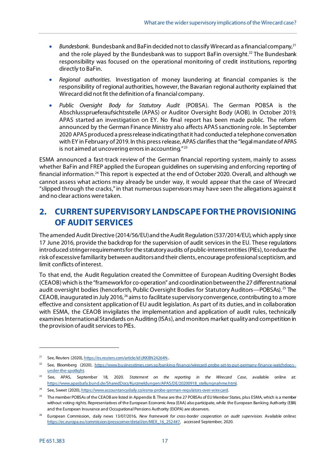- *Bundesbank*. Bundesbank and BaFin decided not to classify Wirecard as a financial company,[21](#page-16-1) and the role played by the Bundesbank was to support BaFin oversight.<sup>22</sup> The Bundesbank responsibility was focused on the operational monitoring of credit institutions, reporting directly to BaFin.
- *Regional authorities*. Investigation of money laundering at financial companies is the responsibility of regional authorities, however, the Bavarian regional authority explained that Wirecard did not fit the definition of a financial company.
- *Public Oversight Body for Statutory Audit* (POBSA). The German POBSA is the Abschlussprueferaufsichtsstelle (APAS) or Auditor Oversight Body (AOB). In October 2019, APAS started an investigation on EY. No final report has been made public. The reform announced by the German Finance Ministry also affects APAS sanctioning role. In September 2020 APAS produced a press release indicating that it had conducted a telephone conversation with EY in February of 2019. In this press release, APAS clarifies that the "legal mandate of APAS is not aimed at uncovering errors in accounting. $"^{23}$  $"^{23}$  $"^{23}$

ESMA announced a fast-track review of the German financial reporting system, mainly to assess whether BaFin and FREP applied the European guidelines on supervising and enforcing reporting of financial information.[24](#page-16-4) This report is expected at the end of October 2020. Overall, and although we cannot assess what actions may already be under way, it would appear that the case of Wirecard "slipped through the cracks," in that numerous supervisors may have seen the allegations against it and no clear actions were taken.

# <span id="page-16-0"></span>**2. CURRENT SUPERVISORY LANDSCAPE FOR THE PROVISIONING OF AUDIT SERVICES**

The amended Audit Directive (2014/56/EU) and the Audit Regulation (537/2014/EU), which apply since 17 June 2016, provide the backdrop for the supervision of audit services in the EU. These regulations introduced stringerrequirements for the statutory audits of public-interest entities (PIEs), to reduce the risk of excessive familiarity between auditors and their clients, encourage professional scepticism, and limit conflicts of interest.

To that end, the Audit Regulation created the Committee of European Auditing Oversight Bodies (CEAOB)which is the "framework for co-operation" and coordinationbetween the 27different national audit oversight bodies (henceforth, Public Oversight Bodies for Statutory Auditors––POBSAs). [25](#page-16-5) The CEAOB, inaugurated in July 2016,<sup>[26](#page-16-6)</sup> aims to facilitate supervisory convergence, contributing to a more effective and consistent application of EU audit legislation. As part of its duties, and in collaboration with ESMA, the CEAOB invigilates the implementation and application of audit rules, technically examines International Standards on Auditing (ISAs), and monitors market quality and competition in the provision of audit services to PIEs.

<span id="page-16-1"></span><sup>&</sup>lt;sup>21</sup> See, Reuters (2020), https://es.reuters.com/article/id UKKBN 24264N.

<span id="page-16-2"></span><sup>&</sup>lt;sup>22</sup> See, Bloomberg (2020), [https://www.businesstimes.com.sg/banking-finance/wirecard-probe-set-to-put-germany-finance-watchdog s](https://www.businesstimes.com.sg/banking-finance/wirecard-probe-set-to-put-germany-finance-watchdogs-under-the-spotlight)[under-the-spotlight.](https://www.businesstimes.com.sg/banking-finance/wirecard-probe-set-to-put-germany-finance-watchdogs-under-the-spotlight)

<span id="page-16-3"></span><sup>23</sup> See, APAS, September 18, 2020. *Statement on the reporting in the Wirecard Case*, available online at: [https://www.apasbafa.bund.de/SharedDocs/Kurzmeldungen/APAS/DE/20200918\\_stellungnahme.html.](https://www.apasbafa.bund.de/SharedDocs/Kurzmeldungen/APAS/DE/20200918_stellungnahme.html)

<span id="page-16-4"></span><sup>&</sup>lt;sup>24</sup> See, Sweet (2020)[, https://www.accountancydaily.co/esma-probe-german-regulators-over-wirecard.](https://www.accountancydaily.co/esma-probe-german-regulators-over-wirecard)

<span id="page-16-5"></span><sup>25</sup> The member POBSAs of the CEAOB are listed in Appendix B. These are the 27 POBSAs of EU Member States, plus ESMA, which is a member without voting rights. Representatives of the European Economic Area (EAA) also participate, while the European Banking Authority (EBA) and the European Insurance and Occupational Pensions Authority (EIOPA) are observers.

<span id="page-16-6"></span><sup>26</sup> European Commission, daily news 13/07/2016*. New framework for cross-border cooperation on audit supervision.* Available online**:** [https://ec.europa.eu/commission/presscorner/detail/en/MEX\\_16\\_2524#7,](https://ec.europa.eu/commission/presscorner/detail/en/MEX_16_2524#7) accessed September, 2020.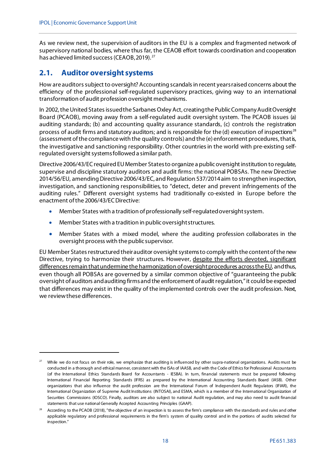As we review next, the supervision of auditors in the EU is a complex and fragmented network of supervisory national bodies, where thus far, the CEAOB effort towards coordination and cooperation has achieved limited success (CEAOB, 2019).<sup>[27](#page-17-1)</sup>

## <span id="page-17-0"></span>**2.1. Auditor oversight systems**

1

How are auditors subject to oversight? Accounting scandals in recent yearsraised concerns about the efficiency of the professional self-regulated supervisory practices, giving way to an international transformation of audit profession oversight mechanisms.

In 2002, the United States issued the Sarbanes Oxley Act, creating the Public Company Audit Oversight Board (PCAOB), moving away from a self-regulated audit oversight system. The PCAOB issues (a) auditing standards; (b) and accounting quality assurance standards, (c) controls the registration process of audit firms and statutory auditors; and is responsible for the (d) execution of inspections<sup>[28](#page-17-2)</sup> (assessment of the compliance with the quality controls) and the (e) enforcement procedures, that is, the investigative and sanctioning responsibility. Other countries in the world with pre-existing selfregulated oversight systems followed a similar path.

Directive 2006/43/EC required EU Member States to organize a public oversight institution to regulate, supervise and discipline statutory auditors and audit firms: the national POBSAs. The new Directive 2014/56/EU, amending Directive 2006/43/EC, and Regulation 537/2014 aim to strengthen inspection, investigation, and sanctioning responsibilities, to "detect, deter and prevent infringements of the auditing rules." Different oversight systems had traditionally co-existed in Europe before the enactment of the 2006/43/EC Directive:

- Member States with a tradition of professionally self-regulated oversight system.
- Member States with a tradition in public oversight structures.
- Member States with a mixed model, where the auditing profession collaborates in the oversight process with the public supervisor.

EU Member States restructured their auditor oversight systems to comply with the content of the new Directive, trying to harmonize their structures. However, despite the efforts devoted, significant differences remain that undermine the harmonization of oversight procedures across the EU, and thus, even though all POBSAs are governed by a similar common objective of "guaranteeing the public oversight of auditors and auditing firms and the enforcement of audit regulation," it could be expected that differences may exist in the quality of the implemented controls over the audit profession. Next, we review these differences.

<span id="page-17-1"></span>While we do not focus on their role, we emphasize that auditing is influenced by other supra-national organizations. Audits must be conducted in a thorough and ethical manner, consistent with the ISAs of IAASB, and with the Code of Ethics for Professional Accountants (of the International Ethics Standards Board for Accountants - IESBA). In turn, financial statements must be prepared following International Financial Reporting Standards (IFRS) as prepared by the International Accounting Standards Board (IASB). Other organizations that also influence the audit profession are the International Forum of Independent Audit Regulators (IFIAR), the International Organization of Supreme Audit Institutions (INTOSAI), and ESMA, which is a member of the International Organization of Securities Commissions (IOSCO). Finally, auditors are also subject to national Audit regulation, and may also need to audit financial statements that use national Generally Accepted Accounting Principles (GAAP).

<span id="page-17-2"></span><sup>&</sup>lt;sup>28</sup> According to the PCAOB (2018), "the objective of an inspection is to assess the firm's compliance with the standards and rules and other applicable regulatory and professional requirements in the firm's system of quality control and in the portions of audits selected for inspection."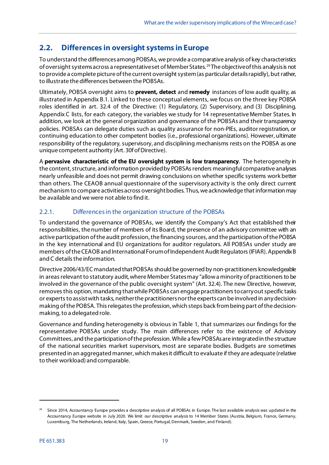# <span id="page-18-0"></span>**2.2. Differences in oversight systems in Europe**

To understand the differences among POBSAs, we provide a comparative analysis of key characteristics of oversight systems across a representative set of Member States. [29](#page-18-2) The objective of this analysis is not to provide a complete picture of the current oversight system (as particular details rapidly), but rather, to illustrate the differences between the POBSAs.

Ultimately, POBSA oversight aims to **prevent, detect** and **remedy** instances of low audit quality, as illustrated in Appendix B.1. Linked to these conceptual elements, we focus on the three key POBSA roles identified in art. 32.4 of the Directive: (1) Regulatory, (2) Supervisory, and (3) Disciplining. Appendix C lists, for each category, the variables we study for 14 representative Member States. In addition, we look at the general organization and governance of the POBSAs and their transparency policies. POBSAs can delegate duties such as quality assurance for non-PIEs, auditor registration, or continuing education to other competent bodies (i.e., professional organizations). However, ultimate responsibility of the regulatory, supervisory, and disciplining mechanisms rests on the POBSA as one unique competent authority (Art. 30f of Directive).

A **pervasive characteristic of the EU oversight system is low transparency**. The heterogeneity in the content, structure, and information provided by POBSAs renders meaningful comparative analyses nearly unfeasible and does not permit drawing conclusions on whether specific systems work better than others. The CEAOB annual questionnaire of the supervisory activity is the only direct current mechanism to compare activities across oversight bodies. Thus, we acknowledge that information may be available and we were not able to find it.

### <span id="page-18-1"></span>2.2.1. Differences in the organization structure of the POBSAs

To understand the governance of POBSAs, we identify the Company's Act that established their responsibilities, the number of members of its Board, the presence of an advisory committee with an active participation of the audit profession, the financing sources, and the participation of the POBSA in the key international and EU organizations for auditor regulators. All POBSAs under study are members of the CEAOB and International Forum of Independent Audit Regulators(IFIAR). Appendix B and C details the information.

Directive 2006/43/EC mandated that POBSAs should be governed by non-practitioners knowledgeable in areas relevant to statutory audit, where Member States may "allow a minority of practitioners to be involved in the governance of the public oversight system" (Art. 32.4). The new Directive, however, removesthis option, mandating that while POBSAs can engage practitioners to carry out specific tasks or experts to assist with tasks, neither the practitioners northe experts can be involved in any decisionmaking of the POBSA. This relegates the profession, which steps back from being part of the decisionmaking, to a delegated role.

Governance and funding heterogeneity is obvious in Table 1, that summarizes our findings for the representative POBSAs under study. The main differences refer to the existence of Advisory Committees, and the participation of the profession. While a few POBSAs are integrated in the structure of the national securities market supervisors, most are separate bodies. Budgets are sometimes presented in an aggregated manner, which makes it difficult to evaluate if they are adequate (relative to their workload) and comparable.

<span id="page-18-2"></span> $29$  Since 2014, Accountancy Europe provides a descriptive analysis of all POBSAs in Europe. The last available analysis was updated in the Accountancy Europe website in July 2020. We limit our descriptive analysis to 14 Member States (Austria, Belgium, France, Germany, Luxemburg, The Netherlands, Ireland, Italy, Spain, Greece, Portugal, Denmark, Sweden, and Finland).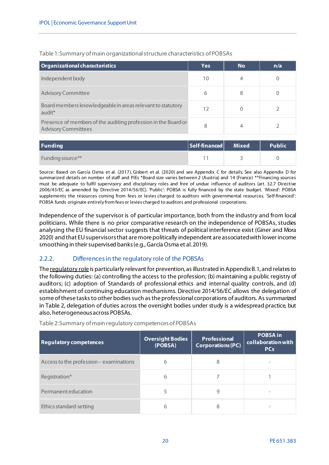| Organizational characteristics                                                               | <b>Yes</b> | <b>No</b> | n/a |
|----------------------------------------------------------------------------------------------|------------|-----------|-----|
| Independent body                                                                             | 10         |           |     |
| <b>Advisory Committee</b>                                                                    | 6          | 8         |     |
| Board members knowledgeable in areas relevant to statutory<br>audit <sup>*</sup>             | 12         |           |     |
| Presence of members of the auditing profession in the Board or<br><b>Advisory Committees</b> | 8          |           |     |

<span id="page-19-1"></span>Table 1:Summary of main organizational structure characteristics of POBSAs

| Funding          | Self-financed Mixed | <b>Public</b> |
|------------------|---------------------|---------------|
| Funding source** |                     |               |

Source: Based on García Osma et al. (2017), Gisbert et al. (2020) and see Appendix C for details. See also Appendix D for summarized details on number of staff and PIEs \*Board size varies between 2 (Austria) and 14 (France) \*\*Financing sources must be adequate to fulfil supervisory and disciplinary roles and free of undue influence of auditors (art. 32.7 Directive 2006/43/EC as amended by Directive 2014/56/EC). 'Public': POBSA is fully financed by the state budget. 'Mixed': POBSA supplements the resources coming from fees or levies charged to auditors with governmental resources. 'Self-financed': POBSA funds originate entirely from fees or levies charged to auditors and professional corporations.

Independence of the supervisor is of particular importance, both from the industry and from local politicians. While there is no prior comparative research on the independence of POBSAs, studies analysing the EU financial sector suggests that threats of political interference exist (Giner and Mora 2020) and that EU supervisors that are more politically independent are associated with lower income smoothing in their supervised banks (e.g., García Osma et al. 2019).

#### <span id="page-19-0"></span>2.2.2. Differences in the regulatory role of the POBSAs

The regulatory role is particularly relevant for prevention, as illustrated in Appendix B.1, and relates to the following duties: (a) controlling the access to the profession; (b) maintaining a public registry of auditors; (c) adoption of Standards of professional ethics and internal quality controls, and (d) establishment of continuing education mechanisms. Directive 2014/56/EC allows the delegation of some of these tasks to other bodies such as the professional corporations of auditors. As summarized in Table 2, delegation of duties across the oversight bodies under study is a widespread practice, but also, heterogeneous across POBSAs.

| <b>Regulatory competences</b>           | <b>Oversight Bodies</b><br>(POBSA) | <b>Professional</b><br><b>Corporations (PC)</b> | <b>POBSA in</b><br>collaboration with<br><b>PCs</b> |
|-----------------------------------------|------------------------------------|-------------------------------------------------|-----------------------------------------------------|
| Access to the profession - examinations | 6                                  | 8                                               |                                                     |
| Registration*                           | 6                                  |                                                 |                                                     |
| Permanent education                     | 5                                  | 9                                               |                                                     |
| Ethics standard setting                 | 6                                  | 8                                               |                                                     |

<span id="page-19-2"></span>Table 2:Summary of main regulatory competences of POBSAs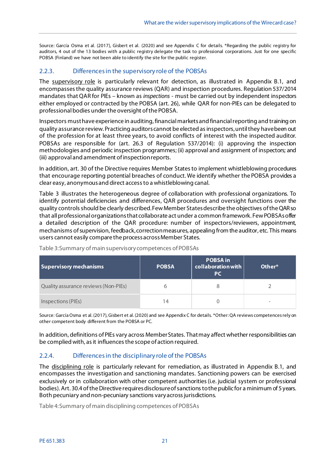Source: García Osma et al. (2017), Gisbert et al. (2020) and see Appendix C for details. \*Regarding the public registry for auditors, 4 out of the 13 bodies with a public registry delegate the task to professional corporations. Just for one specific POBSA (Finland) we have not been able to identify the site for the public register.

#### <span id="page-20-0"></span>2.2.3. Differences in the supervisory role of the POBSAs

The supervisory role is particularly relevant for detection, as illustrated in Appendix B.1, and encompassesthe quality assurance reviews (QAR) and inspection procedures. Regulation 537/2014 mandates thatQAR for PIEs – known as *inspections* - must be carried out by independent inspectors either employed or contracted by the POBSA (art. 26), while QAR for non-PIEs can be delegated to professional bodies under the oversight of the POBSA.

Inspectors must have experience in auditing, financial markets and financial reporting and training on quality assurance review. Practicing auditors cannot be elected as inspectors, until they have been out of the profession for at least three years, to avoid conflicts of interest with the inspected auditor. POBSAs are responsible for (art. 26.3 of Regulation 537/2014): (i) approving the inspection methodologies and periodic inspection programmes; (ii) approval and assignment of inspectors; and (iii) approval and amendment of inspection reports.

In addition, art. 30 of the Directive requires Member Statesto implement whistleblowing procedures that encourage reporting potential breaches of conduct. We identify whether the POBSA provides a clear easy, anonymous and direct access to a whistleblowing canal.

Table 3 illustrates the heterogeneous degree of collaboration with professional organizations. To identify potential deficiencies and differences, QAR procedures and oversight functions over the quality controls should be clearly described. Few Member States describe the objectives of the QAR so that all professional organizations that collaborate act under a common framework. Few POBSAs offer a detailed description of the QAR procedure: number of inspectors/reviewers, appointment, mechanisms of supervision, feedback, correction measures, appealing from the auditor, etc. This means users cannot easily compare the process across Member States.

| Supervisory mechanisms               | <b>POBSA</b> | <b>POBSA in</b><br>collaboration with<br><b>PC</b> | Other*                   |
|--------------------------------------|--------------|----------------------------------------------------|--------------------------|
| Quality assurance reviews (Non-PIEs) |              |                                                    |                          |
| Inspections (PIEs)                   | 14           |                                                    | $\overline{\phantom{a}}$ |

<span id="page-20-2"></span>Table 3:Summary of main supervisory competences of POBSAs

Source: García Osma et al. (2017), Gisbert et al. (2020) and see Appendix C for details. \*Other: QA reviews competences rely on other competent body different from the POBSA or PC.

In addition, definitions of PIEs vary across Member States. That may affect whether responsibilities can be complied with, as it influences the scope of action required.

#### <span id="page-20-1"></span>2.2.4. Differences in the disciplinary role of the POBSAs

The disciplining role is particularly relevant for remediation, as illustrated in Appendix B.1, and encompasses the investigation and sanctioning mandates. Sanctioning powers can be exercised exclusively or in collaboration with other competent authorities (i.e. judicial system or professional bodies). Art. 30.4 of the Directive requires disclosure of sanctions to the public for a minimum of 5 years. Both pecuniary and non-pecuniary sanctions vary across jurisdictions.

<span id="page-20-3"></span>Table 4:Summary of main disciplining competences of POBSAs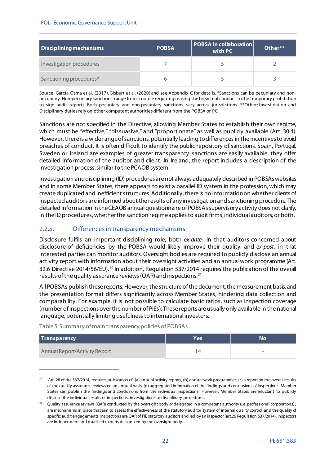| Disciplining mechanisms  | <b>POBSA</b> | POBSA in collaboration  <br>with PC | Other** |
|--------------------------|--------------|-------------------------------------|---------|
| Investigation procedures |              |                                     |         |
| Sanctioning procedures*  |              |                                     |         |

Source: García Osma et al. (2017), Gisbert et al. (2020) and see Appendix C for details. \*Sanctions can be pecuniary and nonpecuniary. Non-pecuniary sanctions range from a notice requiring ceasing the breach of conduct to the temporary prohibition to sign audit reports. Both pecuniary and non-pecuniary sanctions vary across jurisdictions. \*\*Other: Investigation and Disciplinary duties rely on other competent authorities different from the POBSA or PC.

Sanctions are not specified in the Directive, allowing Member States to establish their own regime, which must be "effective," "dissuasive," and "proportionate" as well as publicly available (Art. 30.4). However, there is a wide range of sanctions, potentially leading to differences in the incentives to avoid breaches of conduct. It is often difficult to identify the public repository of sanctions. Spain, Portugal, Sweden or Ireland are examples of greater transparency: sanctions are easily available, they offer detailed information of the auditor and client. In Ireland, the report includes a description of the investigation process, similar to the PCAOB system.

Investigation and disciplining (ID) procedures are not always adequately described in POBSAs websites and in some Member States, there appears to exist a parallel ID system in the profession, which may create duplicated and inefficient structures. Additionally, there is no information on whether clients of inspected auditorsare informed about the results of any investigation and sanctioning procedure. The detailed information in theCEAOB annual questionnaire of POBSAssupervisory activity does not clarify, in the ID procedures, whether the sanction regime appliesto audit firms, individual auditors, or both.

#### <span id="page-21-0"></span>2.2.5. Differences in transparency mechanisms

Disclosure fulfils an important disciplining role, both *ex-ante*, in that auditors concerned about disclosure of deficiencies by the POBSA would likely improve their quality, and *ex-post*, in that interested parties can monitor auditors. Oversight bodies are required to publicly disclose an annual activity report with information about their oversight activities and an annual work programme (Art. 32.6 Directive 2014/56/EU).<sup>[30](#page-21-2)</sup> In addition, Regulation 537/2014 requires the publication of the overall results of the quality assurance reviews(QAR) and inspections. [31](#page-21-3)

All POBSAs publish these reports. However, the structure of the document, the measurement basis, and the presentation format differs significantly across Member States, hindering data collection and comparability. For example, it is not possible to calculate basic ratios, such as inspection coverage (number of inspections over the number of PIEs). These reports are usually only available in the national language, potentially limiting usefulnessto international investors.

<span id="page-21-1"></span>Table 5:Summary of main transparency policies of POBSAs

| Transparency                  | Yes <sup>-</sup> | No <sup>1</sup> |
|-------------------------------|------------------|-----------------|
| Annual Report/Activity Report |                  |                 |

<span id="page-21-2"></span><sup>&</sup>lt;sup>30</sup> Art. 28 of the 537/2014, requires publication of: (a) annual activity reports, (b) annual work programmes; (c) a report on the overall results of the quality assurance reviews on an annual basis, (d) aggregated information of the findings and conclusions of inspections. Member States can publish the findings and conclusions from the individual inspections. However, Member States are reluctant to publicly disclose the individual results of inspections, investigations or disciplinary procedures.

<span id="page-21-3"></span><sup>&</sup>lt;sup>31</sup> Quality assurance reviews (QAR) conducted by the oversight body or delegated in a competent authority (i.e. professional corporations), are mechanisms in place that aim to assess the effectiveness of the statutory auditor system of internal quality control and the quality of specific audit engagements. Inspections are QAR of PIE statutory auditors and led by an inspector (art.26 Regulation 537/2014). Inspectors are independent and qualified experts designated by the oversight body.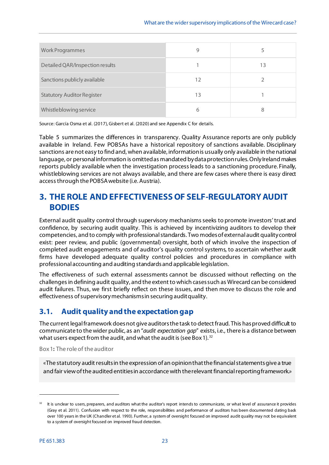| <b>Work Programmes</b>            | 9  |    |
|-----------------------------------|----|----|
| Detailed QAR/Inspection results   |    | ١3 |
| Sanctions publicly available      | 12 |    |
| <b>Statutory Auditor Register</b> | 13 |    |
| Whistleblowing service            | 6  | 8  |

Source: García Osma et al. (2017), Gisbert et al. (2020) and see Appendix C for details.

Table 5 summarizes the differences in transparency. Quality Assurance reports are only publicly available in Ireland. Few POBSAs have a historical repository of sanctions available. Disciplinary sanctions are not easy to find and, when available, information is usually only available in the national language, or personal information is omitted as mandated by data protection rules. Only Ireland makes reports publicly available when the investigation process leads to a sanctioning procedure. Finally, whistleblowing services are not always available, and there are few cases where there is easy direct access through the POBSA website (i.e. Austria).

# <span id="page-22-0"></span>**3. THE ROLE AND EFFECTIVENESS OF SELF-REGULATORY AUDIT BODIES**

External audit quality control through supervisory mechanisms seeks to promote investors' trust and confidence, by securing audit quality. This is achieved by incentivizing auditors to develop their competencies, and to comply with professional standards. Two modes of external audit quality control exist: peer review, and public (governmental) oversight, both of which involve the inspection of completed audit engagements and of auditor's quality control systems, to ascertain whether audit firms have developed adequate quality control policies and procedures in compliance with professional accounting and auditing standardsand applicable legislation.

The effectiveness of such external assessments cannot be discussed without reflecting on the challenges in defining audit quality, and the extent to which cases such as Wirecard can be considered audit failures. Thus, we first briefly reflect on these issues, and then move to discuss the role and effectiveness of supervisory mechanisms in securing audit quality.

### <span id="page-22-1"></span>**3.1. Audit quality and the expectation gap**

The current legal framework does not give auditors the task to detect fraud. This has proved difficult to communicate to the wider public, as an "*audit expectation gap*" exists, i.e., there is a distance between what users expect from the audit, and what the audit is (see Box 1).  $^{32}$  $^{32}$  $^{32}$ 

<span id="page-22-2"></span>Box 1**:** The role of the auditor

«The statutory audit results in the expression of an opinion that the financial statements give a true and fair view of the audited entities in accordance with the relevant financial reporting framework.»

<span id="page-22-3"></span><sup>&</sup>lt;sup>32</sup> It is unclear to users, preparers, and auditors what the auditor's report intends to communicate, or what level of assurance it provides (Gray et al. 2011). Confusion with respect to the role, responsibilities and performance of auditors has been documented dating back over 100 years in the UK (Chandler et al. 1993). Further, a system of oversight focused on improved audit quality may not be equivalent to a system of oversight focused on improved fraud detection.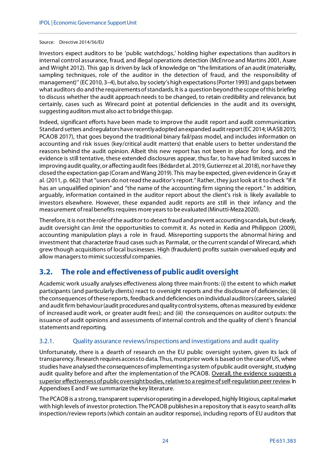#### Source: Directive 2014/56/EU

Investors expect auditors to be 'public watchdogs,' holding higher expectations than auditors in internal control assurance, fraud, and illegal operations detection (McEnroe and Martins 2001, Asare and Wright 2012). This gap is driven by lack of knowledge on "the limitations of an audit (materiality, sampling techniques, role of the auditor in the detection of fraud, and the responsibility of management)'' (EC2010, 3–4), but also, by society's high expectations (Porter 1993) and gaps between what auditors do and the requirements of standards. It is a question beyond the scope of this briefing to discuss whether the audit approach needs to be changed, to retain credibility and relevance, but certainly, cases such as Wirecard point at potential deficiencies in the audit and its oversight, suggesting auditors must also act to bridge this gap.

Indeed, significant efforts have been made to improve the audit report and audit communication. Standard setters and regulators have recently adopted an expanded audit report (EC 2014; IAASB 2015; PCAOB 2017), that goes beyond the traditional binary fail/pass model, and includes information on accounting and risk issues (key/critical audit matters) that enable users to better understand the reasons behind the audit opinion. Albeit this new report has not been in place for long, and the evidence is still tentative, these extended disclosures appear, thus far, to have had limited success in improving audit quality, or affecting audit fees (Bédard et al. 2019, Gutierrez et al. 2018), nor have they closed the expectation gap (Coram and Wang 2019). This may be expected, given evidence in Gray et al. (2011, p. 662) that "users do not read the auditor's report." Rather, they just look at it to check "if it has an unqualified opinion" and "the name of the accounting firm signing the report." In addition, arguably, information contained in the auditor report about the client's risk is likely available to investors elsewhere. However, these expanded audit reports are still in their infancy and the measurement of real benefits requires more years to be evaluated (Minutti-Meza 2020).

Therefore, it is not the role of the auditor to detect fraud and prevent accounting scandals, but clearly, audit oversight can *limit* the opportunities to commit it. As noted in Kedia and Philippon (2009), accounting manipulation plays a role in fraud. Misreporting supports the abnormal hiring and investment that characterize fraud cases such as Parmalat, or the current scandal of Wirecard, which grew though acquisitions of local businesses. High (fraudulent) profits sustain overvalued equity and allow managers to mimic successful companies.

# <span id="page-23-0"></span>**3.2. The role and effectiveness of public audit oversight**

Academic work usually analyses effectiveness along three main fronts: (i) the extent to which market participants (and particularly clients) react to oversight reports and the disclosure of deficiencies; (ii) the consequences of these reports, feedback and deficiencies on individual auditors (careers, salaries) and audit firm behaviour (audit procedures and quality control systems, often as measured by evidence of increased audit work, or greater audit fees); and (iii) the consequences on auditor outputs: the issuance of audit opinions and assessments of internal controls and the quality of client's financial statements and reporting.

#### <span id="page-23-1"></span>3.2.1. Quality assurance reviews/inspections and investigations and audit quality

Unfortunately, there is a dearth of research on the EU public oversight system, given its lack of transparency. Research requires access to data. Thus, most prior work is based on the case of US, where studies have analysed the consequences of implementing a system of public audit oversight, studying audit quality before and after the implementation of the PCAOB. Overall, the evidence suggests a superior effectiveness of public oversight bodies, relative to a regime of self-regulation peer review. In Appendixes E and F we summarize the key literature.

The PCAOB is a strong, transparent supervisor operating in a developed, highly litigious, capital market with high levels of investor protection. The PCAOB publishes in a repository that is easy to search *all* its inspection/review reports (which contain an auditor response), including reports of EU auditors that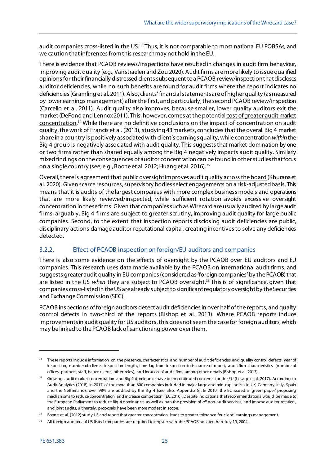audit companies cross-listed in the US.<sup>[33](#page-24-1)</sup> Thus, it is not comparable to most national EU POBSAs, and we caution that inferences from this research may not hold in the EU.

There is evidence that PCAOB reviews/inspections have resulted in changes in audit firm behaviour, improving audit quality (e.g., Vanstraelen and Zou 2020). Audit firms are more likely to issue qualified opinions for their financially distressed clients subsequent to a PCAOB review/inspection that discloses auditor deficiencies, while no such benefits are found for audit firms where the report indicates no deficiencies(Gramling et al. 2011). Also, clients' financial statements are of higher quality (as measured by lower earnings management) after the first, and particularly, the second PCAOB review/inspection (Carcello et al. 2011). Audit quality also improves, because smaller, lower quality auditors exit the market (DeFond and Lennox 2011). This, however, comes at the potential cost of greater audit market concentration. [34](#page-24-2) While there are no definitive conclusions on the impact of concentration on audit quality,the work of Francis et al. (2013), studying 43 markets, concludes that the overall Big 4 market share in a country is positively associated with client's earnings quality, while concentration *within*the Big 4 group is negatively associated with audit quality. This suggests that market domination by one or two firms rather than shared equally among the Big 4 negatively impacts audit quality. Similarly mixed findings on the consequences of auditor concentration can be found in other studies that focus on a single country (see, e.g., Boone et al. 2012; Huang et al. 2016). [35](#page-24-3)

Overall, there is agreement that public oversight improves audit quality across the board (Khurana et al. 2020). Given scarce resources, supervisory bodies select engagements on a risk-adjusted basis. This means that it is audits of the largest companies with more complex business models and operations that are more likely reviewed/inspected, while sufficient rotation avoids excessive oversight concentration in these firms. Given that companies such as Wirecard are usually audited by large audit firms, arguably, Big 4 firms are subject to greater scrutiny, improving audit quality for large public companies. Second, to the extent that inspection reports disclosing audit deficiencies are public, disciplinary actions damage auditor reputational capital, creating incentives to solve any deficiencies detected.

#### <span id="page-24-0"></span>3.2.2. Effect of PCAOB inspection on foreign/EU auditors and companies

There is also some evidence on the effects of oversight by the PCAOB over EU auditors and EU companies. This research uses data made available by the PCAOB on international audit firms, and suggests greater audit quality in EU companies (considered as 'foreign companies' by the PCAOB) that are listed in the US *when* they are subject to PCAOB oversight.[36](#page-24-4) This is of significance, given that companies cross-listed in the US are already subject to significant regulatory oversight by the Securities and Exchange Commission (SEC).

PCAOB inspections of foreign auditors detect audit deficiencies in over half of the reports, and quality control defects in two-third of the reports (Bishop et al. 2013). Where PCAOB reports induce improvements in audit quality for US auditors, this does not seem the case for foreign auditors, which may be linked to the PCAOB lack of sanctioning power overthem.

<span id="page-24-1"></span><sup>&</sup>lt;sup>33</sup> These reports include information on the presence, characteristics and number of audit deficiencies and quality control defects, year of inspection, number of clients, inspection length, time lag from inspection to issuance of report, audit firm characteristics (number of offices, partners, staff, issuer clients, other roles), and location of audit firm, among other details (Bishop et al. 2013).

<span id="page-24-2"></span><sup>&</sup>lt;sup>34</sup> Growing audit market concentration and Big 4 dominance have been continued concerns for the EU (Lesage et al. 2017). According to Audit Analytics (2018), in 2017, of the more than 600 companies included in major large and mid-cap indices in UK, Germany, Italy, Spain and the Netherlands, over 98% are audited by the Big 4 (see, also, Appendix G). In 2010, the EC issued a 'green paper' proposing mechanisms to reduce concentration and increase competition (EC 2010). Despite indications that recommendations would be made to the European Parliament to reduce Big 4 dominance, as well as ban the provision of *all* non-audit services, and impose auditor rotation, and joint audits, ultimately, proposals have been more modest in scope.

<span id="page-24-3"></span><sup>&</sup>lt;sup>35</sup> Boone et al. (2012) study US and report that greater concentration leads to greater tolerance for client' earnings management.

<span id="page-24-4"></span>All foreign auditors of US listed companies are required to register with the PCAOB no later than July 19, 2004.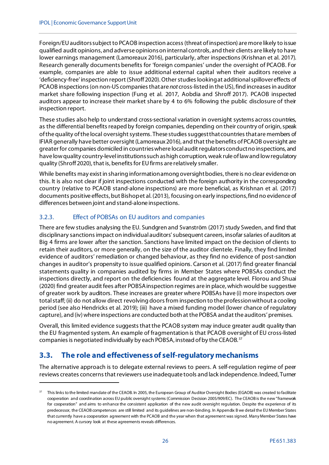Foreign/EUauditors subject to PCAOB inspection access (threat of inspection) are more likely to issue qualified audit opinions, and adverse opinions on internal controls, and their clients are likely to have lower earnings management (Lamoreaux 2016), particularly, after inspections (Krishnan et al. 2017). Research generally documents benefits for 'foreign companies' under the oversight of PCAOB. For example, companies are able to issue additional external capital when their auditors receive a 'deficiency-free' inspection report (Shroff 2020). Other studies looking at additional spillover effects of PCAOB inspections (on non-US companies that are *not* cross-listed in the US), find increases in auditor market share following inspection (Fung et al. 2017, Aobdia and Shroff 2017). PCAOB inspected auditors appear to increase their market share by 4 to 6% following the public disclosure of their inspection report.

These studies also help to understand cross-sectional variation in oversight systems across countries, as the differential benefits reaped by foreign companies, depending on their country of origin, speak of the quality of the local oversight systems. These studies suggest that countries that are members of IFIAR generally have better oversight (Lamoreaux 2016), and that the benefits of PCAOB oversight are greater for companies domiciled in countries where local audit regulators conduct no inspections, and have low quality country-level institutions such as high corruption, weak rule of law and low regulatory quality (Shroff 2020), that is, benefits for EU firms are relatively smaller.

While benefits may exist in sharing information among oversight bodies, there is no clear evidence on this. It is also not clear if joint inspections conducted with the foreign authority in the corresponding country (relative to PCAOB stand-alone inspections) are more beneficial, as Krishnan et al. (2017) documents positive effects, but Bishopet al. (2013), focusing on early inspections, find no evidence of differences between joint and stand-alone inspections.

#### <span id="page-25-0"></span>3.2.3. Effect of POBSAs on EU auditors and companies

There are few studies analysing the EU. Sundgren and Svanström (2017) study Sweden, and find that disciplinary sanctions impact on individual auditors'subsequent careers, insofar salaries of auditors at Big 4 firms are lower after the sanction. Sanctions have limited impact on the decision of clients to retain their auditors, or more generally, on the size of the auditor clientele. Finally, they find limited evidence of auditors' remediation or changed behaviour, as they find no evidence of post-sanction changes in auditor's propensity to issue qualified opinions. Carson et al. (2017) find greater financial statements quality in companies audited by firms in Member States where POBSAs conduct the inspections directly, and report on the deficiencies found at the aggregate level. Florou and Shuai (2020) find greater audit fees after POBSA inspection regimes are in place, which would be suggestive of greater work by auditors. These increases are greater where POBSAs have (i) more inspectors over total staff; (ii) do not allow direct revolving doors from inspection to the profession without a cooling period (see also Hendricks et al. 2019); (iii) have a mixed funding model (lower chance of regulatory capture), and (iv) where inspections are conducted both at the POBSA and at the auditors' premises.

Overall, this limited evidence suggeststhat the PCAOB system may induce greater audit quality than the EU fragmented system. An example of fragmentation is that PCAOB oversight of EU cross-listed companies is negotiated individually by each POBSA, instead of by the CEAOB. [37](#page-25-2)

# <span id="page-25-1"></span>**3.3. The role and effectiveness of self-regulatory mechanisms**

.

The alternative approach is to delegate external reviews to peers. A self-regulation regime of peer reviews creates concerns that reviewers use inadequate tools and lack independence. Indeed, Turner

<span id="page-25-2"></span>This links to the limited mandate of the CEAOB. In 2005, the European Group of Auditor Oversight Bodies (EGAOB) was created to facilitate cooperation and coordination across EU public oversight systems (Commission Decision 2005/909/EC). The CEAOB is the new "framework for cooperation" and aims to enhance the consistent application of the new audit oversight regulation. Despite the experience of its predecessor, the CEAOB competences are still limited and its guidelines are non-binding. In Appendix B we detail the EU Member States that currently have a cooperation agreement with the PCAOB and the year when that agreement was signed. Many Member States have no agreement. A cursory look at these agreements reveals differences.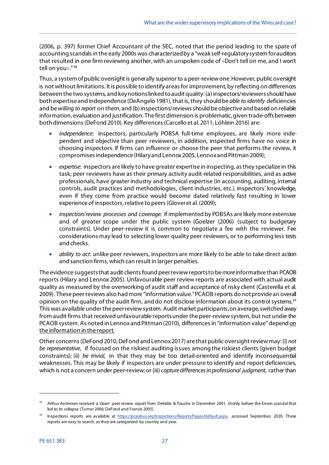(2006, p. 397) former Chief Accountant of the SEC, noted that the period leading to the spate of accounting scandals in the early 2000s was characterized by a "weak self-regulatory system for auditors that resulted in one firm reviewing another, with an unspoken code of «Don't tell on me, and I won't tell on you»."<sup>[38](#page-26-0)</sup>

Thus, a system of public oversight is generally superior to a peer-review one. However, public oversight is not without limitations. It is possible to identify areas for improvement, by reflecting on differences between the two systems, and key notions linked to audit quality: (a) inspectors/reviewers should have both expertise and independence (DeAngelo 1981), that is, they should be *able to identify* deficiencies and be *willing to report* on them, and (b) inspections/reviews should be objective and based on reliable information, evaluation and justification. The first dimension is problematic, given trade-offsbetween both dimensions (DeFond 2010). Key differences (Carcello et al. 2011, Löhlein 2016) are:

- *independence*: inspectors, particularly POBSA full-time employees, are likely more independent and objective than peer reviewers, in addition, inspected firms have no voice in choosing inspectors. If firms can influence or choose the peer that performs the review, it compromisesindependence (Hilary and Lennox 2005, Lennox and Pittman 2009);
- *expertise*: inspectors are likely to have greater expertise in inspecting, as they specialize in this task; peer reviewers have as their primary activity audit-related responsibilities, and as active professionals, have greater industry and technical expertise (in accounting, auditing, internal controls, audit practices and methodologies, client industries, etc.). Inspectors' knowledge, even if they come from practice would become dated relatively fast resulting in lower experience of inspectors, relative to peers (Glover et al. (2009);
- *inspection/review processes and coverage:* if implemented by POBSAs are likely more extensive and of greater scope under the public system (Goelzer (2006) (subject to budgetary constraints). Under peer-review it is common to negotiate a fee with the reviewer. Fee considerations may lead to selecting lower quality peer reviewers, or to performing less tests and checks.
- *ability to act*: unlike peer reviewers, inspectors are more likely to be able to take direct action and sanction firms, which can result in larger penalties.

The evidence suggests that audit clients found peer review reports to be *more* informative than PCAOB reports (Hilary and Lennox 2005). Unfavourable peer review reports are associated with actual audit quality as measured by the overworking of audit staff and acceptance of risky client (Casterella et al. 2009). These peer reviews also had more "information value."PCAOB reports do not provide an overall opinion on the quality of the audit firm, and do not disclose information about its control systems.<sup>[39](#page-26-1)</sup> This was available under the peer review system. Audit market participants, on average, switched away from audit firms that received unfavourable reportsunder the peer-review system, but not under the PCAOB system. As noted in Lennox and Pittman (2010), differences in "information value" depend on the information in the report.

Other concerns (DeFond 2010, DeFond and Lennox 2017) are that public oversight reviewmay: (i) *not be representative*, if focused on the riskiest auditing issues among the riskiest clients (given budget constraints); (ii) *be trivial*, in that they may be too detail-oriented and identify inconsequential weaknesses. This may be likely if inspectors are under pressure to identify and report deficiencies, which is not a concern under peer-review; or (iii) *capture differences in professional judgment*, rather than

<span id="page-26-0"></span><sup>38</sup> Arthur Andersen received a 'clean' peer review report from Deloitte & Touche in December 2001, shortly before the Enron scandal that led to its collapse (Turner 2006; DeFond and Francis 2005).

<span id="page-26-1"></span>Inspections reports are available at [https://pcaobus.org/Inspections/Reports/Pages/default.aspx,](https://pcaobus.org/Inspections/Reports/Pages/default.aspx) accessed September, 2020. These reports are easy to search, as they are categorized by country and year.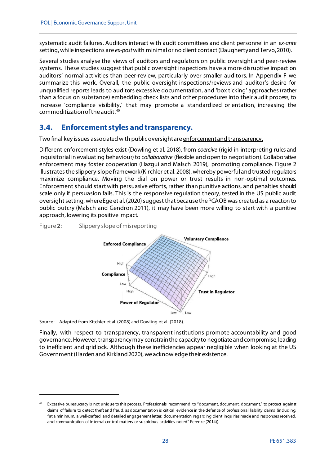systematic audit failures. Auditors interact with audit committees and client personnel in an *ex-ante* setting, while inspections are *ex-post*with minimal or no client contact (Daugherty and Tervo, 2010).

Several studies analyse the views of auditors and regulators on public oversight and peer-review systems. These studies suggest that public oversight inspections have a more disruptive impact on auditors' normal activities than peer-review, particularly over smaller auditors. In Appendix F we summarize this work. Overall, the public oversight inspections/reviews and auditor's desire for unqualified reports leads to auditors excessive documentation, and 'box ticking' approaches (rather than a focus on substance) embedding check lists and other procedures into their audit process, to increase 'compliance visibility,' that may promote a standardized orientation, increasing the commoditization of the audit. [40](#page-27-2)

# <span id="page-27-0"></span>**3.4. Enforcement styles and transparency.**

Two final key issues associated with public oversight are enforcementand transparency.

Different enforcement styles exist (Dowling et al. 2018), from *coercive* (rigid in interpreting rules and inquisitorial in evaluating behaviour) to *collaborative* (flexible and open to negotiation). Collaborative enforcement may foster cooperation (Hazgui and Malsch 2019), promoting compliance. Figure 2 illustrates the slippery-slope framework (Kirchler et al. 2008), whereby powerful and trusted regulators maximize compliance. Moving the dial on power or trust results in non-optimal outcomes. Enforcement should start with persuasive efforts, rather than punitive actions, and penalties should scale only if persuasion fails. This is the responsive regulation theory, tested in the US public audit oversight setting, where Ege et al. (2020) suggest that because thePCAOB was created as a reaction to public outcry (Malsch and Gendron 2011), it may have been more willing to start with a punitive approach, lowering its positive impact.

<span id="page-27-1"></span>



Source: Adapted from Kitchler et al. (2008) and Dowling et al. (2018).

1

Finally, with respect to transparency, transparent institutions promote accountability and good governance. However, transparency may constrain the capacity to negotiate and compromise, leading to inefficient and gridlock. Although these inefficiencies appear negligible when looking at the US Government (Harden and Kirkland 2020), we acknowledge their existence.

<span id="page-27-2"></span><sup>&</sup>lt;sup>40</sup> Excessive bureaucracy is not unique to this process. Professionals recommend to "document, document, document," to protect against claims of failure to detect theft and fraud, as documentation is critical evidence in the defence of professional liability claims (including, "at a minimum, a well-crafted and detailed engagement letter, documentation regarding client inquiries made and responses received, and communication of internal control matters or suspicious activities noted" Ference (2014)).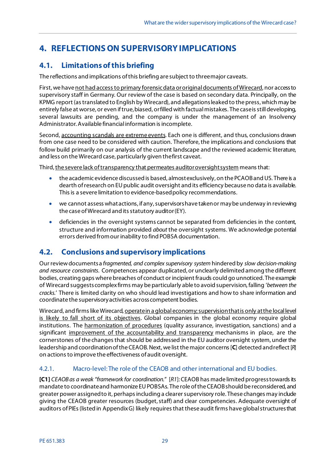# <span id="page-28-0"></span>**4. REFLECTIONS ON SUPERVISORY IMPLICATIONS**

# <span id="page-28-1"></span>**4.1. Limitations of this briefing**

The reflections and implications of this briefing are subject to three major caveats.

First, we have not had access to primary forensic data or original documents of Wirecard, nor access to supervisory staff in Germany. Our review of the case is based on secondary data. Principally, on the KPMG report (as translated to English by Wirecard), and allegations leaked to the press, which may be entirely false at worse, or even if true, biased, orfilled with factual mistakes. The case is still developing, several lawsuits are pending, and the company is under the management of an Insolvency Administrator. Available financial information is incomplete.

Second, accounting scandals are extreme events. Each one is different, and thus, conclusions drawn from one case need to be considered with caution. Therefore, the implications and conclusions that follow build primarily on our analysis of the current landscape and the reviewed academic literature, and less on the Wirecard case, particularly given thefirst caveat.

Third, the severe lack of transparency that permeates auditoroversight system means that:

- the academic evidence discussed is based, almost exclusively, on the PCAOB and US. There is a dearth of research on EU public audit oversight and its efficiency because no data is available. This is a severe limitation to evidence-based policy recommendations.
- we cannot assess what actions, if any, supervisorshave takenor may be underway in reviewing the case of Wirecard and its statutory auditor (EY).
- deficiencies in the oversight systems cannot be separated from deficiencies in the content, structure and information provided *about* the oversight systems. We acknowledge potential errors derived from our inability to find POBSA documentation.

# <span id="page-28-2"></span>**4.2. Conclusions and supervisory implications**

Our review documents a *fragmented, and complex supervisory system* hindered by *slow decision-making and resource constraints*. Competences appear duplicated, or unclearly delimited among the different bodies, creating gaps where breaches of conduct or incipient frauds could go unnoticed. The example of Wirecard suggests complex firms may be particularly able to avoid supervision, falling '*between the cracks.*' There is limited clarity on who should lead investigations and how to share information and coordinate the supervisory activities across competent bodies.

Wirecard, and firms like Wirecard, operate in a global economy; supervision that is only at the local level is likely to fall short of its objectives. Global companies in the global economy require global institutions. The harmonization of procedures (quality assurance, investigation, sanctions) and a significant improvement of the accountability and transparency mechanisms in place, are the cornerstones of the changes that should be addressed in the EU auditor oversight system, under the leadership and coordination of the CEAOB.Next, we list the major concerns[**C**] detected and reflect [*R*] on actions to improve the effectiveness of audit oversight.

#### <span id="page-28-3"></span>4.2.1. Macro-level: The role of the CEAOB and other international and EU bodies.

**[C1]** *CEAOB as a weak "framework for coordination.*" [*R1*]: CEAOB has made limited progress towards its mandate to coordinate and harmonize EUPOBSAs. The role of theCEAOB should be reconsidered, and greater power assigned to it, perhaps including a clearersupervisory role. These changes may include giving the CEAOB greater resources (budget, staff) and clear competencies. Adequate oversight of auditors of PIEs (listed in Appendix G) likely requires that these audit firms have global structuresthat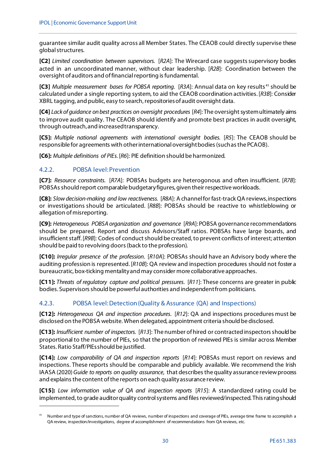guarantee similar audit quality across all Member States. The CEAOB could directly supervise these global structures.

**[C2]** *Limited coordination between supervisors.* [*R2A*]: The Wirecard case suggests supervisory bodies acted in an uncoordinated manner, without clear leadership. [*R2B*]: Coordination between the oversight of auditors and of financial reporting is fundamental.

**[C3]** *Multiple measurement bases for POBSA reporting.* [*R3A*]: Annual data on key results [41](#page-29-2) should be calculated under a single reporting system, to aid the CEAOB coordination activities. [*R3B*]: Consider XBRL tagging, and public, easy to search, repositoriesof audit oversight data.

**[C4]** *Lack of guidance on best practices on oversight procedures* [*R4*]: The oversight system ultimately aims to improve audit quality. The CEAOB should identify and promote best practices in audit oversight, through outreach, and increased transparency.

**[C5]:** *Multiple national agreements with international oversight bodies.* [*R5*]: The CEAOB should be responsible for agreements with other international oversightbodies (such as the PCAOB).

**[C6]:** *Multiple definitions of PIEs.* [*R6*]: PIE definition should be harmonized.

#### <span id="page-29-0"></span>4.2.2. POBSA level: Prevention

.

**[C7]:** *Resource constraints.* [*R7A*]: POBSAs budgets are heterogonous and often insufficient. [*R7B*]: POBSAs should report comparable budgetary figures, given their respective workloads.

**[C8]:** *Slow decision-making and low reactiveness.* [*R8A*]: A channel for fast-track QA reviews, inspections or investigations should be articulated. [*R8B*]: POBSAs should be reactive to whistleblowing or allegation of misreporting.

**[C9]:** *Heterogeneous POBSA organization and governance* [*R9A*]: POBSA governance recommendations should be prepared. Report and discuss Advisors/Staff ratios. POBSAs have large boards, and insufficient staff. [*R9B*]: Codes of conduct should be created, to prevent conflicts of interest; attention should be paid to revolving doors(back to the profession).

**[C10]:** *Irregular presence of the profession*. [*R10A*]: POBSAs should have an Advisory body where the auditing profession is represented. [*R10B*]: QA review and inspection procedures should not foster a bureaucratic, box-ticking mentality and may consider more collaborative approaches.

**[C11]:** *Threats of regulatory capture and political pressures*. [*R11*]: These concerns are greater in public bodies. Supervisors should be powerful authorities and independent from politicians.

#### <span id="page-29-1"></span>4.2.3. POBSA level: Detection(Quality & Assurance (QA) and Inspections)

**[C12]:** *Heterogeneous QA and inspection procedures*. [*R12*]: QA and inspections procedures must be disclosed on the POBSA website. When delegated, appointment criteria should be disclosed.

**[C13]:** *Insufficient number of inspectors.* [*R13*]: The number of hired or contracted inspectors should be proportional to the number of PIEs, so that the proportion of reviewed PIEs is similar across Member States. Ratio Staff/PIEs should be justified.

**[C14]:** *Low comparability of QA and inspection reports* [*R14*]: POBSAs must report on reviews and inspections. These reports should be comparable and publicly available. We recommend the Irish IAASA (2020) *Guide to reports on quality assurance*, that describesthe quality assurance review process and explains the content of the reports on each quality assurance review.

**[C15]:** *Low information value of QA and inspection reports* [*R15*]: A standardized rating could be implemented, to grade auditor quality control systems and files reviewed/inspected. This rating should

<span id="page-29-2"></span><sup>&</sup>lt;sup>41</sup> Number and type of sanctions, number of QA reviews, number of inspections and coverage of PIEs, average time frame to accomplish a QA review, inspection/investigations, degree of accomplishment of recommendations from QA reviews, etc.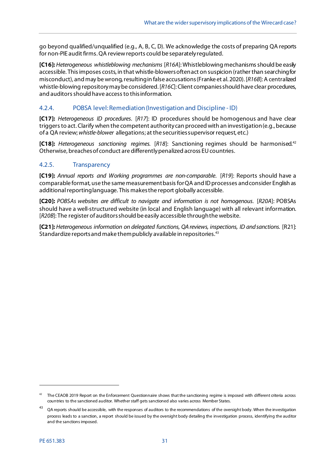go beyond qualified/unqualified (e.g., A, B, C, D). We acknowledge the costs of preparing QA reports for non-PIE audit firms. QA reviewreports could be separately regulated.

**[C16]:** *Heterogeneous whistleblowing mechanisms* [*R16A*]: Whistleblowing mechanismsshould be easily accessible. This imposes costs, in that whistle-blowers often act on suspicion (rather than searching for misconduct), and may be wrong, resulting in false accusations (Franke et al. 2020). [*R16B*]: A centralized whistle-blowing repositorymay be considered. [*R16C*]: Client companiesshould have clear procedures, and auditors should have accessto thisinformation.

#### <span id="page-30-0"></span>4.2.4. POBSA level: Remediation (Investigation and Discipline - ID)

**[C17]:** *Heterogeneous ID procedures*. [*R17*]: ID procedures should be homogenous and have clear triggers to act. Clarify when the competent authority can proceed with an investigation (e.g., because of a QA review; *whistle-blower* allegations; at the securities supervisor request, etc.)

**[C18]:** *Heterogeneous sanctioning regimes.* [*R18*]: Sanctioning regimes should be harmonised. [42](#page-30-2) Otherwise, breaches of conduct are differently penalized across EU countries.

#### <span id="page-30-1"></span>4.2.5. Transparency

**[C19]:** *Annual reports and Working programmes are non-comparable*. [*R19*]: Reports should have a comparable format, use the same measurement basis forQA and ID processes and consider English as additionalreporting language. This makes the report globally accessible.

**[C20]:** *POBSAs websites are difficult to navigate and information is not homogenous*. [*R20A*]: POBSAs should have a well-structured website (in local and English language) with all relevant information. [*R20B*]: The register of auditors should be easily accessible through the website.

**[C21]:** *Heterogeneous information on delegated functions, QA reviews, inspections, ID and sanctions.* [R21]: Standardize reports and make them publicly available in repositories.<sup>[43](#page-30-3)</sup>

<span id="page-30-2"></span> $42$  The CEAOB 2019 Report on the Enforcement Questionnaire shows that the sanctioning regime is imposed with different criteria across countries to the sanctioned auditor. Whether staff gets sanctioned also varies across Member States.

<span id="page-30-3"></span><sup>&</sup>lt;sup>43</sup> QA reports should be accessible, with the responses of auditors to the recommendations of the oversight body. When the investigation process leads to a sanction, a report should be issued by the oversight body detailing the investigation process, identifying the auditor and the sanctions imposed.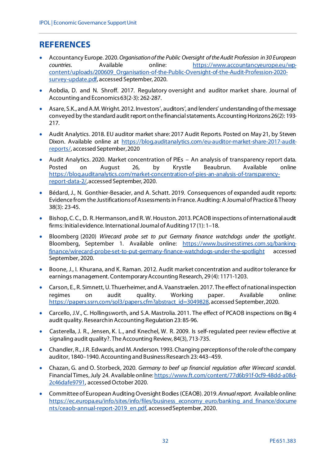# <span id="page-31-0"></span>**REFERENCES**

- Accountancy Europe. 2020.*Organisation of the Public Oversight of the Audit Profession in 30 European countries*. Available online: [https://www.accountancyeurope.eu/wp](https://www.accountancyeurope.eu/wp-content/uploads/200609_Organisation-of-the-Public-Oversight-of-the-Audit-Profession-2020-survey-update.pdf)[content/uploads/200609\\_Organisation-of-the-Public-Oversight-of-the-Audit-Profession-2020](https://www.accountancyeurope.eu/wp-content/uploads/200609_Organisation-of-the-Public-Oversight-of-the-Audit-Profession-2020-survey-update.pdf) [survey-update.pdf](https://www.accountancyeurope.eu/wp-content/uploads/200609_Organisation-of-the-Public-Oversight-of-the-Audit-Profession-2020-survey-update.pdf), accessed September, 2020.
- Aobdia, D. and N. Shroff. 2017. Regulatory oversight and auditor market share. Journal of Accounting and Economics 63(2-3): 262-287.
- Asare, S.K., and A.M. Wright. 2012. Investors', auditors', and lenders' understanding of the message conveyed by the standard audit report on the financial statements. Accounting Horizons 26(2): 193- 217.
- Audit Analytics. 2018. EU auditor market share: 2017 Audit Reports. Posted on May 21, by Steven Dixon. Available online at [https://blog.auditanalytics.com/eu-auditor-market-share-2017-audit](https://blog.auditanalytics.com/eu-auditor-market-share-2017-audit-reports/)[reports/](https://blog.auditanalytics.com/eu-auditor-market-share-2017-audit-reports/), accessed September, 2020
- Audit Analytics. 2020. Market concentration of PIEs An analysis of transparency report data. Posted on August 26, by Krystle Beaubrun. Available online [https://blog.auditanalytics.com/market-concentration-of-pies-an-analysis-of-transparency](https://blog.auditanalytics.com/market-concentration-of-pies-an-analysis-of-transparency-report-data-2/)[report-data-2/](https://blog.auditanalytics.com/market-concentration-of-pies-an-analysis-of-transparency-report-data-2/), accessed September, 2020.
- Bédard, J., N. Gonthier-Besacier, and A. Schatt. 2019. Consequences of expanded audit reports: Evidence from the Justifications of Assessments in France. Auditing: A Journal of Practice & Theory 38(3): 23-45.
- Bishop, C. C., D. R. Hermanson, and R. W. Houston. 2013. PCAOB inspections of international audit firms: Initial evidence. International Journal of Auditing 17 (1): 1–18.
- Bloomberg (2020) *Wirecard probe set to put Germany finance watchdogs under the spotlight*. Bloomberg, September 1. Available online: https://www.businesstimes.com.sq/banking[finance/wirecard-probe-set-to-put-germany-finance-watchdogs-under-the-spotlight](https://www.businesstimes.com.sg/banking-finance/wirecard-probe-set-to-put-germany-finance-watchdogs-under-the-spotlight) accessed September, 2020.
- Boone, J., I. Khurana, and K. Raman. 2012. Audit market concentration and auditor tolerance for earnings management. Contemporary Accounting Research, 29 (4): 1171-1203.
- Carson, E., R. Simnett, U. Thuerheimer, and A. Vaanstraelen. 2017. The effect of national inspection regimes on audit quality. Working paper. Available online: [https://papers.ssrn.com/sol3/papers.cfm?abstract\\_id=3049828,](https://papers.ssrn.com/sol3/papers.cfm?abstract_id=3049828) accessed September, 2020.
- Carcello, J.V., C. Hollingsworth, and S.A. Mastrolia. 2011. The effect of PCAOB inspections on Big 4 audit quality. Research in Accounting Regulation 23: 85-96.
- Casterella, J. R., Jensen, K. L., and Knechel, W. R. 2009. Is self-regulated peer review effective at signaling audit quality?. The Accounting Review, 84(3), 713-735.
- Chandler, R., J.R. Edwards, and M. Anderson. 1993. Changing perceptions of the role of the company auditor, 1840–1940. Accounting and Business Research 23: 443–459.
- Chazan, G. and O. Storbeck, 2020. *Germany to beef up financial regulation after Wirecard scanda*l. Financial Times, July 24. Available online[: https://www.ft.com/content/77d6b91f-0cf9-48dd-a08d-](https://www.ft.com/content/77d6b91f-0cf9-48dd-a08d-2c46dafe9791)[2c46dafe9791,](https://www.ft.com/content/77d6b91f-0cf9-48dd-a08d-2c46dafe9791) accessed October 2020.
- Committee of European Auditing Oversight Bodies (CEAOB). 2019. *Annual report*. Available online: [https://ec.europa.eu/info/sites/info/files/business\\_economy\\_euro/banking\\_and\\_finance/docume](https://ec.europa.eu/info/sites/info/files/business_economy_euro/banking_and_finance/documents/ceaob-annual-report-2019_en.pdf) [nts/ceaob-annual-report-2019\\_en.pdf,](https://ec.europa.eu/info/sites/info/files/business_economy_euro/banking_and_finance/documents/ceaob-annual-report-2019_en.pdf) accessed September, 2020.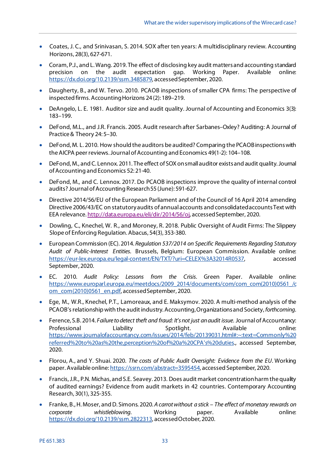- Coates, J. C., and Srinivasan, S. 2014. SOX after ten years: A multidisciplinary review. Accounting Horizons, 28(3), 627-671.
- Coram, P.J., and L. Wang. 2019. The effect of disclosing key audit matters and accounting standard precision on the audit expectation gap. Working Paper. Available online: <https://dx.doi.org/10.2139/ssrn.3485879>, accessed September, 2020.
- Daugherty, B., and W. Tervo. 2010. PCAOB inspections of smaller CPA firms: The perspective of inspected firms. Accounting Horizons 24 (2): 189–219.
- DeAngelo, L. E. 1981. Auditor size and audit quality. Journal of Accounting and Economics 3(3): 183–199.
- DeFond, M.L., and J.R. Francis. 2005. Audit research after Sarbanes–Oxley? Auditing: A Journal of Practice & Theory 24: 5–30.
- DeFond, M. L. 2010. How should the auditors be audited? Comparing the PCAOB inspections with the AICPA peer reviews. Journal of Accounting and Economics 49(1-2): 104–108.
- DeFond, M., and C. Lennox. 2011. The effect of SOX on small auditor exists and audit quality. Journal of Accounting and Economics 52: 21-40.
- DeFond, M., and C. Lennox. 2017. Do PCAOB inspections improve the quality of internal control audits? Journal of Accounting Research 55 (June): 591-627.
- Directive 2014/56/EU of the European Parliament and of the Council of 16 April 2014 amending Directive 2006/43/EC on statutory audits of annual accounts and consolidated accounts Text with EEA relevance[. http://data.europa.eu/eli/dir/2014/56/oj](http://data.europa.eu/eli/dir/2014/56/oj), accessed September, 2020.
- Dowling, C., Knechel, W. R., and Moroney, R. 2018. Public Oversight of Audit Firms: The Slippery Slope of Enforcing Regulation. Abacus, 54(3), 353-380.
- European Commission (EC). 2014. *Regulation 537/2014 on Specific Requirements Regarding Statutory Audit of Public-Interest Entities*. Brussels, Belgium: European Commission. Available online: [https://eur-lex.europa.eu/legal-content/EN/TXT/?uri=CELEX%3A32014R0537,](https://eur-lex.europa.eu/legal-content/EN/TXT/?uri=CELEX%3A32014R0537) accessed September, 2020.
- EC. 2010. *Audit Policy: Lessons from the Crisis*. Green Paper. Available online: [https://www.europarl.europa.eu/meetdocs/2009\\_2014/documents/com/com\\_com\(2010\)0561\\_/c](https://www.europarl.europa.eu/meetdocs/2009_2014/documents/com/com_com(2010)0561_/com_com(2010)0561_en.pdf) [om\\_com\(2010\)0561\\_en.pdf](https://www.europarl.europa.eu/meetdocs/2009_2014/documents/com/com_com(2010)0561_/com_com(2010)0561_en.pdf), accessed September, 2020.
- Ege, M., W.R., Knechel, P.T., Lamoreaux, and E. Maksymov. 2020. A multi-method analysis of the PCAOB's relationship with the audit industry. Accounting, Organizations and Society, *forthcoming*.
- Ference, S.B. 2014. *Failure to detect theft and fraud: It's not just an audit issue*. Journal of Accountancy: Professional Liability Spotlight. Available online: [https://www.journalofaccountancy.com/issues/2014/feb/20139031.html#:~:text=Commonly%20](https://www.journalofaccountancy.com/issues/2014/feb/20139031.html#:%7E:text=Commonly%20referred%20to%20as%20the,perception%20of%20a%20CPA) [referred%20to%20as%20the,perception%20of%20a%20CPA's%20duties](https://www.journalofaccountancy.com/issues/2014/feb/20139031.html#:%7E:text=Commonly%20referred%20to%20as%20the,perception%20of%20a%20CPA)., accessed September, 2020.
- Florou, A., and Y. Shuai. 2020. *The costs of Public Audit Oversight: Evidence from the EU*. Working paper. Available online[: https://ssrn.com/abstract=3595454,](https://ssrn.com/abstract=3595454) accessed September, 2020.
- Francis, J.R., P.N. Michas, and S.E. Seavey. 2013. Does audit market concentration harm the quality of audited earnings? Evidence from audit markets in 42 countries. Contemporary Accounting Research, 30(1), 325-355.
- Franke, B., H. Moser, and D. Simons. 2020. *A carrot without a stick – The effect of monetary rewards on corporate whistleblowing*. Working paper. Available online: <https://dx.doi.org/10.2139/ssrn.2822313>, accessedOctober, 2020.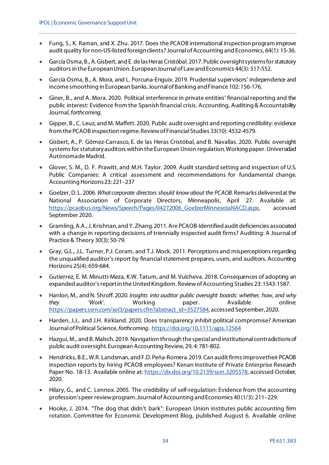- Fung, S., K. Raman, and X. Zhu. 2017. Does the PCAOB international inspection program improve audit quality for non-US-listed foreign clients? Journal of Accounting and Economics, 64(1): 15-36.
- García Osma, B., A. Gisbert, and E. de las Heras Cristóbal. 2017. Public oversight systems for statutory auditors in the European Union. European Journal of Law and Economics 44(3): 517-552.
- García Osma, B., A. Mora, and L. Porcuna-Enguix. 2019. Prudential supervisors' independence and income smoothing in European banks. Journal of Banking and Finance 102: 156-176.
- Giner, B., and A. Mora. 2020. Political interference in private entities' financial reporting and the public interest: Evidence from the Spanish financial crisis. Accounting, Auditing & Accountability Journal, *forthcoming*.
- Gipper, B., C. Leuz, and M. Maffett. 2020. Public audit oversight and reporting credibility: evidence from the PCAOB inspection regime. Review of Financial Studies 33(10): 4532-4579.
- Gisbert, A., P. Gómez-Carrasco, E. de las Heras Cristóbal, and B. Navallas. 2020. Public oversight systems for statutory auditors within the European Union regulation. Working paper. Universidad Autónoma de Madrid.
- Glover, S. M., D. F. Prawitt, and M.H. Taylor. 2009. Audit standard setting and inspection of U.S. Public Companies: A critical assessment and recommendations for fundamental change. Accounting Horizons 23: 221–237
- Goelzer, D. L. 2006. *What corporate directors should know about the PCAOB*. Remarks delivered at the National Association of Corporate Directors, Minneapolis, April 27. Available at: [https://pcaobus.org/News/Speech/Pages/04272006\\_GoelzerMinnesotaNACD.aspx](https://pcaobus.org/News/Speech/Pages/04272006_GoelzerMinnesotaNACD.aspx), accessed September 2020.
- Gramling, A.A., J. Krishnan, and Y. Zhang. 2011. Are PCAOB-Identified audit deficiencies associated with a change in reporting decisions of triennially inspected audit firms? Auditing: A Journal of Practice & Theory 30(3): 50-79.
- Gray, G.L., J.L. Turner, P.J. Coram, and T.J. Mock. 2011. Perceptions and misperceptions regarding the unqualified auditor's report by financial statement prepares, users, and auditors. Accounting Horizons 25(4): 659-684.
- Gutierrez, E. M. Minutti-Meza, K.W. Tatum, and M. Vulcheva. 2018. Consequences of adopting an expanded auditor's report in the United Kingdom. Review of Accounting Studies 23: 1543-1587.
- Hanlon, M., and N. Shroff. 2020*. Insights into auditor public oversight boards: whether, how, and why they 'Work'*. Working paper. Available online: [https://papers.ssrn.com/sol3/papers.cfm?abstract\\_id=3527584,](https://papers.ssrn.com/sol3/papers.cfm?abstract_id=3527584) accessed September, 2020.
- Harden, J.J., and J.H. Kirkland. 2020. Does transparency inhibit political compromise? American Journal of Political Science, *forthcoming*.<https://doi.org/10.1111/ajps.12564>
- Hazgui, M., and B. Malsch. 2019. Navigation through the special and institutional contradictions of public audit oversight. European Accounting Review, 29, 4: 781-802.
- Hendricks, B.E., W.R. Landsman, and F.D. Peña-Romera. 2019. Can audit firms improve their PCAOB inspection reports by hiring PCAOB employees? Kenan Institute of Private Enterprise Research Paper No. 18-13. Available online at[: https://dx.doi.org/10.2139/ssrn.3205578](https://dx.doi.org/10.2139/ssrn.3205578), accessed October, 2020.
- Hilary, G., and C. Lennox. 2005. The credibility of self-regulation: Evidence from the accounting profession's peer review program. Journal of Accounting and Economics 40 (1/3): 211–229.
- Hooke, J. 2014. "The dog that didn't bark": European Union institutes public accounting firm rotation. Committee for Economic Development Blog, published August 6. Available online: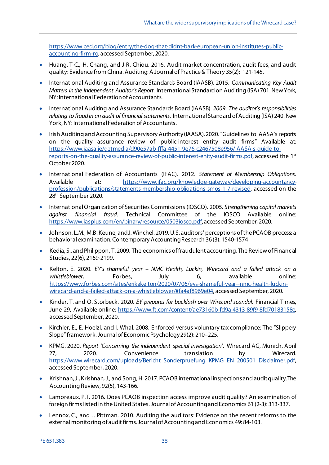[https://www.ced.org/blog/entry/the-dog-that-didnt-bark-european-union-institutes-public](https://www.ced.org/blog/entry/the-dog-that-didnt-bark-european-union-institutes-public-accounting-firm-ro)[accounting-firm-ro,](https://www.ced.org/blog/entry/the-dog-that-didnt-bark-european-union-institutes-public-accounting-firm-ro) accessed September, 2020.

- Huang, T-C., H. Chang, and J-R. Chiou. 2016. Audit market concentration, audit fees, and audit quality: Evidence from China. Auditing: A Journal of Practice & Theory 35(2): 121-145.
- International Auditing and Assurance Standards Board (IAASB). 2015. *Communicating Key Audit Matters in the Independent Auditor's Report*. International Standard on Auditing (ISA) 701. New York, NY: International Federation of Accountants.
- International Auditing and Assurance Standards Board (IAASB). *2009. The auditor's responsibilities relating to fraud in an audit of financial statements.* International Standard of Auditing (ISA) 240. New York, NY: International Federation of Accountants.
- Irish Auditing and Accounting Supervisory Authority (IAASA). 2020. "Guidelines to IAASA's reports on the quality assurance review of public-interest entity audit firms" Available at: [https://www.iaasa.ie/getmedia/d90e57ab-fffa-4451-9e76-c2467508e956/IAASA-s-guide-to](https://www.iaasa.ie/getmedia/d90e57ab-fffa-4451-9e76-c2467508e956/IAASA-s-guide-to-reports-on-the-quality-assurance-review-of-public-interest-enity-audit-firms.pdf)[reports-on-the-quality-assurance-review-of-public-interest-enity-audit-firms.pdf,](https://www.iaasa.ie/getmedia/d90e57ab-fffa-4451-9e76-c2467508e956/IAASA-s-guide-to-reports-on-the-quality-assurance-review-of-public-interest-enity-audit-firms.pdf) accessed the 1st October 2020.
- International Federation of Accountants (IFAC). 2012. *Statement of Membership Obligations*. Available at: [https://www.ifac.org/knowledge-gateway/developing-accountancy](https://www.ifac.org/knowledge-gateway/developing-accountancy-profession/publications/statements-membership-obligations-smos-1-7-revised)[profession/publications/statements-membership-obligations-smos-1-7-revised](https://www.ifac.org/knowledge-gateway/developing-accountancy-profession/publications/statements-membership-obligations-smos-1-7-revised), accessed on the 28th September 2020.
- International Organization of Securities Commissions (IOSCO). 2005. *Strengthening capital markets against financial fraud*. Technical Committee of the IOSCO Available online: <https://www.iasplus.com/en/binary/resource/0503iosco.pdf>, accessed September, 2020.
- Johnson, L.M., M.B. Keune, and J. Winchel. 2019. U.S. auditors' perceptions of the PCAOB process: a behavioral examination. Contemporary Accounting Research 36 (3): 1540-1574
- Kedia, S., and Philippon, T. 2009. The economics of fraudulent accounting. The Review of Financial Studies, 22(6), 2169-2199.
- Kelton. E. 2020. *EY's shameful year – NMC Health, Luckin, Wirecard and a failed attack on a*  whistleblower, Forbes, July 6, available online: [https://www.forbes.com/sites/erikakelton/2020/07/06/eys-shameful-year--nmc-health-luckin](https://www.forbes.com/sites/erikakelton/2020/07/06/eys-shameful-year--nmc-health-luckin-wirecard-and-a-failed-attack-on-a-whistleblower/#fa4af8969e04)[wirecard-and-a-failed-attack-on-a-whistleblower/#fa4af8969e04](https://www.forbes.com/sites/erikakelton/2020/07/06/eys-shameful-year--nmc-health-luckin-wirecard-and-a-failed-attack-on-a-whistleblower/#fa4af8969e04), accessed September, 2020.
- Kinder, T. and O. Storbeck. 2020. *EY prepares for backlash over Wirecard scandal*. Financial Times, June 29, Available online[: https://www.ft.com/content/ae73160b-fd9a-4313-89f9-8fd70183158e,](https://www.ft.com/content/ae73160b-fd9a-4313-89f9-8fd70183158e)  accessed September, 2020.
- Kirchler, E., E. Hoelzl, and I. Whal. 2008. Enforced versus voluntary tax compliance: The "Slippery Slope" framework. Journal of Economic Psychology 29(2): 210–225.
- KPMG. 2020. *Report 'Concerning the independent special investigation'*. Wirecard AG, Munich, April 27, 2020. Convenience translation by Wirecard. [https://www.wirecard.com/uploads/Bericht\\_Sonderpruefung\\_KPMG\\_EN\\_200501\\_Disclaimer.pdf,](https://www.wirecard.com/uploads/Bericht_Sonderpruefung_KPMG_EN_200501_Disclaimer.pdf) accessed September, 2020.
- Krishnan, J., Krishnan, J., and Song, H. 2017. PCAOB international inspections and audit quality. The Accounting Review, 92(5), 143-166.
- Lamoreaux, P.T. 2016. Does PCAOB inspection access improve audit quality? An examination of foreign firms listed in the United States. Journal of Accounting and Economics 61 (2-3): 313-337.
- Lennox, C., and J. Pittman. 2010. Auditing the auditors: Evidence on the recent reforms to the external monitoring of audit firms. Journal of Accounting and Economics 49: 84-103.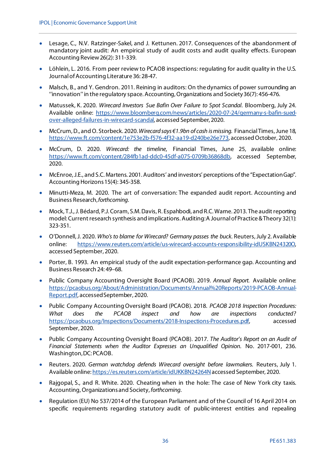- Lesage, C., N.V. Ratzinger-Sakel, and J. Kettunen. 2017. Consequences of the abandonment of mandatory joint audit: An empirical study of audit costs and audit quality effects. European Accounting Review 26(2): 311-339.
- Löhlein, L. 2016. From peer review to PCAOB inspections: regulating for audit quality in the U.S. Journal of Accounting Literature 36: 28-47.
- Malsch, B., and Y. Gendron. 2011. Reining in auditors: On the dynamics of power surrounding an ''innovation'' in the regulatory space. Accounting, Organizations and Society 36(7): 456-476.
- Matussek, K. 2020. *Wirecard Investors Sue Bafin Over Failure to Spot Scandal*. Bloomberg, July 24. Available online: [https://www.bloomberg.com/news/articles/2020-07-24/germany-s-bafin-sued](https://www.bloomberg.com/news/articles/2020-07-24/germany-s-bafin-sued-over-alleged-failures-in-wirecard-scandal)[over-alleged-failures-in-wirecard-scandal,](https://www.bloomberg.com/news/articles/2020-07-24/germany-s-bafin-sued-over-alleged-failures-in-wirecard-scandal) accessed September, 2020.
- McCrum, D., and O. Storbeck. 2020. *Wirecard says €1.9bn of cash is missing.* Financial Times, June 18, [https://www.ft.com/content/1e753e2b-f576-4f32-aa19-d240be26e773,](https://www.ft.com/content/1e753e2b-f576-4f32-aa19-d240be26e773) accessed October, 2020.
- McCrum, D. 2020. *Wirecard: the timeline*, Financial Times, June 25, available online: [https://www.ft.com/content/284fb1ad-ddc0-45df-a075-0709b36868db,](https://www.ft.com/content/284fb1ad-ddc0-45df-a075-0709b36868db) accessed September, 2020.
- McEnroe, J.E., and S.C. Martens. 2001. Auditors' and investors' perceptions of the "Expectation Gap". Accounting Horizons 15(4): 345-358.
- Minutti-Meza, M. 2020. The art of conversation: The expanded audit report. Accounting and Business Research, *forthcoming*.
- Mock, T.J., J. Bédard, P.J. Coram, S.M. Davis, R. Espahbodi, and R.C. Warne. 2013. The audit reporting model: Current research synthesis and implications. Auditing: A Journal of Practice & Theory 32(1): 323-351.
- O'Donnell, J. 2020. *Who's to blame for Wirecard? Germany passes the buck*. Reuters, July 2. Available online: [https://www.reuters.com/article/us-wirecard-accounts-responsibility-idUSKBN24320O,](https://www.reuters.com/article/us-wirecard-accounts-responsibility-idUSKBN24320O)  accessed September, 2020.
- Porter, B. 1993. An empirical study of the audit expectation-performance gap. Accounting and Business Research 24: 49–68.
- Public Company Accounting Oversight Board (PCAOB). 2019. *Annual Report.* Available online: [https://pcaobus.org/About/Administration/Documents/Annual%20Reports/2019-PCAOB-Annual-](https://pcaobus.org/About/Administration/Documents/Annual%20Reports/2019-PCAOB-Annual-Report.pdf)[Report.pdf](https://pcaobus.org/About/Administration/Documents/Annual%20Reports/2019-PCAOB-Annual-Report.pdf), accessedSeptember, 2020.
- Public Company Accounting Oversight Board (PCAOB). 2018. *PCAOB 2018 Inspection Procedures: What does the PCAOB inspect and how are inspections conducted?* <https://pcaobus.org/Inspections/Documents/2018-Inspections-Procedures.pdf>, accessed September, 2020.
- Public Company Accounting Oversight Board (PCAOB). 2017. *The Auditor's Report on an Audit of Financial Statements when the Auditor Expresses an Unqualified Opinion*. No. 2017-001, 236. Washington, DC: PCAOB.
- Reuters. 2020. *German watchdog defends Wirecard oversight before lawmakers.* Reuters, July 1. Available online[: https://es.reuters.com/article/idUKKBN24264N](https://es.reuters.com/article/idUKKBN24264N) accessed September, 2020.
- Rajgopal, S., and R. White. 2020. Cheating when in the hole: The case of New York city taxis. Accounting, Organizations and Society, *forthcoming*.
- Regulation (EU) No 537/2014 of the European Parliament and of the Council of 16 April 2014 on specific requirements regarding statutory audit of public-interest entities and repealing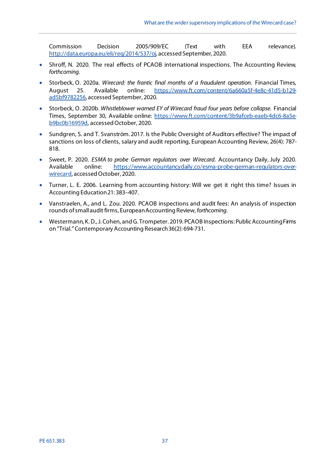Commission Decision 2005/909/EC (Text with EEA relevance). [http://data.europa.eu/eli/reg/2014/537/oj,](http://data.europa.eu/eli/reg/2014/537/oj) accessed September, 2020.

- Shroff, N. 2020. The real effects of PCAOB international inspections. The Accounting Review*, forthcoming.*
- Storbeck, O. 2020a. *Wirecard: the frantic final months of a fraudulent operation*. Financial Times, August 25. Available online: [https://www.ft.com/content/6a660a5f-4e8c-41d5-b129](https://www.ft.com/content/6a660a5f-4e8c-41d5-b129-ad5bf9782256) [ad5bf9782256,](https://www.ft.com/content/6a660a5f-4e8c-41d5-b129-ad5bf9782256) accessed September, 2020.
- Storbeck, O. 2020b. *Whistleblower warned EY of Wirecard fraud four years before collapse*. Financial Times, September 30, Available online: [https://www.ft.com/content/3b9afceb-eaeb-4dc6-8a5e](https://www.ft.com/content/3b9afceb-eaeb-4dc6-8a5e-b9bc0b16959d)[b9bc0b16959d,](https://www.ft.com/content/3b9afceb-eaeb-4dc6-8a5e-b9bc0b16959d) accessed October, 2020.
- Sundgren, S. and T. Svanström. 2017. Is the Public Oversight of Auditors effective? The impact of sanctions on loss of clients, salary and audit reporting, European Accounting Review, 26(4): 787- 818.
- Sweet, P. 2020. *ESMA to probe German regulators over Wirecard*. Accountancy Daily, July 2020. Available online: [https://www.accountancydaily.co/esma-probe-german-regulators-over](https://www.accountancydaily.co/esma-probe-german-regulators-over-wirecard)[wirecard,](https://www.accountancydaily.co/esma-probe-german-regulators-over-wirecard) accessed October, 2020.
- Turner, L. E. 2006. Learning from accounting history: Will we get it right this time? Issues in Accounting Education 21: 383–407.
- Vanstraelen, A., and L. Zou. 2020. PCAOB inspections and audit fees: An analysis of inspection rounds of small audit firms, European Accounting Review, *forthcoming*.
- Westermann, K. D., J. Cohen, and G. Trompeter. 2019. PCAOB Inspections: Public Accounting Firms on "Trial." Contemporary Accounting Research 36(2): 694-731.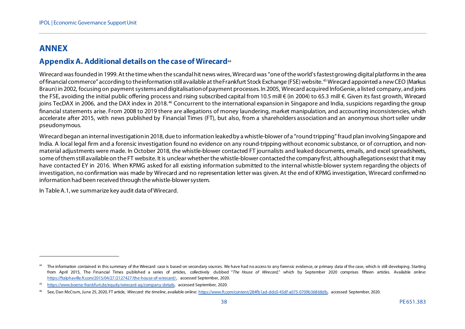# <span id="page-37-4"></span><span id="page-37-3"></span><span id="page-37-2"></span>**ANNEX**

l

#### **Appendix A. Additional details on the case of Wirecard**[44](#page-37-2)

Wirecard was founded in 1999. At the time when the scandal hit news wires, Wirecard was "one of the world's fastest growing digital platforms in the area of financial commerce" according to the information still available at the Frankfurt Stock Exchange (FSE) website.<sup>[45](#page-37-3)</sup> Wirecard appointed a new CEO (Markus Braun) in 2002, focusing on payment systems and digitalisation of payment processes. In 2005, Wirecard acquired InfoGenie, a listed company, and joins the FSE, avoiding the initial public offering process and rising subscribed capital from 10.5 mill € (in 2004) to 65.3 mill €. Given its fast growth, Wirecard ioins TecDAX in 2006, and the DAX index in 2018.<sup>[46](#page-37-4)</sup> Concurrent to the international expansion in Singapore and India, suspicions regarding the group financial statements arise. From 2008 to 2019 there are allegations of money laundering, market manipulation, and accounting inconsistencies, which accelerate after 2015, with news published by Financial Times (FT), but also, from a shareholders association and an anonymous short seller under pseudonymous.

Wirecard began an internal investigation in 2018, due to information leaked by a whistle-blower of a "round tripping" fraud plan involving Singapore and India. A local legal firm and a forensic investigation found no evidence on any round-tripping without economic substance, or of corruption, and nonmaterial adjustments were made. In October 2018, the whistle-blower contacted FT journalists and leaked documents, emails, and excel spreadsheets, some of them still available on the FT website. It is unclear whether the whistle-blower contacted the company first, although allegations exist that it may have contacted EY in 2016. When KPMG asked for all existing information submitted to the internal whistle-blower system regarding the objects of investigation, no confirmation was made by Wirecard and no representation letter was given. At the end of KPMG investigation, Wirecard confirmed no information had been received through the whistle-blower system.

<span id="page-37-1"></span><span id="page-37-0"></span>In Table A.1, we summarize key audit data of Wirecard.

The information contained in this summary of the Wirecard case is based on secondary sources. We have had no access to any forensic evidence, or primary data of the case, which is still developing. Starting from April 2015, The Financial Times published a series of articles, collectively dubbed "*The House of Wirecard*," which by September 2020 comprises fifteen articles. Available online: [https://ftalphaville.ft.com/2015/04/27/2127427/the-house-of-wirecard/,](https://ftalphaville.ft.com/2015/04/27/2127427/the-house-of-wirecard/) accessed September, 2020.

<sup>45</sup> [https://www.boerse-frankfurt.de/equity/wirecard-ag/company-details,](https://www.boerse-frankfurt.de/equity/wirecard-ag/company-details) accessed September, 2020.

<sup>46</sup> See, Dan McCrum, June 25, 2020, FT article, *Wirecard: the timeline*, available online[: https://www.ft.com/content/284fb1ad-ddc0-45df-a075-0709b36868db,](https://www.ft.com/content/284fb1ad-ddc0-45df-a075-0709b36868db) accessed September, 2020.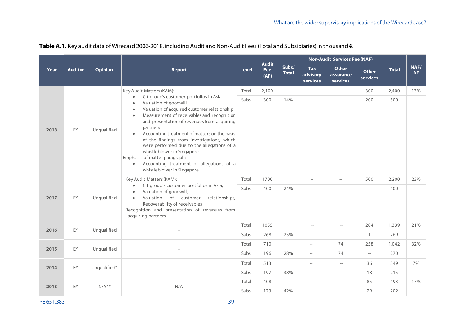|      |                                  |              |                                                                                                                                                                                                                                                                                                                                                                                                                                                                                                                                                                   | <b>Audit</b> |                          | <b>Non-Audit Services Fee (NAF)</b> |                                    |                                       |                          |              |                   |
|------|----------------------------------|--------------|-------------------------------------------------------------------------------------------------------------------------------------------------------------------------------------------------------------------------------------------------------------------------------------------------------------------------------------------------------------------------------------------------------------------------------------------------------------------------------------------------------------------------------------------------------------------|--------------|--------------------------|-------------------------------------|------------------------------------|---------------------------------------|--------------------------|--------------|-------------------|
| Year | <b>Auditor</b><br><b>Opinion</b> |              | <b>Report</b>                                                                                                                                                                                                                                                                                                                                                                                                                                                                                                                                                     | <b>Level</b> | <b>Fee</b><br>(AF)       | Subs/<br><b>Total</b>               | <b>Tax</b><br>advisory<br>services | <b>Other</b><br>assurance<br>services | <b>Other</b><br>services | <b>Total</b> | NAF/<br><b>AF</b> |
|      |                                  |              | Key Audit Matters (KAM):                                                                                                                                                                                                                                                                                                                                                                                                                                                                                                                                          | Total        | 2,100                    |                                     | $\hspace{0.05cm} -\hspace{0.05cm}$ | $\hspace{0.05cm}--\hspace{0.05cm}$    | 300                      | 2,400        | 13%               |
| 2018 | EY                               | Unqualified  | Citigroup's customer portfolios in Asia<br>Valuation of goodwill<br>Valuation of acquired customer relationship<br>$\bullet$<br>Measurement of receivables and recognition<br>$\bullet$<br>and presentation of revenues from acquiring<br>partners<br>Accounting treatment of matters on the basis<br>$\bullet$<br>of the findings from investigations, which<br>were performed due to the allegations of a<br>whistleblower in Singapore<br>Emphasis of matter paragraph:<br>Accounting treatment of allegations of a<br>$\bullet$<br>whistleblower in Singapore | Subs.        | 300                      | 14%                                 | $\overline{\phantom{0}}$           | --                                    | 200                      | 500          |                   |
|      |                                  |              | Key Audit Matters (KAM):                                                                                                                                                                                                                                                                                                                                                                                                                                                                                                                                          | Total        | 1700                     |                                     | $\hspace{0.05cm} -\hspace{0.05cm}$ | $\hspace{0.05cm} -\hspace{0.05cm}$    | 500                      | 2,200        | 23%               |
| 2017 | EY                               | Unqualified  | Citigroup's customer portfolios in Asia,<br>$\bullet$<br>Valuation of goodwill,<br>$\bullet$<br>Valuation of customer<br>relationships,<br>$\bullet$<br>Recoverability of receivables<br>Recognition and presentation of revenues from<br>acquiring partners                                                                                                                                                                                                                                                                                                      | Subs.        | 400                      | 24%                                 | $\overline{\phantom{a}}$           | $\overline{\phantom{0}}$              | $\qquad \qquad -$        | 400          |                   |
| 2016 | EY                               | Unqualified  |                                                                                                                                                                                                                                                                                                                                                                                                                                                                                                                                                                   | Total        | 1055                     |                                     | $\overline{\phantom{0}}$           | $\hspace{0.05cm}--\hspace{0.05cm}$    | 284                      | 1,339        | 21%               |
|      |                                  |              |                                                                                                                                                                                                                                                                                                                                                                                                                                                                                                                                                                   | Subs.        | 268                      | 25%                                 | $\overline{\phantom{a}}$           | $\overline{\phantom{0}}$              | $\mathbf{1}$             | 269          |                   |
| 2015 | EY                               | Unqualified  |                                                                                                                                                                                                                                                                                                                                                                                                                                                                                                                                                                   | Total        | 710                      |                                     | $\hspace{0.05cm}--\hspace{0.05cm}$ | 74                                    | 258                      | 1,042        | 32%               |
|      |                                  |              |                                                                                                                                                                                                                                                                                                                                                                                                                                                                                                                                                                   | Subs.        | 196                      | 28%                                 | $\hspace{0.05cm}--\hspace{0.05cm}$ | 74                                    | $\overline{\phantom{a}}$ | 270          |                   |
| 2014 | EY                               | Unqualified* |                                                                                                                                                                                                                                                                                                                                                                                                                                                                                                                                                                   | Total        | 513                      |                                     | $-\!$                              | $\hspace{0.05cm} -\hspace{0.05cm}$    | 36                       | 549          | 7%                |
|      |                                  |              |                                                                                                                                                                                                                                                                                                                                                                                                                                                                                                                                                                   | Subs.        | 197                      | 38%                                 | $\hspace{0.05cm} -\hspace{0.05cm}$ | $-\!$                                 | 18                       | 215          |                   |
| 2013 | EY                               | $N/A**$      | N/A                                                                                                                                                                                                                                                                                                                                                                                                                                                                                                                                                               | Total        | 408                      |                                     | $\qquad \qquad -$                  | $-\!$                                 | 85                       | 493          | 17%               |
|      |                                  | Subs.        | 173                                                                                                                                                                                                                                                                                                                                                                                                                                                                                                                                                               | 42%          | $\overline{\phantom{0}}$ | $\hspace{0.05cm} -\hspace{0.05cm}$  | 29                                 | 202                                   |                          |              |                   |

# **Table A.1.** Key audit data of Wirecard 2006-2018, including Audit and Non-Audit Fees (Total and Subsidiaries) in thousand €.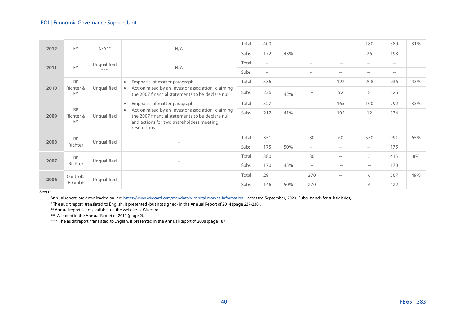| 2012 | EY                           | $N/A**$     | N/A                                                                                                                                                                            | Total | 400                                |       | $\qquad \qquad -$                  | $\hspace{0.05cm} -$                | 180   | 580                                | 31% |
|------|------------------------------|-------------|--------------------------------------------------------------------------------------------------------------------------------------------------------------------------------|-------|------------------------------------|-------|------------------------------------|------------------------------------|-------|------------------------------------|-----|
|      |                              |             |                                                                                                                                                                                | Subs. | 172                                | 43%   | $\hspace{0.05cm}--\hspace{0.05cm}$ | $\hspace{0.05cm}--\hspace{0.05cm}$ | 26    | 198                                |     |
|      | EY                           | Unqualified |                                                                                                                                                                                | Total | $-\!$                              |       | $\qquad \qquad -$                  | $\hspace{0.05cm}--\hspace{0.05cm}$ | $-\!$ | $-\!$                              |     |
| 2011 |                              | $***$       | N/A                                                                                                                                                                            | Subs. | $\hspace{0.05cm} -\hspace{0.05cm}$ |       | $\overline{\phantom{a}}$           | $\hspace{0.05cm} -$                | $-\!$ | $\hspace{0.05cm}--\hspace{0.05cm}$ |     |
|      | <b>RP</b>                    |             | Emphasis of matter paragraph<br>$\bullet$                                                                                                                                      | Total | 536                                |       | $-\!$                              | 192                                | 208   | 936                                | 43% |
| 2010 | Richter &<br>EY              | Unqualified | Action raised by an investor association, claiming<br>the 2007 financial statements to be declare null                                                                         | Subs. | 226                                | 42%   | $\hspace{0.05cm} -\hspace{0.05cm}$ | 92                                 | 8     | 326                                |     |
|      |                              |             | Emphasis of matter paragraph<br>$\bullet$                                                                                                                                      | Total | 527                                |       | $\hspace{0.05cm}--\hspace{0.05cm}$ | 165                                | 100   | 792                                | 33% |
| 2009 | <b>RP</b><br>Richter &<br>EY | Unqualified | Action raised by an investor association, claiming<br>$\bullet$<br>the 2007 financial statements to be declare null<br>and actions for two shareholders meeting<br>resolutions | Subs. | 217                                | 41%   | $\hspace{0.05cm} -\hspace{0.05cm}$ | 105                                | 12    | 334                                |     |
| 2008 | <b>RP</b>                    |             |                                                                                                                                                                                | Total | 351                                |       | 30                                 | 60                                 | 550   | 991                                | 65% |
|      | Richter                      | Unqualified | $\overline{\phantom{0}}$                                                                                                                                                       | Subs. | 175                                | 50%   | $\hspace{0.05cm}--\hspace{0.05cm}$ | $-\!$                              | $-\!$ | 175                                |     |
| 2007 | <b>RP</b>                    |             |                                                                                                                                                                                | Total | 380                                |       | 30                                 | $-\!$                              | 5     | 415                                | 8%  |
|      | Richter                      | Unqualified |                                                                                                                                                                                | Subs. | 170                                | 45%   | $\hspace{0.05cm} -\hspace{0.05cm}$ | $\hspace{0.05cm}$                  | $-\!$ | 170                                |     |
| 2006 | Control5                     |             |                                                                                                                                                                                | Total | 291                                |       | 270                                | $-\!$                              | 6     | 567                                | 49% |
|      | Unqualified<br>H Gmbh        | Subs.       | 146                                                                                                                                                                            | 50%   | 270                                | $-\!$ | 6                                  | 422                                |       |                                    |     |

*Notes:*

Annual reports are downloaded online[: https://www.wirecard.com/mandatory-capital-market-information,](https://www.wirecard.com/mandatory-capital-market-information) accessed September, 2020. Subs. stands for subsidiaries,

\* The audit report, translated to English, is presented -but not signed- in the Annual Report of 2014 (page 237-238).

\*\* Annual report is not available on the website of Wirecard.

\*\*\* As noted in the Annual Report of 2011 (page 2).

\*\*\*\* The audit report, translated to English, is presented in the Annual Report of 2008 (page 187)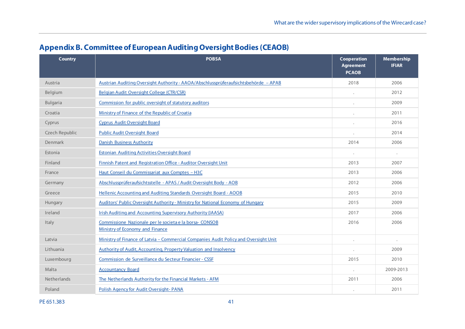| <b>Country</b> | <b>POBSA</b>                                                                              | <b>Cooperation</b><br><b>Agreement</b><br><b>PCAOB</b> | <b>Membership</b><br><b>IFIAR</b> |
|----------------|-------------------------------------------------------------------------------------------|--------------------------------------------------------|-----------------------------------|
| Austria        | Austrian Auditing Oversight Authority - AAOA/Abschlussprüferaufsichtsbehörde – APAB       | 2018                                                   | 2006                              |
| Belgium        | Belgian Audit Oversight College (CTR/CSR)                                                 |                                                        | 2012                              |
| Bulgaria       | Commission for public oversight of statutory auditors                                     |                                                        | 2009                              |
| Croatia        | Ministry of Finance of the Republic of Croatia                                            |                                                        | 2011                              |
| Cyprus         | <b>Cyprus Audit Oversight Board</b>                                                       |                                                        | 2016                              |
| Czech Republic | <b>Public Audit Oversight Board</b>                                                       |                                                        | 2014                              |
| Denmark        | Danish Business Authority                                                                 | 2014                                                   | 2006                              |
| Estonia        | <b>Estonian Auditing Activities Oversight Board</b>                                       | $\cdot$                                                | $\bullet$                         |
| Finland        | Finnish Patent and Registration Office - Auditor Oversight Unit                           | 2013                                                   | 2007                              |
| France         | Haut Conseil du Commissariat aux Comptes - H3C                                            | 2013                                                   | 2006                              |
| Germany        | Abschlussprüferaufsichtsstelle - APAS / Audit Oversight Body - AOB                        | 2012                                                   | 2006                              |
| Greece         | Hellenic Accounting and Auditing Standards Oversight Board - AOOB                         | 2015                                                   | 2010                              |
| Hungary        | Auditors' Public Oversight Authority - Ministry for National Economy of Hungary           | 2015                                                   | 2009                              |
| Ireland        | <b>Irish Auditing and Accounting Supervisory Authority (IAASA)</b>                        | 2017                                                   | 2006                              |
| Italy          | Commissione Nazionale per le societa e la borsa-CONSOB<br>Ministry of Economy and Finance | 2016                                                   | 2006                              |
| Latvia         | Ministry of Finance of Latvia - Commercial Companies Audit Policy and Oversight Unit      |                                                        | $\ddot{\phantom{0}}$              |
| Lithuania      | Authority of Audit, Accounting, Property Valuation and Insolvency                         |                                                        | 2009                              |
| Luxembourg     | Commission de Surveillance du Secteur Financier - CSSF                                    | 2015                                                   | 2010                              |
| Malta          | <b>Accountancy Board</b>                                                                  |                                                        | 2009-2013                         |
| Netherlands    | The Netherlands Authority for the Financial Markets - AFM                                 | 2011                                                   | 2006                              |
| Poland         | Polish Agency for Audit Oversight-PANA                                                    |                                                        | 2011                              |

# **Appendix B. Committee of European Auditing Oversight Bodies (CEAOB)**

<span id="page-40-0"></span>PE 651.383 41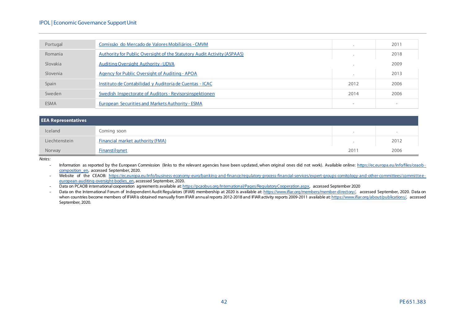#### IPOL | Economic Governance Support Unit

| Portugal    | Comissão do Mercado de Valores Mobiliários - CMVM                       |                          | 2011                     |
|-------------|-------------------------------------------------------------------------|--------------------------|--------------------------|
| Romania     | Authority for Public Oversight of the Statutory Audit Activity (ASPAAS) |                          | 2018                     |
| Slovakia    | <b>Auditing Oversight Authority - UDVA</b>                              |                          | 2009                     |
| Slovenia    | Agency for Public Oversight of Auditing - APOA                          |                          | 2013                     |
| Spain       | Instituto de Contabilidad y Auditoría de Cuentas - ICAC                 | 2012                     | 2006                     |
| Sweden      | Swedish Inspectorate of Auditors - Revisorsinspektionen                 | 2014                     | 2006                     |
| <b>ESMA</b> | European Securities and Markets Authority - ESMA                        | $\overline{\phantom{a}}$ | $\overline{\phantom{0}}$ |

| <b>EEA Representatives</b> |                                         |      |      |  |
|----------------------------|-----------------------------------------|------|------|--|
| Iceland                    | Coming soon                             |      |      |  |
| Liechtenstein              | <b>Financial market authority (FMA)</b> |      | 2012 |  |
| Norway                     | Finanstilsynet                          | 2011 | 2006 |  |

*Notes:*

- Information as reported by the European Commission (links to the relevant agencies have been updated, when original ones did not work). Available online: [https://ec.europa.eu/info/files/ceaob](https://ec.europa.eu/info/files/ceaob-composition_en)[composition\\_en,](https://ec.europa.eu/info/files/ceaob-composition_en) accessed September, 2020.

- Website of the CEAOB: [https://ec.europa.eu/info/business-economy-euro/banking-and-finance/regulatory-process-financial-services/expert-groups-comitology-and-other-committees/committee](https://ec.europa.eu/info/business-economy-euro/banking-and-finance/regulatory-process-financial-services/expert-groups-comitology-and-other-committees/committee-european-auditing-oversight-bodies_en)[european-auditing-oversight-bodies\\_en,](https://ec.europa.eu/info/business-economy-euro/banking-and-finance/regulatory-process-financial-services/expert-groups-comitology-and-other-committees/committee-european-auditing-oversight-bodies_en) accessed September, 2020.

- Data on PCAOB international cooperation agreements available at[: https://pcaobus.org/International/Pages/RegulatoryCooperation.aspx,](https://pcaobus.org/International/Pages/RegulatoryCooperation.aspx) accessed September 2020

- Data on the International Forum of Independent Audit Regulators (IFIAR) membership at 2020 is available at[: https://www.ifiar.org/members/member-directory/,](https://www.ifiar.org/members/member-directory/) accessed September, 2020. Data on when countries become members of IFIAR is obtained manually from IFIAR annual reports 2012-2018 and IFIAR activity reports 2009-2011 available a[t: https://www.ifiar.org/about/publications/,](https://www.ifiar.org/about/publications/) accessed September, 2020.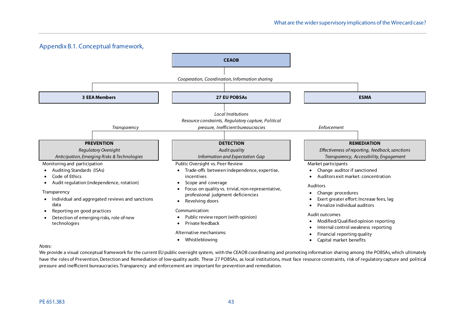

<span id="page-42-0"></span>We provide a visual conceptual framework for the current EU public oversight system, with the CEAOB coordinating and promoting information sharing among the POBSAs, which ultimately have the roles of Prevention, Detection and Remediation of low-quality audit. These 27 POBSAs, as local institutions, must face resource constraints, risk of regulatory capture and political pressure and inefficient bureaucracies. Transparency and enforcement are important for prevention and remediation.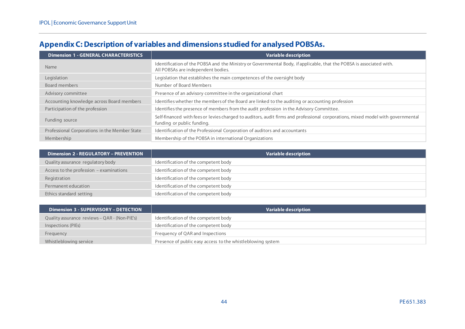|  | Appendix C: Description of variables and dimensions studied for analysed POBSAs. |  |
|--|----------------------------------------------------------------------------------|--|
|  |                                                                                  |  |

| <b>Dimension 1 - GENERAL CHARACTERISTICS</b>  | <b>Variable description</b>                                                                                                                                   |
|-----------------------------------------------|---------------------------------------------------------------------------------------------------------------------------------------------------------------|
| <b>Name</b>                                   | Identification of the POBSA and the Ministry or Governmental Body, if applicable, that the POBSA is associated with.<br>All POBSAs are independent bodies.    |
| Legislation                                   | Legislation that establishes the main competences of the oversight body                                                                                       |
| Board members                                 | Number of Board Members                                                                                                                                       |
| Advisory committee                            | Presence of an advisory committee in the organizational chart                                                                                                 |
| Accounting knowledge across Board members     | Identifies whether the members of the Board are linked to the auditing or accounting profession                                                               |
| Participation of the profession               | Identifies the presence of members from the audit profession in the Advisory Committee.                                                                       |
| Funding source                                | Self-financed with fees or levies charged to auditors, audit firms and professional corporations, mixed model with governmental<br>funding or public funding. |
| Professional Corporations in the Member State | Identification of the Professional Corporation of auditors and accountants                                                                                    |
| Membership                                    | Membership of the POBSA in international Organizations                                                                                                        |

<span id="page-43-0"></span>

| <b>Dimension 2 - REGULATORY - PREVENTION</b> | Variable description                 |
|----------------------------------------------|--------------------------------------|
| Quality assurance regulatory body            | Identification of the competent body |
| Access to the profession - examinations      | Identification of the competent body |
| Registration                                 | Identification of the competent body |
| Permanent education                          | Identification of the competent body |
| Ethics standard setting                      | Identification of the competent body |

| <b>Dimension 3 - SUPERVISORY - DETECTION</b>  | Variable description                                        |
|-----------------------------------------------|-------------------------------------------------------------|
| Quality assurance reviews - QAR - (Non-PIE's) | Identification of the competent body                        |
| Inspections (PIEs)                            | Identification of the competent body                        |
| Frequency                                     | Frequency of QAR and Inspections                            |
| Whistleblowing service                        | Presence of public easy access to the whistleblowing system |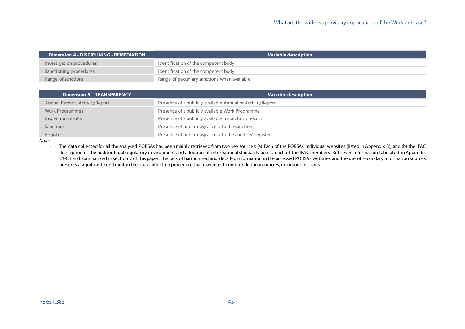| <b>Dimension 4 - DISCIPLINING - REMEDIATION</b> | Variable description                        |
|-------------------------------------------------|---------------------------------------------|
| Investigation procedures                        | Identification of the competent body        |
| Sanctioning procedures                          | Identification of the competent body        |
| Range of sanctions                              | Range of pecuniary sanctions when available |

| <b>Dimension 5 - TRANSPARENCY</b> | Variable description                                       |
|-----------------------------------|------------------------------------------------------------|
| Annual Report / Activity Report   | Presence of a publicly available Annual or Activity Report |
| Work Programmes                   | Presence of a publicly available Work Programme            |
| Inspection results                | Presence of a publicly available inspections results       |
| Sanctions                         | Presence of public easy access to the sanctions            |
| Register                          | Presence of public easy access to the auditors' register   |

*Notes:*

- The data collected for all the analysed POBSAs has been mainly retrieved from two key sources: (a) Each of the POBSAs individual websites (listed in Appendix B); and (b) the IFAC description of the auditor legal regulatory environment and adoption of international standards across each of the IFAC members; Retrieved information tabulated in Appendix C1-C3 and summarized in section 2 of this paper. The lack of harmonised and detailed information in the accessed POBSAs websites and the use of secondary information sources presents a significant constraint in the data collection procedure that may lead to unintended inaccuracies, errors or omissions.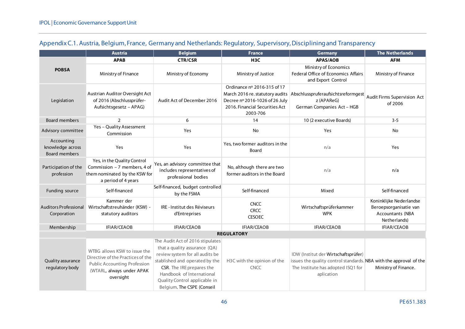<span id="page-45-0"></span>

|                                                        | <b>Austria</b>                                                                                                                                     | <b>Belgium</b><br><b>France</b>                                                                                                                                                                                                                                 |                                                                                                                                                | Germany                                                                                                                                                        | <b>The Netherlands</b>                                                                |
|--------------------------------------------------------|----------------------------------------------------------------------------------------------------------------------------------------------------|-----------------------------------------------------------------------------------------------------------------------------------------------------------------------------------------------------------------------------------------------------------------|------------------------------------------------------------------------------------------------------------------------------------------------|----------------------------------------------------------------------------------------------------------------------------------------------------------------|---------------------------------------------------------------------------------------|
|                                                        | <b>APAB</b>                                                                                                                                        | <b>CTR/CSR</b>                                                                                                                                                                                                                                                  | H <sub>3</sub> C                                                                                                                               | <b>APAS/AOB</b>                                                                                                                                                | <b>AFM</b>                                                                            |
| <b>POBSA</b>                                           | Ministry of Finance                                                                                                                                | Ministry of Economy                                                                                                                                                                                                                                             | Ministry of Justice                                                                                                                            | Ministry of Economics<br>Federal Office of Economics Affairs<br>and Export Control                                                                             | Ministry of Finance                                                                   |
| Legislation                                            | Austrian Auditor Oversight Act<br>of 2016 (Abschlussprüfer-<br>Aufsichtsgesetz - APAG)                                                             | Audit Act of December 2016                                                                                                                                                                                                                                      | Ordinance nº 2016-315 of 17<br>March 2016 re. statutory audits<br>Decree nº 2016-1026 of 26 July<br>2016. Financial Securities Act<br>2003-706 | Abschlusspruferaufsichtsreformgest<br>z (APAReG)<br>German Companies Act - HGB                                                                                 | Audit Firms Supervision Act<br>of 2006                                                |
| <b>Board members</b>                                   | $\overline{2}$                                                                                                                                     | 6                                                                                                                                                                                                                                                               | 14                                                                                                                                             | 10 (2 executive Boards)                                                                                                                                        | $3 - 5$                                                                               |
| Advisory committee                                     | Yes - Quality Assessment<br>Commission                                                                                                             | Yes                                                                                                                                                                                                                                                             | <b>No</b>                                                                                                                                      | Yes                                                                                                                                                            | No                                                                                    |
| Accounting<br>knowledge across<br><b>Board members</b> | Yes                                                                                                                                                | Yes                                                                                                                                                                                                                                                             | Yes, two former auditors in the<br>Board                                                                                                       | n/a                                                                                                                                                            | Yes                                                                                   |
| Participation of the<br>profession                     | Yes, in the Quality Control<br>Commission - 7 members, 4 of<br>them nominated by the KSW for<br>a period of 4 years                                | Yes, an advisory committee that<br>includes representatives of<br>professional bodies                                                                                                                                                                           | No, although there are two<br>former auditors in the Board                                                                                     | n/a                                                                                                                                                            | n/a                                                                                   |
| Funding source                                         | Self-financed, budget controlled<br>Self-financed<br>by the FSMA                                                                                   |                                                                                                                                                                                                                                                                 | Self-financed                                                                                                                                  | Mixed                                                                                                                                                          | Self-financed                                                                         |
| <b>Auditors Professional</b><br>Corporation            | Kammer der<br>Wirtschaftstreuhänder (KSW) -<br>IRE - Institut des Réviseurs<br>statutory auditors<br>d'Entreprises                                 |                                                                                                                                                                                                                                                                 | <b>CNCC</b><br><b>CRCC</b><br><b>CESOEC</b>                                                                                                    | Wirtschaftsprüferkammer<br><b>WPK</b>                                                                                                                          | Koninklijke Nederlandse<br>Beroepsorganisatie van<br>Accountants (NBA<br>Netherlands) |
| Membership                                             | <b>IFIAR/CEAOB</b>                                                                                                                                 | <b>IFIAR/CEAOB</b>                                                                                                                                                                                                                                              | <b>IFIAR/CEAOB</b>                                                                                                                             | IFIAR/CEAOB                                                                                                                                                    | <b>IFIAR/CEAOB</b>                                                                    |
|                                                        |                                                                                                                                                    |                                                                                                                                                                                                                                                                 | <b>REGULATORY</b>                                                                                                                              |                                                                                                                                                                |                                                                                       |
| Quality assurance<br>regulatory body                   | WTBG allows KSW to issue the<br>Directive of the Practices of the<br><b>Public Accounting Profession</b><br>(WTARL, always under APAK<br>oversight | The Audit Act of 2016 stipulates<br>that a quality assurance (QA)<br>review system for all audits be<br>stablished and operated by the<br>CSR. The IRE prepares the<br>Handbook of International<br>Quality Control applicable in<br>Belgium. The CSPE (Conseil | H3C with the opinion of the<br><b>CNCC</b>                                                                                                     | IDW (Institut der Wirtschaftsprüfer)<br>issues the quality control standards. NBA with the approval of the<br>The Institute has adopted ISQ1 for<br>aplication | Ministry of Finance.                                                                  |

# Appendix C.1. Austria, Belgium, France, Germany and Netherlands: Regulatory, Supervisory, Disciplining and Transparency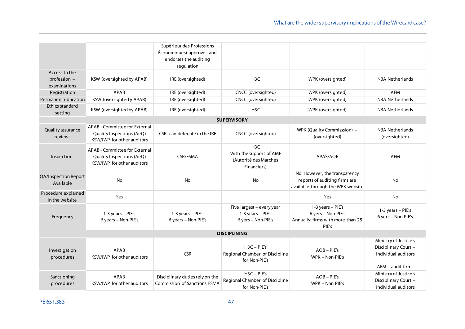|                                               |                                                                                          | Supérieur des Professions<br>Économiques) approves and<br>endorses the auditing<br>regulation |                                                                                     |                                                                                                     |                                                                                             |
|-----------------------------------------------|------------------------------------------------------------------------------------------|-----------------------------------------------------------------------------------------------|-------------------------------------------------------------------------------------|-----------------------------------------------------------------------------------------------------|---------------------------------------------------------------------------------------------|
| Access to the<br>profession -<br>examinations | KSW (oversighted by APAB)                                                                | IRE (oversighted)                                                                             | H <sub>3</sub> C                                                                    | WPK (oversighted)                                                                                   | <b>NBA Netherlands</b>                                                                      |
| Registration                                  | APAB                                                                                     | IRE (oversighted)                                                                             | CNCC (oversighted)                                                                  | WPK (oversighted)                                                                                   | <b>AFM</b>                                                                                  |
| Permanent education                           | KSW (oversighted y APAB)                                                                 | IRE (oversighted)                                                                             | CNCC (oversighted)                                                                  | WPK (oversighted)                                                                                   | <b>NBA Netherlands</b>                                                                      |
| Ethics standard<br>setting                    | KSW (oversighted by APAB)                                                                | IRE (oversighted)                                                                             | H <sub>3</sub> C                                                                    | WPK (oversighted)                                                                                   | <b>NBA Netherlands</b>                                                                      |
|                                               |                                                                                          |                                                                                               | <b>SUPERVISORY</b>                                                                  |                                                                                                     |                                                                                             |
| Quality assurance<br>reviews                  | APAB - Committee for External<br>Quality Inspections (AeQ)<br>KSW/IWP for other auditors | CSR, can delegate in the IRE                                                                  | CNCC (oversighted)                                                                  | WPK (Quality Commisssion) -<br>(oversighted)                                                        | <b>NBA Netherlands</b><br>(oversighted)                                                     |
| Inspections                                   | APAB - Committee for External<br>Quality Inspections (AeQ)<br>KSW/IWP for other auditors | CSR/FSMA                                                                                      | H <sub>3</sub> C<br>With the support of AMF<br>(Autorité des Marchés<br>Financiers) | APAS/AOB                                                                                            | <b>AFM</b>                                                                                  |
| QA/Inspection Report<br>Available             | <b>No</b>                                                                                | No                                                                                            | No                                                                                  | No. However, the transparency<br>reports of auditing firms are<br>available through the WPK website | No                                                                                          |
| Procedure explained<br>in the website         | Yes                                                                                      |                                                                                               |                                                                                     | Yes                                                                                                 | No                                                                                          |
| Frequency                                     | 1-3 years - PIE's<br>6 years - Non-PIE's                                                 | 1-3 years - PIE's<br>6 years - Non-PIE's                                                      | Five largest - every year<br>1-3 years - PIE's<br>6 yers - Non-PIE's                | 1-3 years - PIE's<br>6 yers - Non-PIE's<br>Annually: firms with more than 25<br>PIE's               | 1-3 years - PIE's<br>6 yers - Non-PIE's                                                     |
|                                               |                                                                                          |                                                                                               | <b>DISCIPLINING</b>                                                                 |                                                                                                     |                                                                                             |
| Investigation<br>procedures                   | APAB<br>KSW/IWP for other auditors                                                       | <b>CSR</b>                                                                                    | $H3C - PIE's$<br>Regional Chamber of Discipline<br>for Non-PIE's                    | $AOB - PIE's$<br>WPK - Non-PIE's                                                                    | Ministry of Justice's<br>Disciplinary Court -<br>individual auditors<br>$AFM - audit$ firms |
| Sanctioning<br>procedures                     | APAR<br>KSW/IWP for other auditors                                                       | Disciplinary duties rely on the<br>Commission of Sanctions FSMA                               | $H3C - PIE's$<br>Regional Chamber of Discipline<br>for Non-PIE's                    | $AOB - PIE's$<br>WPK - Non PIE's                                                                    | Ministry of Justice's<br>Disciplinary Court -<br>individual auditors                        |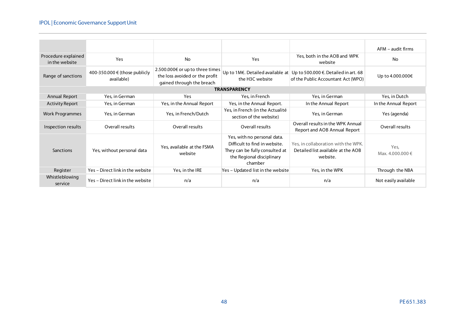|                                       |                                             |                                                                                                |                                                                                                                                        |                                                                                       | AFM – audit firms        |
|---------------------------------------|---------------------------------------------|------------------------------------------------------------------------------------------------|----------------------------------------------------------------------------------------------------------------------------------------|---------------------------------------------------------------------------------------|--------------------------|
| Procedure explained<br>in the website | Yes                                         | <b>No</b>                                                                                      | Yes                                                                                                                                    | Yes, both in the AOB and WPK<br>website                                               | <b>No</b>                |
| Range of sanctions                    | 400-350.000 € (those publicly<br>available) | 2.500.000€ or up to three times<br>the loss avoided or the profit<br>gained through the breach | Up to 1M€. Detailed available at<br>Up to 500.000 €. Detailed in art. 68<br>the H3C website<br>of the Public Accountant Act (WPO)      |                                                                                       | Up to 4.000.000€         |
|                                       |                                             |                                                                                                | <b>TRANSPARENCY</b>                                                                                                                    |                                                                                       |                          |
| Annual Report                         | Yes, in German                              | Yes                                                                                            | Yes, in French                                                                                                                         | Yes, in German                                                                        | Yes, in Dutch            |
| <b>Activity Report</b>                | Yes, in German                              | Yes, in the Annual Report                                                                      | Yes, in the Annual Report.                                                                                                             | In the Annual Report                                                                  | In the Annual Report     |
| <b>Work Programmes</b>                | Yes, in German                              | Yes, in French/Dutch                                                                           | Yes, in French (in the Actualité<br>section of the website)                                                                            | Yes, in German                                                                        | Yes (agenda)             |
| Inspection results                    | Overall results                             | Overall results                                                                                | Overall results                                                                                                                        | Overall results in the WPK Annual<br>Report and AOB Annual Report                     | Overall results          |
| Sanctions                             | Yes, without personal data                  | Yes, available at the FSMA<br>website                                                          | Yes, with no personal data.<br>Difficult to find in website.<br>They can be fully consulted at<br>the Regional disciplinary<br>chamber | Yes, in collaboration with the WPK.<br>Detailed list available at the AOB<br>website. | Yes,<br>Max. 4.000.000 € |
| Register                              | Yes - Direct link in the website            | Yes, in the IRE                                                                                | Yes - Updated list in the website                                                                                                      | Yes, in the WPK                                                                       | Through the NBA          |
| Whistleblowing<br>service             | Yes - Direct link in the website            | n/a                                                                                            | n/a                                                                                                                                    | n/a                                                                                   | Not easily available     |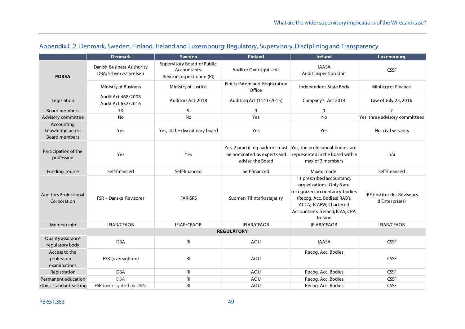<span id="page-48-0"></span>

|                                                        | <b>Denmark</b>                                      | Sweden                                                                   | <b>Finland</b>                                                                     | <b>Ireland</b>                                                                                                                                                                                | Luxembourg                                    |
|--------------------------------------------------------|-----------------------------------------------------|--------------------------------------------------------------------------|------------------------------------------------------------------------------------|-----------------------------------------------------------------------------------------------------------------------------------------------------------------------------------------------|-----------------------------------------------|
| <b>POBSA</b>                                           | Danish Business Authority<br>DBA; Erhvervsstyrelsen | Supervisory Board of Public<br>Accountants:<br>Revisorsinspektionen (RI) | Auditor Oversight Unit                                                             | <b>IAASA</b><br><b>Audit Inspection Unit</b>                                                                                                                                                  | <b>CSSF</b>                                   |
|                                                        | Ministry of Business                                | Ministry of Justice                                                      | Finish Patent and Registration<br>Office                                           | Independent State Body                                                                                                                                                                        | Ministry of Finance                           |
| Legislation                                            | Audit Act 468/2008<br>Audit Act 632/2016            | Auditors Act 2018                                                        | Auditing Act (1141/2015)                                                           | Company's Act 2014                                                                                                                                                                            | Law of July 23, 2016                          |
| <b>Board members</b>                                   | 13                                                  | 9                                                                        | 9                                                                                  | 9                                                                                                                                                                                             | $\overline{7}$                                |
| Advisory committee                                     | <b>No</b>                                           | <b>No</b>                                                                | Yes                                                                                | <b>No</b>                                                                                                                                                                                     | Yes, three advisory committees                |
| Accounting<br>knowledge across<br><b>Board members</b> | Yes                                                 | Yes, at the disciplinary board                                           | Yes                                                                                | Yes                                                                                                                                                                                           | No, civil servants                            |
| Participation of the<br>profession                     | <b>Yes</b>                                          | Yes                                                                      | Yes, 2 practicing auditors must<br>be nominated as experts and<br>advise the Board | Yes, the professional bodies are<br>represented in the Board with a<br>max of 3 members                                                                                                       | n/a                                           |
| Funding source                                         | Self-financed                                       | Self-financed                                                            | Self-financed                                                                      | Mixed model                                                                                                                                                                                   | Self-financed                                 |
| <b>Auditors Professional</b><br>Corporation            | FSR - Danske Revisorer                              | <b>FAR-SRS</b>                                                           | Suomen Tilintarkastajat ry                                                         | 11 prescribed accountancy<br>organizations. Only 6 are<br>recognized accountancy bodies<br>(Recog. Acc. Bodies) RAB's:<br>ACCA; ICAEW; Chartered<br>Accountants Ireland; ICAS; CPA<br>Ireland | IRE (Institut des Réviseurs<br>d'Enterprises) |
| Membership                                             | IFIAR/CEAOB                                         | <b>IFIAR/CEAOB</b>                                                       | IFIAR/CEAOB                                                                        | <b>IFIAR/CEAOB</b>                                                                                                                                                                            | <b>IFIAR/CEAOB</b>                            |
|                                                        |                                                     |                                                                          | <b>REGULATORY</b>                                                                  |                                                                                                                                                                                               |                                               |
| Quality assurance<br>regulatory body                   | <b>DBA</b>                                          | R <sub>l</sub>                                                           | AOU                                                                                | <b>IAASA</b>                                                                                                                                                                                  | <b>CSSF</b>                                   |
| Access to the<br>profession -<br>examinations          | FSR (oversighted)                                   | R <sub>l</sub>                                                           | AOU                                                                                | Recog. Acc. Bodies                                                                                                                                                                            | <b>CSSF</b>                                   |
| Registration                                           | <b>DBA</b>                                          | R <sub>l</sub>                                                           | AOU                                                                                | Recog. Acc. Bodies                                                                                                                                                                            | <b>CSSF</b>                                   |
| Permanent education                                    | <b>DBA</b>                                          | RI                                                                       | AOU                                                                                | Recog. Acc. Bodies                                                                                                                                                                            | <b>CSSF</b>                                   |
| Ethics standard setting                                | FSR (oversighted by DBA)                            | RI                                                                       | AOU                                                                                | Recog. Acc. Bodies                                                                                                                                                                            | <b>CSSF</b>                                   |

# Appendix C.2. Denmark, Sweden, Finland, Ireland and Luxembourg: Regulatory, Supervisory, Disciplining and Transparency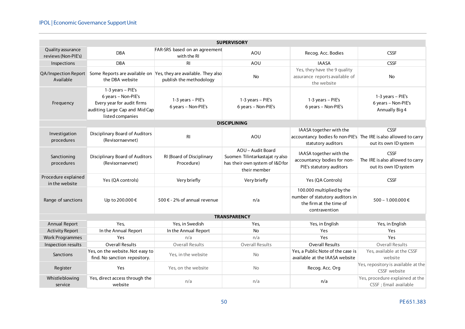#### IPOL | Economic Governance Support Unit

| <b>SUPERVISORY</b>                       |                                                                                                                              |                                                                                             |                                                                                                         |                                                                                                                   |                                                                          |
|------------------------------------------|------------------------------------------------------------------------------------------------------------------------------|---------------------------------------------------------------------------------------------|---------------------------------------------------------------------------------------------------------|-------------------------------------------------------------------------------------------------------------------|--------------------------------------------------------------------------|
| Quality assurance<br>reviews (Non-PIE's) | <b>DBA</b>                                                                                                                   | FAR-SRS based on an agreement<br>with the RI                                                | AOU                                                                                                     | Recog. Acc. Bodies                                                                                                | <b>CSSF</b>                                                              |
| Inspections                              | <b>DBA</b>                                                                                                                   | <b>RI</b>                                                                                   | AOU                                                                                                     | <b>IAASA</b>                                                                                                      | <b>CSSF</b>                                                              |
| <b>QA/Inspection Report</b><br>Available | the DBA website                                                                                                              | Some Reports are available on Yes, they are available. They also<br>publish the methodology | No                                                                                                      | Yes, they have the 9 quality<br>assurance reports available of<br>the website                                     | No                                                                       |
| Frequency                                | 1-3 years - PIE's<br>6 years - Non-PIE's<br>Every year for audit firms<br>auditing Large Cap and Mid Cap<br>listed companies | 1-3 years - PIE's<br>6 years - Non-PIE's                                                    | 1-3 years - PIE's<br>6 years - Non-PIE's                                                                | 1-3 years - PIE's<br>6 years - Non-PIE's                                                                          | 1-3 years - PIE's<br>6 years - Non-PIE's<br>Annually Big 4               |
|                                          |                                                                                                                              |                                                                                             | <b>DISCIPLINING</b>                                                                                     |                                                                                                                   |                                                                          |
| Investigation<br>procedures              | Disciplinary Board of Auditors<br>(Revisornaevnet)                                                                           | <b>RI</b>                                                                                   | AOU                                                                                                     | IAASA together with the<br>accountancy bodies fo non-PIE's The IRE is also allowed to carry<br>statutory auditors | <b>CSSF</b><br>out its own ID system                                     |
| Sanctioning<br>procedures                | Disciplinary Board of Auditors<br>(Revisornaevnet)                                                                           | RI (Board of Disciplinary<br>Procedure)                                                     | AOU - Audit Board<br>Suomen Tilintarkastajat ry also<br>has their own system of I&D for<br>their member | IAASA together with the<br>accountancy bodies for non-<br>PIE's statutory auditors                                | <b>CSSF</b><br>The IRE is also allowed to carry<br>out its own ID system |
| Procedure explained<br>in the website    | Yes (QA controls)                                                                                                            | Very briefly                                                                                | Very briefly                                                                                            |                                                                                                                   | <b>CSSF</b>                                                              |
| Range of sanctions                       | Up to 200.000 €                                                                                                              | 500 € - 2% of annual revenue                                                                | n/a                                                                                                     | 100.000 multiplied by the<br>number of statutory auditors in<br>the firm at the time of<br>contravention          | 500 - 1.000.000 €                                                        |
|                                          |                                                                                                                              |                                                                                             | <b>TRANSPARENCY</b>                                                                                     |                                                                                                                   |                                                                          |
| <b>Annual Report</b>                     | Yes,                                                                                                                         | Yes, in Swedish                                                                             | Yes,                                                                                                    | Yes, in English                                                                                                   | Yes, in English                                                          |
| <b>Activity Report</b>                   | In the Annual Report                                                                                                         | In the Annual Report                                                                        | <b>No</b>                                                                                               | Yes                                                                                                               | Yes                                                                      |
| <b>Work Programmes</b>                   | Yes                                                                                                                          | n/a                                                                                         | n/a                                                                                                     | Yes                                                                                                               | Yes                                                                      |
| Inspection results                       | <b>Overall Results</b>                                                                                                       | <b>Overall Results</b>                                                                      | <b>Overall Results</b>                                                                                  | <b>Overall Results</b>                                                                                            | <b>Overall Results</b>                                                   |
| <b>Sanctions</b>                         | Yes, on the website. Not easy to<br>find. No sanction repository.                                                            | Yes, in the website                                                                         | <b>No</b>                                                                                               | Yes, a Public Note of the case is<br>available at the IAASA website                                               | Yes, available at the CSSF<br>website                                    |
| Register                                 | Yes                                                                                                                          | Yes, on the website                                                                         | <b>No</b>                                                                                               | Recog. Acc. Org                                                                                                   | Yes, repository is available at the<br>CSSF website                      |
| Whistleblowing<br>service                | Yes, direct access through the<br>website                                                                                    | n/a                                                                                         | n/a                                                                                                     | n/a                                                                                                               | Yes, procedure explained at the<br>CSSF ; Email available                |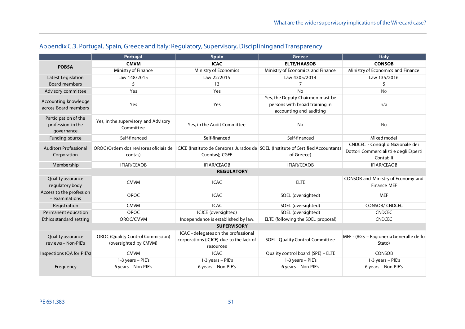<span id="page-50-0"></span>

|                                                         | Portugal                                                          | <b>Spain</b>                                                                                                             | <b>Greece</b>                                                                                 | <b>Italy</b>                                        |
|---------------------------------------------------------|-------------------------------------------------------------------|--------------------------------------------------------------------------------------------------------------------------|-----------------------------------------------------------------------------------------------|-----------------------------------------------------|
| <b>POBSA</b>                                            | <b>CMVM</b>                                                       | <b>ICAC</b>                                                                                                              | <b>ELTE/HAASOB</b>                                                                            | <b>CONSOB</b>                                       |
|                                                         | Ministry of Finance                                               | Ministry of Economics                                                                                                    | Ministry of Economics and Finance                                                             | Ministry of Economics and Finance                   |
| Latest Legislation                                      | Law 148/2015                                                      | Law 22/2015                                                                                                              | Law 4305/2014                                                                                 | Law 135/2016                                        |
| <b>Board members</b>                                    | 5                                                                 | 13                                                                                                                       | $\overline{7}$                                                                                | 5                                                   |
| Advisory committee                                      | Yes                                                               | Yes                                                                                                                      | <b>No</b>                                                                                     | <b>No</b>                                           |
| Accounting knowledge<br>across Board members            | Yes                                                               | Yes                                                                                                                      | Yes, the Deputy Chairmen must be<br>persons with broad training in<br>accounting and auditing | n/a                                                 |
| Participation of the<br>profession in the<br>governance | Yes, in the supervisory and Advisory<br>Committee                 | Yes, in the Audit Committee                                                                                              | No                                                                                            | <b>No</b>                                           |
| Funding source                                          | Self-financed                                                     | Self-financed                                                                                                            | Self-financed                                                                                 | Mixed model                                         |
| Auditors Professional                                   |                                                                   | OROC (Ordem dos revisores oficiais de   ICJCE (Instituto de Censores Jurados de SOEL (Institute of Certified Accountants |                                                                                               | CNDCEC - Consiglio Nazionale dei                    |
| Corporation                                             | contas)                                                           | Cuentas); CGEE                                                                                                           | of Greece)                                                                                    | Dottori Commercialisti e degli Esperti<br>Contabili |
| Membership                                              | <b>IFIAR/CEAOB</b>                                                | <b>IFIAR/CEAOB</b>                                                                                                       | <b>IFIAR/CEAOB</b>                                                                            | <b>IFIAR/CEAOB</b>                                  |
|                                                         |                                                                   | <b>REGULATORY</b>                                                                                                        |                                                                                               |                                                     |
| Quality assurance<br>regulatory body                    | <b>CMVM</b>                                                       | <b>ICAC</b>                                                                                                              | <b>ELTE</b>                                                                                   | CONSOB and Ministry of Economy and<br>Finance MEF   |
| Access to the profession<br>- examinations              | <b>OROC</b>                                                       | <b>ICAC</b>                                                                                                              | SOEL (oversighted)                                                                            | <b>MEF</b>                                          |
| Registration                                            | <b>CMVM</b>                                                       | <b>ICAC</b>                                                                                                              | SOEL (oversighted)                                                                            | <b>CONSOB/ CNDCEC</b>                               |
| Permanent education                                     | OROC                                                              | ICJCE (oversighted)                                                                                                      | SOEL (oversighted)                                                                            | <b>CNDCEC</b>                                       |
| Ethics standard setting                                 | OROC/CMVM                                                         | Independence is established by law.                                                                                      | ELTE (following the SOEL proposal)                                                            | <b>CNDCEC</b>                                       |
|                                                         |                                                                   | <b>SUPERVISORY</b>                                                                                                       |                                                                                               |                                                     |
| Quality assurance<br>reviews - Non-PIE's                | <b>OROC</b> (Quality Control Commission)<br>(oversighted by CMVM) | ICAC - delegates on the professional<br>corporations (ICJCE) due to the lack of<br>resources                             | SOEL- Quality Control Committee                                                               | MEF - (RGS - Ragioneria Generalle dello<br>Stato)   |
| Inspections (QA for PIE's)                              | <b>CMVM</b>                                                       | <b>ICAC</b>                                                                                                              | Quality control board (SPE) - ELTE                                                            | CONSOB                                              |
| Frequency                                               | 1-3 years - PIE's<br>6 years - Non-PIE's                          | 1-3 years - PIE's<br>6 years - Non-PIE's                                                                                 | 1-3 years - PIE's<br>6 years - Non-PIE's                                                      | 1-3 years - PIE's<br>6 years - Non-PIE's            |

# Appendix C.3. Portugal, Spain, Greece and Italy: Regulatory, Supervisory, Disciplining and Transparency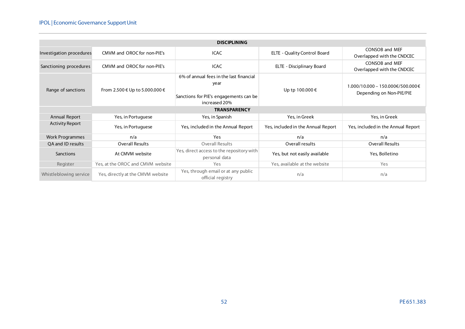#### IPOL | Economic Governance Support Unit

|                          | <b>DISCIPLINING</b>                                                                                                                          |                                                            |                                    |                                                                              |  |  |
|--------------------------|----------------------------------------------------------------------------------------------------------------------------------------------|------------------------------------------------------------|------------------------------------|------------------------------------------------------------------------------|--|--|
| Investigation procedures | CMVM and OROC for non-PIE's                                                                                                                  | <b>ICAC</b>                                                |                                    | <b>CONSOB and MEF</b><br>Overlapped with the CNDCEC                          |  |  |
| Sanctioning procedures   | CMVM and OROC for non-PIF's                                                                                                                  | <b>ICAC</b>                                                | ELTE - Disciplinary Board          | <b>CONSOB and MEF</b><br>Overlapped with the CNDCEC                          |  |  |
| Range of sanctions       | 6% of annual fees in the last financial<br>year<br>From 2.500 € Up to 5.000.000 €<br>Sanctions for PIE's engagements can be<br>increased 20% |                                                            | Up tp 100.000 €                    | $1.000/10.000 - 150.000\text{€}/500.000\text{€}$<br>Depending on Non-PIE/PIE |  |  |
|                          |                                                                                                                                              | <b>TRANSPARENCY</b>                                        |                                    |                                                                              |  |  |
| Annual Report            | Yes, in Portuguese                                                                                                                           | Yes, in Spanish                                            | Yes, in Greek                      | Yes, in Greek                                                                |  |  |
| <b>Activity Report</b>   | Yes, in Portuguese                                                                                                                           | Yes, included in the Annual Report                         | Yes, included in the Annual Report | Yes, included in the Annual Report                                           |  |  |
| <b>Work Programmes</b>   | n/a                                                                                                                                          | Yes                                                        | n/a                                | n/a                                                                          |  |  |
| OA and ID results        | <b>Overall Results</b>                                                                                                                       | <b>Overall Results</b>                                     | Overall results                    | <b>Overall Results</b>                                                       |  |  |
| Sanctions                | At CMVM website                                                                                                                              | Yes, direct access to the repository with<br>personal data | Yes, but not easily available      | Yes, Bolletino                                                               |  |  |
| Register                 | Yes, at the OROC and CMVM website                                                                                                            | Yes                                                        | Yes, available at the website      | Yes                                                                          |  |  |
| Whistleblowing service   | Yes, directly at the CMVM website                                                                                                            | Yes, through email or at any public<br>official registry   | n/a                                | n/a                                                                          |  |  |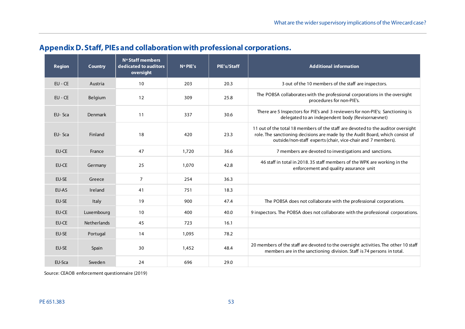| <b>Region</b> | <b>Country</b>     | Nº Staff members<br>dedicated to auditors<br>oversight | $N^{\circ}$ PIE's | PIE's/Staff | <b>Additional information</b>                                                                                                                                                                                                     |
|---------------|--------------------|--------------------------------------------------------|-------------------|-------------|-----------------------------------------------------------------------------------------------------------------------------------------------------------------------------------------------------------------------------------|
| $EU - CE$     | Austria            | 10                                                     | 203               | 20.3        | 3 out of the 10 members of the staff are inspectors.                                                                                                                                                                              |
| EU - CE       | Belgium            | 12                                                     | 309               | 25.8        | The POBSA collaborates with the professional corporations in the oversight<br>procedures for non-PIE's.                                                                                                                           |
| EU-Sca        | Denmark            | 11                                                     | 337               | 30.6        | There are 5 Inspectors for PIE's and 3 reviewers for non-PIE's; Sanctioning is<br>delegated to an independent body (Revisornævnet)                                                                                                |
| EU-Sca        | Finland            | 18                                                     | 420               | 23.3        | 11 out of the total 18 members of the staff are devoted to the auditor oversight<br>role. The sanctioning decisions are made by the Audit Board, which consist of<br>outside/non-staff experts (chair, vice-chair and 7 members). |
| EU-CE         | France             | 47                                                     | 1,720             | 36.6        | 7 members are devoted to investigations and sanctions.                                                                                                                                                                            |
| EU-CE         | Germany            | 25                                                     | 1,070             | 42.8        | 46 staff in total in 2018.35 staff members of the WPK are working in the<br>enforcement and quality assurance unit                                                                                                                |
| EU-SE         | Greece             | $\overline{7}$                                         | 254               | 36.3        |                                                                                                                                                                                                                                   |
| EU-AS         | Ireland            | 41                                                     | 751               | 18.3        |                                                                                                                                                                                                                                   |
| EU-SE         | Italy              | 19                                                     | 900               | 47.4        | The POBSA does not collaborate with the professional corporations.                                                                                                                                                                |
| <b>EU-CE</b>  | Luxembourg         | 10                                                     | 400               | 40.0        | 9 inspectors. The POBSA does not collaborate with the professional corporations.                                                                                                                                                  |
| <b>EU-CE</b>  | <b>Netherlands</b> | 45                                                     | 723               | 16.1        |                                                                                                                                                                                                                                   |
| EU-SE         | Portugal           | 14                                                     | 1,095             | 78.2        |                                                                                                                                                                                                                                   |
| EU-SE         | Spain              | 30                                                     | 1,452             | 48.4        | 20 members of the staff are devoted to the oversight activities. The other 10 staff<br>members are in the sanctioning division. Staff is 74 persons in total.                                                                     |
| EU-Sca        | Sweden             | 24                                                     | 696               | 29.0        |                                                                                                                                                                                                                                   |

# **Appendix D. Staff, PIEs and collaboration withprofessional corporations.**

<span id="page-52-0"></span>Source: CEAOB enforcement questionnaire (2019)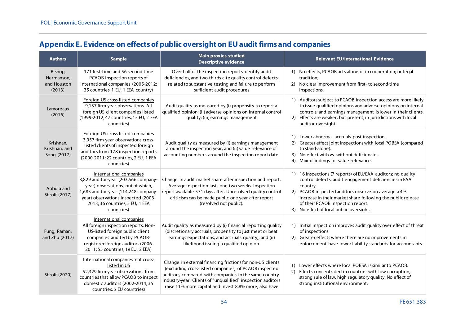# **Appendix E. Evidence on effects of public oversight on EU audit firms and companies**

<span id="page-53-0"></span>

| <b>Authors</b>                                 | <b>Sample</b>                                                                                                                                                                                                                        | <b>Main proxies studied</b><br><b>Descriptive evidence</b>                                                                                                                                                                                                                                            | <b>Relevant EU/International Evidence</b>                                                                                                                                                                                                                                                                                               |
|------------------------------------------------|--------------------------------------------------------------------------------------------------------------------------------------------------------------------------------------------------------------------------------------|-------------------------------------------------------------------------------------------------------------------------------------------------------------------------------------------------------------------------------------------------------------------------------------------------------|-----------------------------------------------------------------------------------------------------------------------------------------------------------------------------------------------------------------------------------------------------------------------------------------------------------------------------------------|
| Bishop,<br>Hermanson,<br>and Houston<br>(2013) | 171 first-time and 56 second-time<br>PCAOB inspection reports of<br>international companies (2005-2012;<br>35 countries, 1 EU, 1 EEA country)                                                                                        | Over half of the inspection reports identify audit<br>deficiencies, and two-thirds cite quality control defects;<br>related to substantive testing and failure to perform<br>sufficient audit procedures                                                                                              | 1) No effects, PCAOB acts alone or in cooperation; or legal<br>tradition:<br>2) No clear improvement from first- to second-time<br>inspections.                                                                                                                                                                                         |
| Lamoreaux<br>(2016)                            | Foreign US cross-listed companies<br>9,137 firm-year observations. All<br>foreign US client companies listed<br>(1999-2012; 47 countries, 15 EU, 2 EEA<br>countries)                                                                 | Audit quality as measured by (i) propensity to report a<br>qualified opinion; (ii) adverse opinions on internal control<br>quality; (iii) earnings management                                                                                                                                         | 1) Auditors subject to PCAOB inspection access are more likely<br>to issue qualified opinions and adverse opinions on internal<br>controls; and earnings management is lower in their clients.<br>2) Effects are weaker, but present, in jurisdictions with local<br>auditor oversight.                                                 |
| Krishnan,<br>Krishnan, and<br>Song (2017)      | Foreign US cross-listed companies<br>3,957 firm-year observations cross-<br>listed clients of inspected foreign<br>auditors from 178 inspection reports<br>(2000-2011; 22 countries, 2 EU, 1 EEA<br>countries)                       | Audit quality as measured by (i) earnings management<br>around the inspection year, and (ii) value relevance of<br>accounting numbers around the inspection report date.                                                                                                                              | 1) Lower abnormal accruals post-inspection.<br>2) Greater effect joint inspections with local POBSA (compared<br>to stand-alone).<br>3) No effect with vs. without deficiencies.<br>4) Mixed findings for value relevance.                                                                                                              |
| Aobdia and<br>Shroff (2017)                    | International companies<br>3,829 auditor-year (203,566 company-<br>year) observations, out of which,<br>1,685 auditor-year (114,248 company-<br>year) observations inspected (2003-<br>2013; 36 countries, 5 EU, 1 EEA<br>countries) | Change in audit market share after inspection and report.<br>Average inspection lasts one-two weeks. Inspection<br>report available 571 days after. Unresolved quality control<br>criticism can be made public one year after report<br>(resolved not public).                                        | 1) 16 inspections (7 reports) of EU/EAA auditors; no quality<br>control defects; audit engagement deficiencies in EAA<br>country.<br>2) PCAOB inspected auditors observe on average a 4%<br>increase in their market share following the public release<br>of their PCAOB inspection report.<br>3) No effect of local public oversight. |
| Fung, Raman,<br>and Zhu (2017)                 | International companies<br>All foreign inspection reports. Non-<br>US-listed foreign public client<br>companies audited by PCAOB-<br>registered foreign auditors (2006-<br>2011; 55 countries, 19 EU, 2 EEA)                         | Audit quality as measured by (i) financial reporting quality<br>(discretionary accruals, propensity to just meet or beat<br>earnings expectations, and accruals quality), and (ii)<br>likelihood issuing a qualified opinion.                                                                         | 1) Initial inspection improves audit quality over effect of threat<br>of inspections.<br>2) Greater effects where there are no improvements in<br>enforcement, have lower liability standards for accountants.                                                                                                                          |
| Shroff (2020)                                  | International companies not cross-<br>listed in US<br>52,329 firm-year observations from<br>countries that allow PCAOB to inspect<br>domestic auditors (2002-2014; 35<br>countries, 5 EU countries)                                  | Change in external financing frictions for non-US clients<br>(excluding cross-listed companies) of PCAOB inspected<br>auditors, compared with companies in the same country-<br>industry-year. Clients of "unqualified" inspection auditors<br>raise 11% more capital and invest 8.8% more, also have | 1) Lower effects where local POBSA is similar to PCAOB.<br>2) Effects concentrated in countries with low corruption,<br>strong rule of law, high regulatory quality. No effect of<br>strong institutional environment.                                                                                                                  |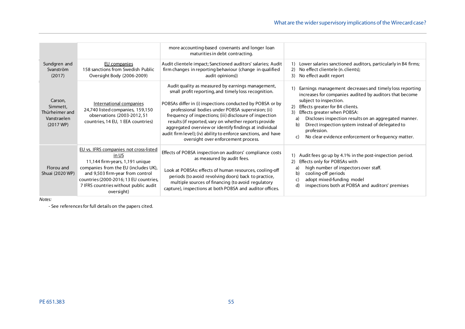|                                                                             |                                                                                                                                                                                                                                                                 | more accounting-based covenants and longer loan<br>maturities in debt contracting.                                                                                                                                                                                                                                                                                                                                                                                                                                  |                                                                                                                                                                                                                                                                                                                                                                                                                          |
|-----------------------------------------------------------------------------|-----------------------------------------------------------------------------------------------------------------------------------------------------------------------------------------------------------------------------------------------------------------|---------------------------------------------------------------------------------------------------------------------------------------------------------------------------------------------------------------------------------------------------------------------------------------------------------------------------------------------------------------------------------------------------------------------------------------------------------------------------------------------------------------------|--------------------------------------------------------------------------------------------------------------------------------------------------------------------------------------------------------------------------------------------------------------------------------------------------------------------------------------------------------------------------------------------------------------------------|
| Sundgren and<br>Svanström<br>(2017)                                         | EU companies<br>158 sanctions from Swedish Public<br>Oversight Body (2006-2009)                                                                                                                                                                                 | Audit clientele impact; Sanctioned auditors' salaries; Audit<br>firm changes in reporting behaviour (change in qualified<br>audit opinions))                                                                                                                                                                                                                                                                                                                                                                        | 1) Lower salaries sanctioned auditors, particularly in B4 firms;<br>No effect clientele (n. clients);<br>2)<br>3) No effect audit report                                                                                                                                                                                                                                                                                 |
| Carson,<br>Simmett,<br>Thürheimer and<br>Vanstraelen<br>$(2017 \text{ WP})$ | International companies<br>24,740 listed companies, 159,150<br>observations (2003-2012, 51<br>countries, 14 EU, 1 EEA countries)                                                                                                                                | Audit quality as measured by earnings management,<br>small profit reporting, and timely loss recognition.<br>POBSAs differ in (i) inspections conducted by POBSA or by<br>professional bodies under POBSA supervision; (ii)<br>frequency of inspections; (iii) disclosure of inspection<br>results (if reported, vary on whether reports provide<br>aggregated overview or identify findings at individual<br>audit firm level); (iv) ability to enforce sanctions, and have<br>oversight over enforcement process. | Earnings management decreases and timely loss reporting<br>increases for companies audited by auditors that become<br>subject to inspection.<br>Effects greater for B4 clients.<br>Effects greater when POBSA:<br>3)<br>Discloses inspection results on an aggregated manner.<br>a)<br>b)<br>Direct inspection system instead of delegated to<br>profession.<br>No clear evidence enforcement or frequency matter.<br>C) |
| Florou and<br>Shuai (2020 WP)                                               | EU vs. IFRS companies not cross-listed<br>in US<br>11,144 firm-years, 1,191 unique<br>companies from the EU (includes UK),<br>and 9,503 firm-year from control<br>countries (2000-2016; 13 EU countries,<br>7 IFRS countries without public audit<br>oversight) | Effects of POBSA inspection on auditors' compliance costs<br>as measured by audit fees.<br>Look at POBSAs: effects of human resources, cooling-off<br>periods (to avoid revolving doors) back to practice,<br>multiple sources of financing (to avoid regulatory<br>capture), inspections at both POBSA and auditor offices.                                                                                                                                                                                        | Audit fees go up by 4.1% in the post-inspection period.<br>2)<br>Effects only for POBSAs with<br>high number of inspectors over staff.<br>a)<br>cooling-off periods<br>b)<br>adopt mixed-funding model<br>C)<br>inspections both at POBSA and auditors' premises<br>d)                                                                                                                                                   |

*Notes:*

- See references for full details on the papers cited.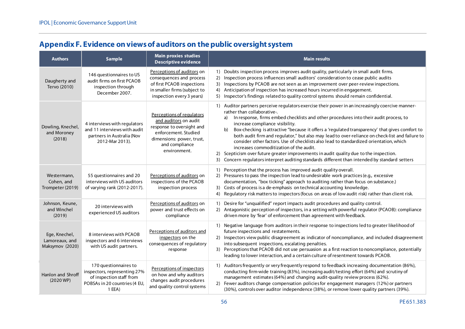# **Appendix F. Evidence on views of auditors on the public oversight system**

<span id="page-55-0"></span>

| <b>Authors</b>                                     | <b>Sample</b>                                                                                                                | <b>Main proxies studies</b><br><b>Descriptive evidence</b>                                                                                                             | <b>Main results</b>                                                                                                                                                                                                                                                                                                                                                                                                                                                                                                                                                                                                                                                                                                                                                                                           |
|----------------------------------------------------|------------------------------------------------------------------------------------------------------------------------------|------------------------------------------------------------------------------------------------------------------------------------------------------------------------|---------------------------------------------------------------------------------------------------------------------------------------------------------------------------------------------------------------------------------------------------------------------------------------------------------------------------------------------------------------------------------------------------------------------------------------------------------------------------------------------------------------------------------------------------------------------------------------------------------------------------------------------------------------------------------------------------------------------------------------------------------------------------------------------------------------|
| Daugherty and<br>Tervo (2010)                      | 146 questionnaires to US<br>audit firms on first PCAOB<br>inspection through<br>December 2007.                               | Perceptions of auditors on<br>consequences and process<br>of first PCAOB inspections<br>in smaller firms (subject to<br>inspection every 3 years)                      | 1) Doubts inspection process improves audit quality, particularly in small audit firms.<br>2) Inspection process influences small auditors' consideration to cease public audits<br>Inspections by PCAOB are not seen as an improvement over peer-review inspections.<br>3)<br>Anticipation of inspection has increased hours incurred in engagement.<br>4)<br>Inspector's findings related to quality control systems should remain confidential.<br>5)                                                                                                                                                                                                                                                                                                                                                      |
| Dowling, Knechel,<br>and Moroney<br>(2018)         | 4 interviews with regulators<br>and 11 interviews with audit<br>partners in Australia (Nov<br>2012-Mar 2013).                | Perceptions of regulators<br>and auditors on audit<br>response to oversight and<br>enforcement. Studied<br>dimensions: power, trust,<br>and compliance<br>environment. | 1) Auditor partners perceive regulators exercise their power in an increasingly coercive manner-<br>rather than collaborative-.<br>In response, firms embed checklists and other procedures into their audit process, to<br>a)<br>increase compliance visibility.<br>Box-checking is attractive "because it offers a 'regulated transparency' that gives comfort to<br>b)<br>both audit firm and regulator," but also may lead to over-reliance on check-list and failure to<br>consider other factors. Use of checklists also lead to standardized orientation, which<br>increases commoditization of the audit.<br>2) Scepticism over future greater improvements in audit quality due to the inspection.<br>3) Concern regulators interpret auditing standards different than intended by standard setters |
| Westermann,<br>Cohen, and<br>Trompeter (2019)      | 55 questionnaires and 20<br>interviews with US auditors<br>of varying rank (2012-2017).                                      | Perceptions of auditors on<br>inspections of the PCAOB<br>inspection process                                                                                           | 1) Perception that the process has improved audit quality overall.<br>2) Pressures to pass the inspection lead to undesirable work practices (e.g., excessive<br>documentation, "box ticking" approach to auditing rather than focus on substance.)<br>3) Costs of process is a de-emphasis on technical accounting knowledge.<br>Regulatory risk matters to inspectors (focus on areas of low audit risk) rather than client risk.<br>4)                                                                                                                                                                                                                                                                                                                                                                     |
| Johnson, Keune,<br>and Winchel<br>(2019)           | 20 interviews with<br>experienced US auditors                                                                                | Perceptions of auditors on<br>power and trust effects on<br>compliance                                                                                                 | Desire for "unqualified" report impacts audit procedures and quality control.<br>1)<br>2) Antagonistic perception of inspectors, in a setting with powerful regulator (PCAOB): compliance<br>driven more by 'fear' of enforcement than agreement with feedback.                                                                                                                                                                                                                                                                                                                                                                                                                                                                                                                                               |
| Ege, Knechel,<br>Lamoreaux, and<br>Maksymov (2020) | 8 interviews with PCAOB<br>inspectors and 6 interviews<br>with US audit partners.                                            | Perceptions of auditors and<br>inspectors on the<br>consequences of regulatory<br>response                                                                             | 1) Negative language from auditors in their response to inspections led to greater likelihood of<br>future inspections and restatements.<br>2) Inspectors view public disagreement as indicator of noncompliance, and included disagreement<br>into subsequent inspections, escalating penalties.<br>3) Perceptions that PCAOB did not use persuasion as a first reaction to noncompliance, potentially<br>leading to lower interaction, and a certain culture of resentment towards PCAOB.                                                                                                                                                                                                                                                                                                                   |
| Hanlon and Shroff<br>$(2020 \text{ WP})$           | 170 questionnaires to<br>inspectors, representing 27%<br>of inspection staff from<br>POBSAs in 20 countries (4 EU,<br>1 EEA) | Perceptions of inspectors<br>on how and why auditors<br>changes audit procedures<br>and quality control systems                                                        | 1) Auditors frequently or very frequently respond to feedback increasing documentation (86%),<br>conducting firm-wide training (83%), increasing audit/testing effort (64%) and scrutiny of<br>management estimates (64%) and changing audit-quality review process (62%).<br>2) Fewer auditors change compensation policies for engagement managers (12%) or partners<br>(30%), controls over auditor independence (38%), or remove lower quality partners (39%).                                                                                                                                                                                                                                                                                                                                            |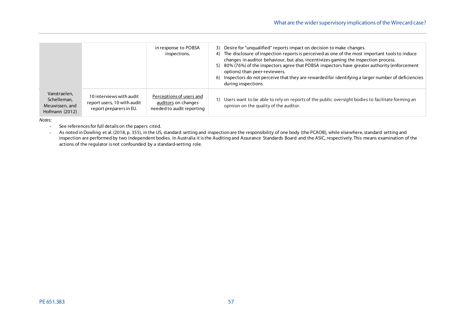|                                                                 |                                                                                    | in response to POBSA<br>inspections.                                         | 3) Desire for "unqualified" reports impact on decision to make changes.<br>The disclosure of inspection reports is perceived as one of the most important tools to induce<br>4)<br>changes in auditor behaviour, but also, incentivizes gaming the inspection process.<br>80% (76%) of the inspectors agree that POBSA inspectors have greater authority (enforcement<br>5)<br>options) than peer-reviewers.<br>Inspectors do not perceive that they are rewarded for identifying a larger number of deficiencies<br>6)<br>during inspections |
|-----------------------------------------------------------------|------------------------------------------------------------------------------------|------------------------------------------------------------------------------|-----------------------------------------------------------------------------------------------------------------------------------------------------------------------------------------------------------------------------------------------------------------------------------------------------------------------------------------------------------------------------------------------------------------------------------------------------------------------------------------------------------------------------------------------|
| Vanstraelen,<br>Schelleman,<br>Meuwissen, and<br>Hofmann (2012) | 10 interviews with audit<br>report users, 10 with audit<br>report preparers in EU. | Perceptions of users and<br>auditors on changes<br>needed to audit reporting | Users want to be able to rely on reports of the public oversight bodies to facilitate forming an<br>opinion on the quality of the auditor.                                                                                                                                                                                                                                                                                                                                                                                                    |

*Notes:*

- See references for full details on the papers cited.

- As noted in Dowling et al. (2018, p. 355), in the US, standard setting and inspection are the responsibility of one body (the PCAOB), while elsewhere, standard setting and inspection are performed by two independent bodies. In Australia it is the Auditing and Assurance Standards Board and the ASIC, respectively. This means examination of the actions of the regulator is not confounded by a standard-setting role.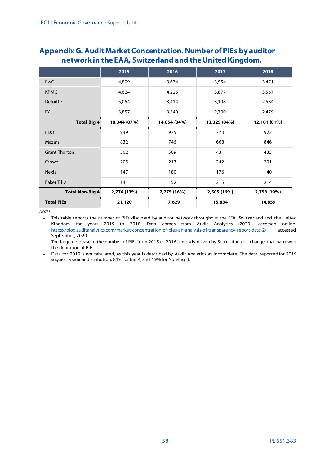# <span id="page-57-0"></span>**Appendix G. Audit Market Concentration. Number of PIEs by auditor network in the EAA, Switzerland and the United Kingdom.**

|                        | 2015         | 2016         | 2017         | 2018         |
|------------------------|--------------|--------------|--------------|--------------|
| <b>PwC</b>             | 4,809        | 3,674        | 3,554        | 3,471        |
| <b>KPMG</b>            | 4,624        | 4,226        | 3,877        | 3,567        |
| Deloitte               | 5,054        | 3,414        | 3,198        | 2,584        |
| EY                     | 3,857        | 3,540        | 2,700        | 2,479        |
| <b>Total Big 4</b>     | 18,344 (87%) | 14,854 (84%) | 13,329 (84%) | 12,101 (81%) |
| <b>BDO</b>             | 949          | 975          | 773          | 922          |
| <b>Mazars</b>          | 832          | 746          | 668          | 846          |
| <b>Grant Thorton</b>   | 502          | 509          | 431          | 435          |
| Crowe                  | 205          | 213          | 242          | 201          |
| Nexia                  | 147          | 180          | 176          | 140          |
| <b>Baker Tilly</b>     | 141          | 152          | 215          | 214          |
| <b>Total Non-Big 4</b> | 2,776 (13%)  | 2,775 (16%)  | 2,505 (16%)  | 2,758 (19%)  |
| <b>Total PIEs</b>      | 21,120       | 17,629       | 15,834       | 14,859       |

*Notes:*

- This table reports the number of PIEs disclosed by auditor network throughout the EEA, Switzerland and the United Kingdom for years 2015 to 2018. Data comes from Audit Analytics (2020), accessed online: [https://blog.auditanalytics.com/market-concentration-of-pies-an-analysis-of-transparency-report-data-2/,](https://blog.auditanalytics.com/market-concentration-of-pies-an-analysis-of-transparency-report-data-2/) accessed September, 2020.

The large decrease in the number of PIEs from 2015 to 2016 is mostly driven by Spain, due to a change that narrowed the definition of PIE.

- Data for 2019 is not tabulated, as this year is described by Audit Analytics as incomplete. The data reported for 2019 suggest a similar distribution: 81% for Big 4, and 19% for Non-Big 4.